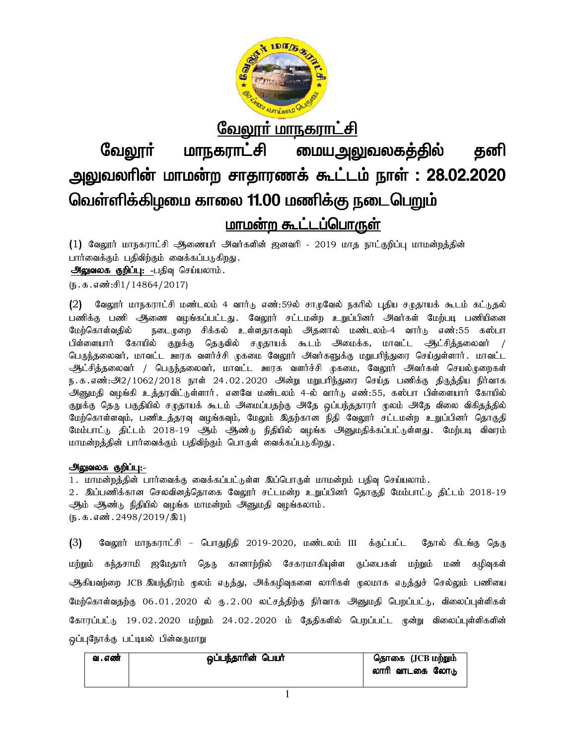

வே<u>லார் மாநகராட்சி</u>

மையஅலுவலகத்தில் வேலாா் மாநகராட்சி கனி அலுவலரின் மாமன்ற சாதாரணக் கூட்டம் நாள் : 28.02.2020 வெள்ளிக்கிழமை காலை 11.00 மணிக்கு நடைபெறும்

# மாமன்ற கூட்டப்பொருள்

(1) வேலூர் மாநகராட்சி ஆணையர் அவர்களின் ஜனவரி - 2019 மாத நாட்குறிப்பு மாமன்றத்தின் பார்வைக்கும் பதிவிற்கும் வைக்கப்படுகிறது. அலுவலக குறிப்பு: -பதிவு செய்யலாம்.

(ந. க. எண்:சி1/14864/2017)

வேலூர் மாநகராட்சி மண்டலம் 4 வார்டு எண்:59ல் சாமுவேல் நகரில் புதிய சமுதாயக் கூடம் கட்டுதல்  $(2)$ பணிக்கு பணி ஆணை வமங்கப்பட்டது. வேலார் சட்டமன்ற உறுப்பினர் அவர்கள் மேற்படி பணியினை நடைமுறை சிக்கல் உள்ளதாகவும் அதனால் மண்டலம்-4 வார்டு எண்:55 கஸ்பா மேற்கொள்வதில் பிள்ளையார் கோயில் குறுக்கு தெருவில் சமுதாயக் கூடம் அமைக்க, மாவட்ட ஆட்சித்தலைவர் / பெருந்தலைவர், மாவட்ட ஊரக வளர்ச்சி முகமை வேலூர் அவர்களுக்கு மறுபரிந்துரை செய்துள்ளார். மாவட்ட ஆட்சித்தலைவர் / பெருந்தலைவர், மாவட்ட ஊரக வளர்ச்சி முகமை, வேலூர் அவர்கள் செயல்முறைகள் ந.க.எண்:அ2/1062/2018 நாள் 24.02.2020 அன்று மறுபரிந்துரை செய்த பணிக்கு திருத்திய நிர்வாக அனுமதி வழங்கி உத்தரவிட்டுள்ளார். எனவே மண்டலம் 4-ல் வார்டு எண்:55, கஸ்பா பிள்ளையார் கோயில் குறுக்கு தெரு பகுதியில் சமுதாயக் கூடம் அமைப்பதற்கு அதே ஒப்பந்ததாரர் முலம் அதே விலை விகிதத்தில் மேற்கொள்ளவும், பணிஉத்தரவு வழங்கவும், மேலும் இதற்கான நிதி வேலூர் சட்டமன்ற உறுப்பினர் தொகுதி மேம்பாட்டு திட்டம் 2018-19 ஆம் ஆண்டு நிதியில் வழங்க அனுமதிக்கப்பட்டுள்ளது. மேற்படி விவரம் மாமன்றத்தின் பார்வைக்கும் பதிவிற்கும் பொருள் வைக்கப்படுகிறது.

# அலுவலக குறிப்பு:-

1 . மாமன்றத்தின் பார்வைக்கு வைக்கப்பட்டுள்ள இப்பொருள் மாமன்றம் பதிவு செய்யலாம் .

2. இப்பணிக்கான செலவினத்தொகை வேலூர் சட்டமன்ற உறுப்பினர் தொகுதி மேம்பாட்டு திட்டம் 2018-19 ஆம் ஆண்டு நிதியில் வழங்க மாமன்றம் அனுமதி வழங்கலாம்.  $(D.5.5.5\text{ m}^2.2498/2019/\text{m}^2)$ 

வேலூர் மாநகராட்சி – பொதுநிதி 2019-2020, மண்டலம் III க்குட்பட்ட தோல் கிடங்கு தெரு  $(3)$ மற்றும் கந்தசாமி ஜமேதார் தெரு கானாற்றில் சேகரமாகியுள்ள குப்பைகள் மற்றும் மண் கழிவுகள் ஆகியவற்றை JCB இயந்திரம் முலம் எடுத்து, அக்கழிவுகளை லாரிகள் முலமாக எடுத்துச் செல்லும் பணியை மேற்கொள்வதற்கு 06.01.2020 ல் ரு.2.00 லட்சத்திற்கு நிர்வாக அனுமதி பெறப்பட்டு, விலைப்புள்ளிகள் கோரப்பட்டு 19.02.2020 மற்றும் 24.02.2020 ம் தேதிகளில் பெறப்பட்ட முன்று விலைப்புள்ளிகளின் ஒப்புநோக்கு பட்டியல் பின்வருமாறு

| வ . எண் | ஒப்பந்தாரின் பெயர் | தொகை (JCB மற்றும்<br>லாரி வாடகை லோடு |
|---------|--------------------|--------------------------------------|
|         |                    |                                      |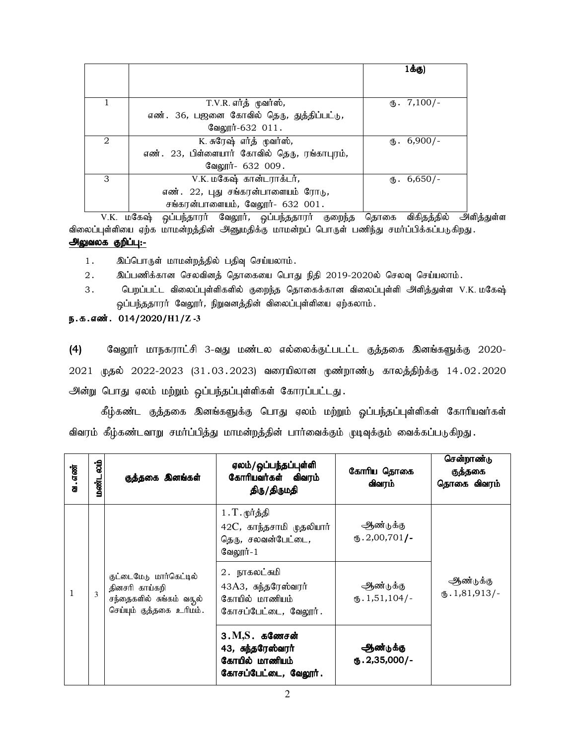|                |                                              | 1க்கு)                 |
|----------------|----------------------------------------------|------------------------|
|                |                                              |                        |
|                | T.V.R. எர்த் முவர்ஸ்,                        | $\text{I}$ . 7,100/-   |
|                | எண். 36, பஜனை கோவில் தெரு, துத்திப்பட்டு,    |                        |
|                | வேலூர்-632 011.                              |                        |
| $\mathfrak{D}$ | K. சுரேஷ் எர்த் முவர்ஸ்,                     | $\text{I}$ . 6,900/-   |
|                | எண். 23, பிள்ளையார் கோவில் தெரு, ரங்காபுரம், |                        |
|                | வேலூர்- 632 009.                             |                        |
| 3              | V.K. மகேஷ் கான்டராக்டர்,                     | $\mathbf{t}$ . 6,650/- |
|                | எண். 22, புது சங்கரன்பாளையம் ரோடு,           |                        |
|                | சங்கரன்பாளையம், வேலூர்- 632 001.             |                        |

V.K. மகேஷ் ஒப்பந்தாரர் வேலூர், ஒப்பந்ததாரர் குறைந்த தொகை விகிதத்தில் அளித்துள்ள விலைப்புள்ளியை ஏற்க மாமன்றத்தின் அனுமதிக்கு மாமன்றப் பொருள் பணிந்து சமர்ப்பிக்கப்படுகிறது. அலுவலக குறிப்பு:-

1. இப்பொருள் மாமன்றத்தில் பதிவு செய்யலாம்.

- 2. இப்பணிக்கான செலவினத் தொகையை பொது நிதி 2019-2020ல் செலவு செய்யலாம்.
- 3. bgwg;gl;l tpiyg;g[s;spfspy; Fiwe;j bjhiff;fhd tpiyg;g[s;sp mspj;Js;s V.K. kBf&; ஒப்பந்ததாரர் வேலூர், நிறுவனத்தின் விலைப்புள்ளியை ஏற்கலாம்.

# e.f.vz;. 014/2020/**H**1/**Z -3**

(4) மேலூர் மாநகராட்சி 3-வது மண்டல எல்லைக்குட்படட்ட குத்தகை இனங்களுக்கு 2020-2021 முதல் 2022-2023 (31.03.2023) வரையிலான முண்றாண்டு காலத்திற்க்கு 14.02.2020 அன்று பொது ஏலம் மற்றும் ஒப்பந்தப்புள்ளிகள் கோரப்பட்டது.

கீழ்கண்ட குத்தகை இனங்களுக்கு பொது ஏலம் மற்றும் ஓப்பந்தப்புள்ளிகள் கோரியவர்கள் விவரம் கீழ்கண்டவாறு சமர்ப்பித்து மாமன்றத்தின் பார்வைக்கும் முடிவுக்கும் வைக்கப்படுகிறது.

| வ . எண் | ig<br>ai<br>மண்ட                                                                                                                                                                         | குத்தகை இனங்கள்                        | ஏலம்/ ஒப்பந்தப்புள்ளி<br>கோரியவர்கள் விவரம்<br>திரு/திருமதி                       | கோரிய தொகை<br>விவரம்                 | சென்றாண்டு<br>குத்தகை<br>தொகை விவரம் |
|---------|------------------------------------------------------------------------------------------------------------------------------------------------------------------------------------------|----------------------------------------|-----------------------------------------------------------------------------------|--------------------------------------|--------------------------------------|
|         |                                                                                                                                                                                          |                                        | $1.T$ . மூர்த்தி<br>$42C$ , காந்தசாமி முதலியார்<br>தெரு, சலவன்பேட்டை,<br>வேலூர்-1 | ஆண்டுக்கு<br>$(B.2,00,701)$ -        |                                      |
| 1       | 2. நாகலட்சுமி<br>குட்டைமேடு மார்கெட்டில்<br>43A3, சுந்தரேஸ்வரர்<br>தினசரி காய்கறி<br>3<br>கோயில் மாணியம்<br>சந்தைகளில் சுங்கம் வசூல்<br>செய்யும் குத்தகை உரிமம்.<br>கோசப்பேட்டை, வேலூர். | ஆண்டுக்கு<br>$\mathbf{I}$ . 1,51,104/- | ஆண்டுக்கு<br>$\text{I}$ , 1,81,913/-                                              |                                      |                                      |
|         |                                                                                                                                                                                          |                                        | $3.M.S.$ கணேசன்<br>43, சுந்தரேஸ்வரர்<br>கோயில் மாணியம்<br>கோசப்பேட்டை, வேலூர்.    | ஆண்டுக்கு<br>$\mathbf{0.2,}35,000/-$ |                                      |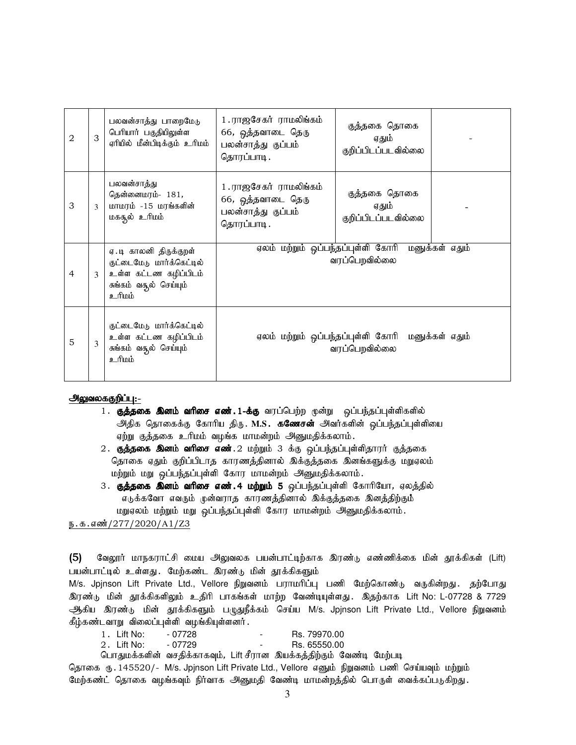| 2 | 3            | பலவன்சாத்து பாறைமேடு<br>பெரியார் பகுதியிலுள்ள<br>ஏரியில் மீன்பிடிக்கும் உரிமம்                                   | 1. ராஜசேகர் ராமலிங்கம்<br>66, ஒத்தவாடை தெரு<br>பலன்சாத்து குப்பம்<br>தொரப்பாடி.  | குத்தகை தொகை<br>ஏதும்<br>குறிப்பிடப்படவில்லை                      |
|---|--------------|------------------------------------------------------------------------------------------------------------------|----------------------------------------------------------------------------------|-------------------------------------------------------------------|
| 3 | $\mathbf{3}$ | பலவன்சாத்து<br>தென்னைமரம்- 181,<br>மாமரம் -15 மரங்களின்<br>மகசூல் உரிமம்                                         | 1 . ராஜசேகர் ராமலிங்கம்<br>66, ஒத்தவாடை தெரு<br>பலன்சாத்து குப்பம்<br>தொரப்பாடி. | குத்தகை தொகை<br>ஏதும்<br>குறிப்பிடப்படவில்லை                      |
| 4 |              | ஏ.டி காலனி திருக்குறள்<br>குட்டைமேடு மார்க்கெட்டில்<br>உள்ள கட்டண கழிப்பிடம்<br>சுங்கம் வதூல் செய்யும்<br>anna e | ஏலம் மற்றும் ஒப்பந்தப்புள்ளி கோரி                                                | மனுக்கள் எதும்<br>வரப்பெறவில்லை                                   |
| 5 | 3            | குட்டைமேடு மார்க்கெட்டில்<br>உள்ள கட்டண கழிப்பிடம்<br>சுங்கம் வதூல் செய்யும்<br>diaift e                         |                                                                                  | ஏலம் மற்றும் ஒப்பந்தப்புள்ளி கோரி மனுக்கள் எதும்<br>வரப்பெறவில்லை |

### அலுவலககுறிப்பு:-

- 1. குத்தகை இனம் வரிசை எண். 1-க்கு வரப்பெற்ற முன்று ஒப்பந்தப்புள்ளிகளில் அதிக தொகைக்கு கோரிய திரு. M.S. கணேசன் அவர்களின் ஒப்பந்தப்புள்ளியை ஏற்று குத்தகை உரிமம் வழங்க மாமன்றம் அனுமதிக்கலாம்.
- 2. குத்தகை இனம் வரிசை எண்.2 மற்றும் 3 க்கு ஒப்பந்தப்புள்ளிதாரர் குத்தகை தொகை ஏதும் குறிப்பிடாத காரணத்தினால் இக்குத்தகை இனங்களுக்கு மறுஏலம் மற்றும் மறு ஒப்பந்தப்புள்ளி கோர மாமன்றம் அனுமதிக்கலாம்.
- 3. குத்தகை இனம் வரிசை எண்.4 மற்றும் 5 ஒப்பந்தப்புள்ளி கோரியோ, ஏலத்தில் எடுக்கவோ எவரும் முன்வராத காரணத்தினால் இக்குத்தகை இனத்திற்கும் மறுஏலம் மற்றும் மறு ஒப்பந்தப்புள்ளி கோர மாமன்றம் அனுமதிக்கலாம்.

ந. க. எண்*/* 277/2020/A1/Z3

 $(5)$ வேலூர் மாநகராட்சி மைய அலுவலக பயன்பாட்டிற்காக இரண்டு எண்ணிக்கை மின் தூக்கிகள் (Lift) பயன்பாட்டில் உள்ளது. மேற்கண்ட இரண்டு மின் தூக்கிகளும்

M/s. Jpjnson Lift Private Ltd., Vellore நிறுவனம் பராமரிப்பு பணி மேற்கொண்டு வருகின்றது. தற்போது இரண்டு மின் தூக்கிகளிலும் உதிரி பாகங்கள் மாற்ற வேண்டியுள்ளது. இதற்காக Lift No: L-07728 & 7729 ஆகிய இரண்டு மின் தூக்கிகளும் பழுதுநீக்கம் செய்ய M/s. Jpjnson Lift Private Ltd., Vellore நிறுவனம் கீழ்கண்டவாறு விலைப்புள்ளி வழங்கியுள்ளனர்.

| 1. Lift No: | - 07728 | - | Rs. 79970.00 |
|-------------|---------|---|--------------|
| 2.Lift No:  | - 07729 | - | Rs. 65550.00 |

பொதுமக்களின் வசதிக்காகவும், Lift சீரான இயக்கத்திற்கும் வேண்டி மேற்படி

தொகை ரு. 145520/- M/s. Jpjnson Lift Private Ltd., Vellore எனும் நிறுவனம் பணி செய்யவும் மற்றும் மேற்கண்ட் தொகை வழங்கவும் நிர்வாக அனுமதி வேண்டி மாமன்றத்தில் பொருள் வைக்கப்படுகிறது.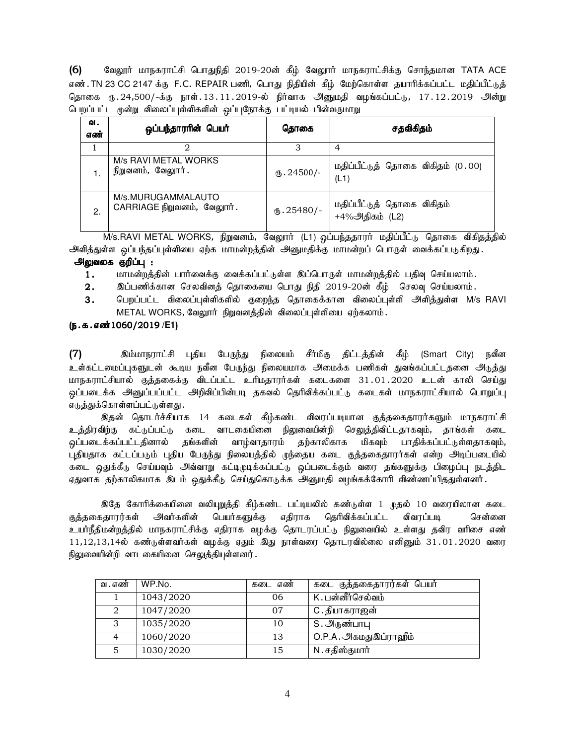(6) வேலூர் மாநகராட்சி பொதுநிதி 2019-20ன் கீழ் வேலூர் மாநகராட்சிக்கு சொந்தமான TATA ACE எண்.TN 23 CC 2147 க்கு F.C. REPAIR பணி, பொது நிதியின் கீழ் மேற்கொள்ள தயாரிக்கப்பட்ட மதிப்பீட்டுத் தொகை ரு.24,500/-க்கு நாள்.13.11.2019-ல் நிர்வாக அனுமதி வழங்கப்பட்டு, 17.12.2019 அன்று பெறப்பட்ட முன்று விலைப்புள்ளிகளின் ஒப்புநோக்கு பட்டியல் பின்வருமாறு

| ഖ.<br>எண் | ஒப்பந்தாரரின் பெயர்                              | தொகை               | சதவிகிதம்                                    |
|-----------|--------------------------------------------------|--------------------|----------------------------------------------|
|           |                                                  |                    | 4                                            |
|           | M/s RAVI METAL WORKS<br>நிறுவனம், வேலூர்.        | $\Phi$ .24500/-    | மதிப்பீட்டுத் தொகை விகிதம் (0.00)<br>(L1)    |
| 2.        | M/s.MURUGAMMALAUTO<br>CARRIAGE நிறுவனம், வேலூர். | $\omega$ . 25480/- | மதிப்பீட்டுத் தொகை விகிதம்<br>+4%அதிகம் (L2) |

M/s.RAVI METAL WORKS, நிறுவனம், வேலூாா் (L1) ஒப்பந்ததாரா் மதிப்பீட்டு தொகை விகிதத்தில் அளித்துள்ள ஒப்பந்தப்புள்ளியை ஏற்க மாமன்றத்தின் அனுமதிக்கு மாமன்றப் பொருள் வைக்கப்படுகிறது.

### அலுவலக குறிப்பு :

- 1. மாமன்றத்தின் பார்வைக்கு வைக்கப்பட்டுள்ள இப்பொருள் மாமன்றத்தில் பதிவு செய்யலாம்.
- $2.$  இப்பணிக்கான செலவினத் தொகையை பொது நிதி  $2019$ - $20$ ன் கீழ் செலவு செய்யலாம்.
- 3. பெறப்பட்ட விலைப்புள்ளிகளில் குறைந்த தொகைக்கான விலைப்புள்ளி அளித்துள்ள M/s RAVI METAL WORKS, வேலூர் நிறுவனத்தின் விலைப்புள்ளியை ஏற்கலாம்.

### (ந.க.எண்1060/2019 /E1)

(7) nk;kheuhl;rp g[jpa BgUe;J epiyak; rPh;kpF jpl;lj;jpd; fPH; (Smart City) etPd உள்கட்டமைப்புகளுடன் கூடிய நவீன பேருந்து நிலையமாக அமைக்க பணிகள் துவங்கப்பட்டதனை அடுத்து மாநகாாட்சியால் குக்ககைக்கு விடப்பட்ட உரிமகாார்கள் கடைகளை 31.01.2020 உடன் காலி செய்கு ஒப்படைக்க அனுப்பப்பட்ட அறிவிப்பின்படி தகவல் தெரிவிக்கப்பட்டு கடைகள் மாநகராட்சியால் பொறுப்பு எ<u>டுத்து</u>க்கொள்ளப்பட்டுள்ளது .

இதன் தொடர்ச்சியாக 14 கடைகள் கீழ்கண்ட விவரப்படியான குத்தகைதாரர்களும் மாநகராட்சி <u>உத்</u>திரவிற்கு கட்டுப்பட்டு கடை வாடகையினை நிலுவையின்றி செலுத்திவிட்டதாகவும், தாங்கள் கடை <u>ஒ</u>ப்படைக்கப்பட்டதினால் தங்களின் வாழ்வாதாரம் தற்காலிகாக மிகவும் பாதிக்கப்பட்டுள்ளதாகவும், புதியதாக கட்டப்படும் புதிய பேருந்து நிலையத்தில் முந்தைய கடை குத்தகைதாரர்கள் என்ற அடிப்படையில் கடை ஒதுக்கீடு செய்யவும் அவ்வாறு கட்டிமுடிக்கப்பட்டு ஒப்படைக்கும் வரை தங்களுக்கு பிழைப்பு நடத்திட ஏதுவாக தற்காலிகமாக இடம் ஒதுக்கீடு செய்துகொடுக்க அனுமதி வழங்கக்கோரி விண்ணப்பிததுள்ளனர்.

இதே கோரிக்கையினை வலியுறுத்தி கீழ்கண்ட பட்டியலில் கண்டுள்ள 1 முதல் 10 வரையிலான கடை குத்தகைதாரர்கள் அவர்களின் பெயர்களுக்கு எதிராக தெரிவிக்கப்பட்ட விவரப்படி சென்னை உயர்நீதிமன்றத்தில் மாநகராட்சிக்கு எதிராக வழக்கு தொடரப்பட்டு நிலுவையில் உள்ளது தவிர வரிசை எண்  $11,12,13,14$ ல் கண்டுள்ளவர்கள் வழக்கு ஏதும் இது நாள்வரை தொடரவில்லை எனினும்  $31.01.2020$  வரை நிலுவையின்றி வாடகையினை செலுத்தியுள்ளனர்.

| வ . எண் | WP.No.    | கடை எண் | கடை குத்தகைதாரர்கள் பெயர் |
|---------|-----------|---------|---------------------------|
|         | 1043/2020 | 06      | K.பன்னீர்செல்வம்          |
|         | 1047/2020 | 07      | C.தியாகராஜன்              |
| 3       | 1035/2020 | 10      | S. அருண்பாபு              |
|         | 1060/2020 | 13      | O.P.A. அகமதுஇப்ராஹீம்     |
| 5       | 1030/2020 | 15      | N.சதிஸ்குமார்             |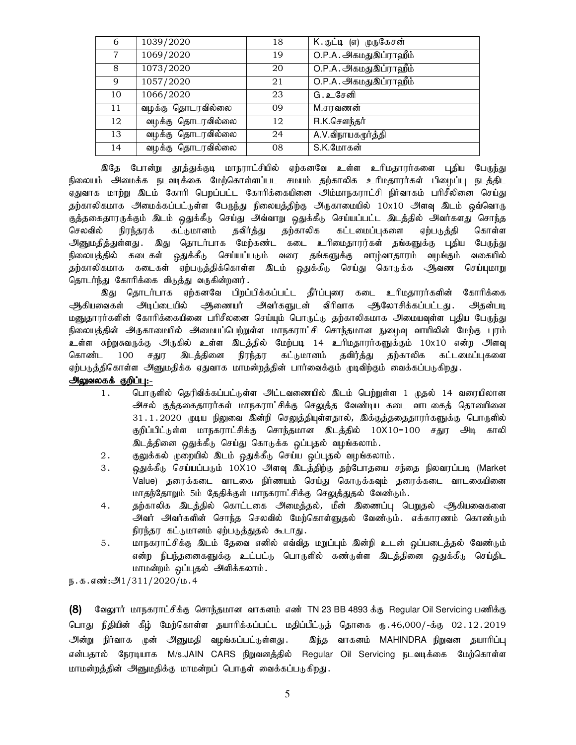| 6  | 1039/2020         | 18 | K.குட்டி (எ) முருகேசன் |
|----|-------------------|----|------------------------|
| 7  | 1069/2020         | 19 | O.P.A. அகமதுஇப்ராஹீம்  |
| 8  | 1073/2020         | 20 | O.P.A. அகமதுஇப்ராஹீம்  |
| 9  | 1057/2020         | 21 | O.P.A. அகமதுஇப்ராஹீம்  |
| 10 | 1066/2020         | 23 | G.உசேனி                |
| 11 | வழக்கு தொடரவில்லை | 09 | M.சரவணன்               |
| 12 | வழக்கு தொடரவில்லை | 12 | R.K.சௌந்தர்            |
| 13 | வழக்கு தொடரவில்லை | 24 | A.V.விநாயகமூர்த்தி     |
| 14 | வழக்கு தொடரவில்லை | 08 | S.K.மோகன்              |

இதே போன்று தூத்துக்குடி மாநராட்சியில் ஏற்கனவே உள்ள உரிமதாரர்களை புதிய பே<u>ருந்து</u> நிலையம் அமைக்க நடவடிக்கை மேற்கொள்ளப்பட சமயம் தற்காலிக உரிமதாரர்கள் பிழைப்பு நடத்திட ஏதுவாக மாற்று இடம் கோரி பெறப்பட்ட கோரிக்கையினை அம்மாநகராட்சி நிர்வாகம் பரிசீலினை செய்து தற்காலிகமாக அமைக்கப்பட்டுள்ள பேருந்து நிலையத்திற்கு அருகாமையில் 10x10 அளவு இடம் ஒவ்வொரு குத்தகைதாரருக்கும் இடம் ஒதுக்கீடு செய்து அவ்வாறு ஒதுக்கீடு செய்யப்பட்ட இடத்தில் அவர்களது சொந்த செலவில் நிரந்தரக் கட்டுமானம் கவிர்க்கு கற்காலிக கட்டமைப்புகளை எற்படுக்கி கொள்ள .<br>அனுமதித்துள்ளது . இது தொடர்பாக மேற்கண்ட கடை உரிமைதாரர்கள் தங்களுக்கு புதிய பேருந்து நிலையத்தில் கடைகள் ஒதுக்கீடு செய்யப்படும் வரை தங்களுக்கு வாழ்வாதாரம் வழங்கும் வகையில் தற்காலிகமாக கடைகள் ஏற்படுத்திக்கொள்ள இடம் ஒதுக்கீடு செய்து கொடுக்க <del>அ</del>வண செய்யுமாறு தொடர்ந்து கோரிக்கை விடுத்து வருகின்றனர்.

இது தொடர்பாக ஏற்கனவே பிறப்பிக்கப்பட்ட தீர்ப்புரை கடை உரிமதாரர்களின் கோரிக்கை ஆகியவைகள் அடிப்டையில் ஆணையர் அவர்களுடன் விரிவாக ஆலோசிக்கப்பட்டது. அதன்படி மனுதாரர்களின் கோரிக்கையினை பரிசீலனை செய்யும் பொருட்டு தற்காலிகமாக அமையவுள்ள புதிய பேருந்து நிலையத்தின் அருகாமையில் அமையப்பெற்றுள்ள மாநகராட்சி சொந்தமான நுழைவு வாயிலின் மேற்கு புரம் உள்ள சுற்றுசுவருக்கு அருகில் உள்ள இடத்தில் மேற்படி 14 உரிமதாரர்களுக்கும் 10x10 என்ற அளவு கொண்ட 100 சதுர இடத்தினை நிரந்தர கட்டுமானம் தவிர்த்து தற்காலிக கட்டமைப்புகளை ஏற்படுத்திகொள்ள அனுமதிக்க ஏதுவாக மாமன்றத்தின் பார்வைக்கும் முடிவிற்கும் வைக்கப்படுகிறது.

# <u>அலுவலகக் குறிப்பு:-</u>

- 1. பொருளில் தெரிவிக்கப்பட்டுள்ள அட்டவணையில் இடம் பெற்றுள்ள 1 முதல் 14 வரையிலான அசல் குத்தகைதாரர்கள் மாநகராட்சிக்கு செலுத்த வேண்டிய கடை வாடகைத் தொயினை 31.1.2020 முடிய நிலுவை இன்றி செலுத்தியுள்ளதால், இக்குத்ததைதாரர்களுக்கு பொருளில் குறிப்பிட்டுள்ள மாநகராட்சிக்கு சொந்தமான இடத்தில் 10X10=100 சதுர அடி காலி இடத்தினை ஒதுக்கீடு செய்து கொடுக்க ஒப்புதல் வழங்கலாம்.
- 2. குலுக்கல் முறையில் இடம் ஒதுக்கீடு செய்ய ஒப்புதல் வழங்கலாம்.
- 3. ஒதுக்கீடு செய்யப்படும் 10X10 அளவு இடத்திற்கு தற்போதயை சந்தை நிலவரப்படி (Market Value) தரைக்கடை வாடகை நிர்ணயம் செய்து கொடுக்கவும் தரைக்கடை வாடகையினை மாதந்தோறும் 5ம் தேதிக்குள் மாநகராட்சிக்கு செலுத்துதல் வேண்டும்.
- 4. நற்காலிக இடத்தில் கொட்டகை அமைத்தல், மீன் இணைப்பு பெறுதல் ஆகியவைகளை அவர் அவர்களின் சொந்த செலவில் மேற்கொள்ளுதல் வேண்டும். எக்காரணம் கொண்டும் நிரந்தர கட்டுமானம் ஏற்படுத்துதல் கூடாது.
- 5. மாநகராட்சிக்கு இடம் தேவை எனில் எவ்வித மறுப்பும் இன்றி உடன் ஒப்படைத்தல் வேண்டும் என்ற நிபந்தனைகளுக்கு உட்பட்டு பொருளில் கண்டுள்ள இடத்தினை ஒதுக்கீடு செய்திட மாமன்றம் ஒப்புதல் அளிக்கலாம்.

ந.க.எண்:அ $1/311/2020/\mu$ .4

(8) மேலூர் மாநகராட்சிக்கு சொந்தமான வாகனம் எண் TN 23 BB 4893 க்கு Regular Oil Servicing பணிக்கு பொது நிதியின் கீழ் மேற்கொள்ள தயாரிக்கப்பட்ட மதிப்பீட்டுத் தொகை ரு. 46,000/-க்கு 02 . 12 . 2019 அன்று நிர்வாக முன் அனுமதி வழங்கப்பட்டுள்ளது . இந்த வாகனம் MAHINDRA நிறுவன தயாரிப்பு என்பதால் நேரடியாக M/s.JAIN CARS நிறுவனத்தில் Regular Oil Servicing நடவடிக்கை மேற்கொள்ள மாமன்றத்தின் அனுமதிக்கு மாமன்றப் பொருள் வைக்கப்படுகிறது.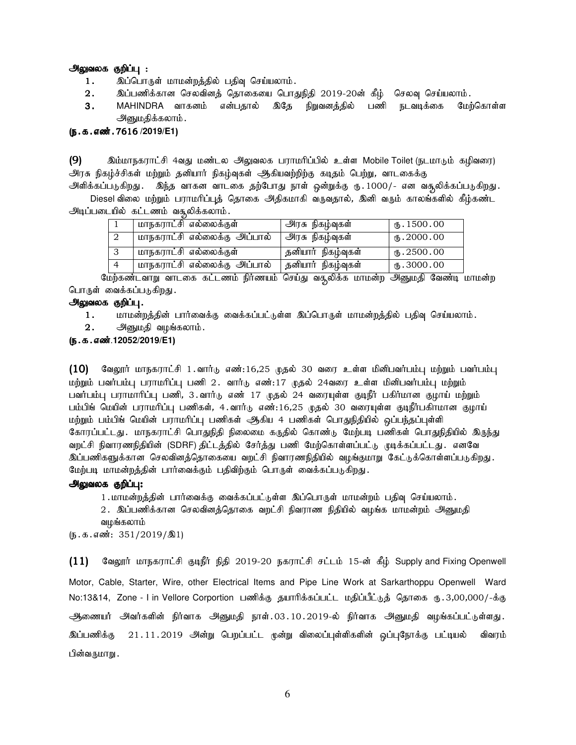#### <u>அலுவலக குறிப்பு :</u>

- 1. இப்பொருள் மாமன்றத்தில் பதிவு செய்யலாம்.
- $2.$  இப்பணிக்கான செலவினத் தொகையை பொதுநிதி 2019-20ன் கீழ் செலவு செய்யலாம்.
- 3. MAHINDRA வாகனம் என்பதால் இதே நிறுவனத்தில் பணி நடவடிக்கை பேற்கொள்ள அனுமதிக்கலாம்.

### (ந.க.எண். 7616 /2019/E1)

 $(9)$  20 இம்மாநகராட்சி 4வது மண்டல அலுவலக பராமரிப்பில் உள்ள Mobile Toilet (நடமாடும் கழிவரை) அரசு நிகழ்ச்சிகள் மற்றும் தனியார் நிகழ்வுகள் ஆகியவற்றிற்கு கடிதம் பெற்று, வாடகைக்கு

அளிக்கப்படுகிறது. இந்த வாகன வாடகை தற்போது நாள் ஒன்றுக்கு ரு.1000/- என வசூலிக்கப்படுகிறது. Diesel விலை மற்றும் பராமரிப்புத் தொகை அதிகமாகி வருவதால், இனி வரும் காலங்களில் கீழ்கண்ட அடிப்படையில் கட்டணம் வசூலிக்கலாம்.

| மாநகராட்சி எல்லைக்குள்       | அரசு நிகழ்வுகள்    | $M_{\rm b}$ . 1500.00 |
|------------------------------|--------------------|-----------------------|
| மாநகராட்சி எல்லைக்கு அப்பால் | அரசு நிகழ்வுகள்    | (B.2000.00)           |
| மாநகராட்சி எல்லைக்குள்       | தனியார் நிகழ்வுகள் | $M_{\rm b}$ . 2500.00 |
| மாநகராட்சி எல்லைக்கு அப்பால் | தனியார் நிகழ்வுகள் | $\times$ 3000.00      |

மேற்கண்டவாறு வாடகை கட்டணம் நிர்ணயம் செய்து வகூலிக்க மாமன்ற அனுமதி வேண்டி மாமன்ற பொருள் வைக்கப்படுகிறது.

# அலுவலக குறிப்பு.

- 1. khr மன்றத்தின் பார்வைக்கு வைக்கப்பட்டுள்ள இப்பொருள் மாமன்றத்தில் பதிவு செய்யலாம்.
- $2.$  அனுமதி வழங்கலாம்.

#### (ந.க.எண்.12052/2019/E1)

 $(10)$  தேலூர் மாநகராட்சி 1.வார்டு எண்:16,25 முதல் 30 வரை உள்ள மினிபவர்பம்பு மற்றும் பவர்பம்பு மற்றும் பவர்பம்பு பராமரிப்பு பணி 2. வார்டு எண்:17 முதல் 24வரை உள்ள மினிபவர்பம்பு மற்றும் பவர்பம்பு பராமாரிப்பு பணி, 3.வார்டு எண் 17 முதல் 24 வரையுள்ள குடிநீர் பகிர்மான குமாய் மற்றும் பம்பிங் மெயின் பராமரிப்பு பணிகள், 4.வார்டு எண்:16,25 முதல் 30 வரையுள்ள குடிநீர்பகிாமான குழாய் மற்றும் பம்பிங் மெயின் பராமரிப்பு பணிகள் ஆகிய 4 பணிகள் பொதுநிதியில் ஒப்பந்தப்புள்ளி கோரப்பட்டது. மாநகராட்சி பொதுநிதி நிலைமை கருதில் கொண்டு மேற்படி பணிகள் பொதுநிதியில் இருந்து வறட்சி நிவாரணநிதியின் (SDRF) திட்டத்தில் சேர்த்து பணி மேற்கொள்ளப்பட்டு முடிக்கப்பட்டது. எனவே இப்பணிகளுக்கான செலவினத்தொகையை வறட்சி நிவாரணநிதியில் வழங்குமாறு கேட்டுக்கொள்ளப்படுகிறது. மேற்படி மாமன்றத்தின் பார்வைக்கும் பதிவிற்கும் பொருள் வைக்கப்படுகிறது.

#### அலுவலக குறிப்பு:

1 . மாமன்றத்தின் பார்வைக்கு வைக்கப்பட்டுள்ள இப்பொருள் மாமன்றம் பதிவு செய்யலாம் .

2. இப்பணிக்கான செலவினத்தொகை வறட்சி நிவராண நிதியில் வழங்க மாமன்றம் அனுமதி வழங்கலாம்

 $(5.5.5 \cdot \text{m} \cdot \text{m} \cdot 351/2019/\text{m}1)$ 

 $(11)$  மேலூர் மாநகராட்சி குடிநீர் நிதி 2019-20 நகராட்சி சட்டம் 15-ன் கீழ் Supply and Fixing Openwell Motor, Cable, Starter, Wire, other Electrical Items and Pipe Line Work at Sarkarthoppu Openwell Ward No:13&14, Zone - I in Vellore Corportion பணிக்கு தயாரிக்கப்பட்ட மதிப்பீட்டுத் தொகை ரு. 3,00,000/-க்கு அணையர் அவர்களின் நிர்வாக அனுமதி நாள்.03.10.2019-ல் நிர்வாக அனுமதி வழங்கப்பட்டுள்ளது. இப்பணிக்கு 21.11.2019 அன்று பெறப்பட்ட முன்று விலைப்புள்ளிகளின் ஒப்புநோக்கு பட்டியல் விவரம் பின்வருமாறு .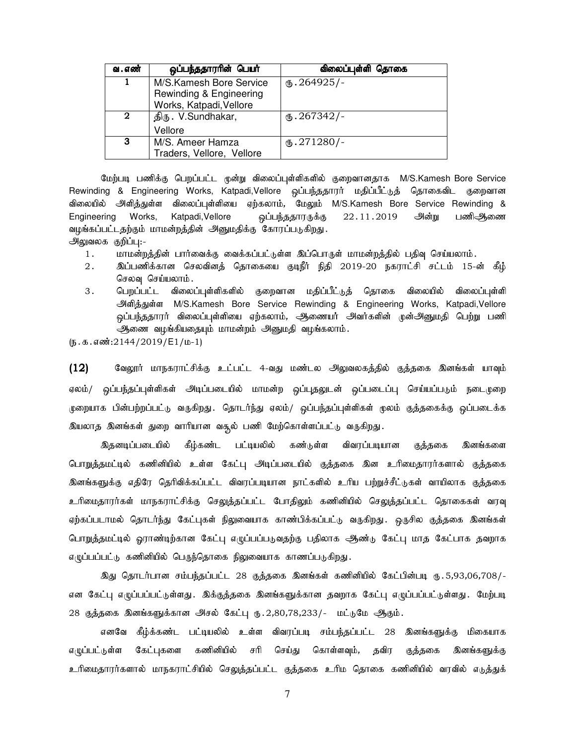| வ . எண்          | ஒப்பந்ததாரரின் பெயர்                                                          | விலைப்புள்ளி தொகை    |
|------------------|-------------------------------------------------------------------------------|----------------------|
| 1                | M/S.Kamesh Bore Service<br>Rewinding & Engineering<br>Works, Katpadi, Vellore | $(B.264925)$ -       |
| $\boldsymbol{2}$ | திரு. V.Sundhakar,                                                            | $(B.267342)$ -       |
|                  | Vellore                                                                       |                      |
| 3                | M/S. Ameer Hamza<br>Traders, Vellore, Vellore                                 | $\text{I}5.271280/-$ |

மேற்படி பணிக்கு பெறப்பட்ட முன்று விலைப்புள்ளிகளில் குறைவானதாக M/S.Kamesh Bore Service Rewinding & Engineering Works, Katpadi,Vellore ஒப்பந்ததாரர் மதிப்பீட்டுத் தொகைவிட குறைவான விலையில் அளித்துள்ள விலைப்புள்ளியை ஏற்கலாம், மேலும் M/S.Kamesh Bore Service Rewinding & Engineering Works, Katpadi,Vellore ஒப்பந்ததாரருக்கு 22.11.2019 அன்று பணிஆணை வழங்கப்பட்டதற்கும் மாமன்றத்தின் அனுமதிக்கு கோரப்படுகிறது. அலுவலக குறிப்பு:-

- 1. khr மன்றத்தின் பார்வைக்கு வைக்கப்பட்டுள்ள இப்பொருள் மாமன்றத்தில் பதிவு செய்யலாம்.
- 2. ng;gzpf;fhd brytpdj; bjhifia FoePh; epjp 2019-20 efuhl;rp rl;lk; 15-d; fPH; செலவு செய்யலாம்.
- 3 . பெறப்பட்ட விலைப்புள்ளிகளில் குறைவான மதிப்பீட்டுத் தொகை விலையில் விலைப்புள்ளி mspj;Js;s M/S.Kamesh Bore Service Rewinding & Engineering Works, Katpadi,Vellore ஒப்பந்ததாரர் விலைப்புள்ளியை ஏற்கலாம், ஆணையர் அவர்களின் முன்அனுமதி பெற்று பணி ஆணை வழங்கியதையும் மாமன்றம் அனுமதி வழங்கலாம்.

 $(\mathfrak{g.}\mathfrak{g.}\mathfrak{g.}\mathfrak{g.}\mathfrak{g.}\mathfrak{g.}2144/2019/\mathsf{E1}/\mathfrak{w-1})$ 

 $(12)$  Bு கேலூர் மாநகராட்சிக்கு உட்பட்ட 4-வது மண்டல அலுவலகத்தில் குத்தகை இனங்கள் யாவும் ஏலம்/ ஒப்பந்தப்புள்ளிகள் அடிப்படையில் மாமன்ற ஒப்புதலுடன் ஒப்படைப்பு செய்யப்படும் நடைமுறை முறையாக பின்பற்றப்பட்டு வருகிறது. தொடர்ந்து ஏலம்/ ஒப்பந்தப்புள்ளிகள் முலம் குத்தகைக்கு ஒப்படைக்க இயலாத இனங்கள் துறை வாரியான வசூல் பணி மேற்கொள்ளப்பட்டு வருகிறது.

இதனடிப்படையில் கீழ்கண்ட பட்டியலில் கண்டுள்ள விவரப்படியான குத்தகை இனங்களை பொறுத்தமட்டில் கணினியில் உள்ள கேட்பு அடிப்படையில் குத்தகை இன உரிமைதாரர்களால் குத்தகை இனங்களுக்கு எதிரே தெரிவிக்கப்பட்ட விவரப்படியான நாட்களில் உரிய பற்றுச்சீட்டுகள் வாயிலாக குத்தகை உரிமைதாராகள் மாநகராட்சிக்கு செலுத்தப்பட்ட போதிலும் கணினியில் செலுத்தப்பட்ட தொகைகள் வரவு ஏற்கப்படாமல் தொடர்ந்து கேட்புகள் நிலுவையாக காண்பிக்கப்பட்டு வருகிறது. ஒருசில குத்தகை இனங்கள் பொறுத்தமட்டில் ஓராண்டிற்கான கேட்பு எழுப்பப்படுவதற்கு பதிலாக ஆண்டு கேட்பு மாத கேட்பாக தவறாக எழுப்பப்பட்டு கணினியில் பெருந்தொகை நிலுவையாக காணப்படுகிறது.

இது தொடர்பான சம்பந்தப்பட்ட 28 குத்தகை இனங்கள் கணினியில் கேட்பின்படி ரு. 5,93,06,708/-என கேட்பு எழுப்பப்பட்டுள்ளது. இக்குத்தகை இனங்களுக்கான தவறாக கேட்பு எழுப்பப்பட்டுள்ளது. மேற்படி 28 குத்தகை இனங்களுக்கான அசல் கேட்பு ரு. 2,80,78,233/- மட்டுமே ஆகும்.

எனவே கீழ்க்கண்ட பட்டியலில் உள்ள விவரப்படி சம்பந்தப்பட்ட 28 இனங்களுக்கு மிகையாக எழுப்பட்டுள்ள கேட்புகளை கணினியில் சரி செய்து கொள்ளவும், தவிர குத்தகை இனங்களுக்கு உரிமைதாரர்களால் மாநகராட்சியில் செலுத்தப்பட்ட குத்தகை உரிம தொகை கணினியில் வரவில் எடுத்துக்

7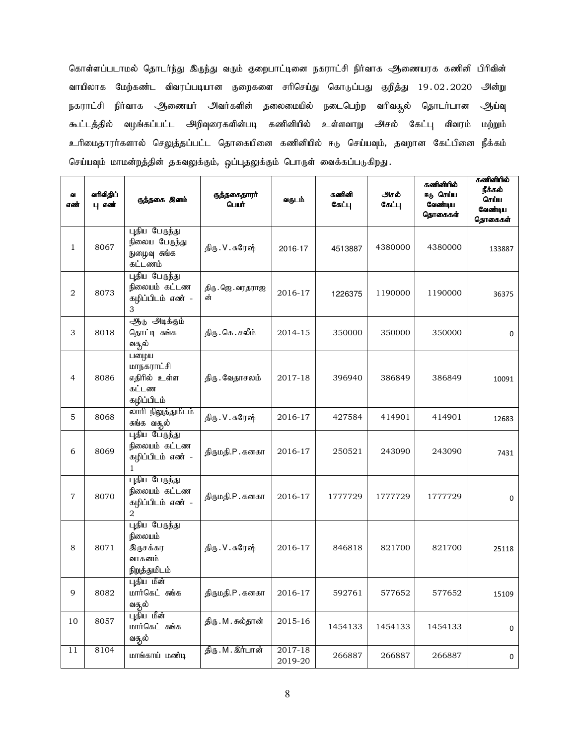கொள்ளப்படாமல் தொடர்ந்து இருந்து வரும் குறைபாட்டினை நகராட்சி நிர்வாக அணையரக கணினி பிரிவின் வாயிலாக மேற்கண்ட விவரப்படியான குறைகளை சரிசெய்து கொடுப்பது குறித்து 19.02.2020 அன்று நகராட்சி நிர்வாக ஆணையர் அவர்களின் தலைமையில் நடைபெற்ற வரிவசூல் தொடர்பான ஆய்வு கூட்டத்தில் வழங்கப்பட்ட அறிவுரைகளின்படி கணினியில் உள்ளவாறு அசல் கேட்பு விவரம் மற்றும் உரிமைதாரர்களால் செலுத்தப்பட்ட தொகையினை கணினியில் ஈடு செய்யவும், தவறான கேட்பினை நீக்கம் செய்யவும் மாமன்றத்தின் தகவலுக்கும், ஒப்புதலுக்கும் பொருள் வைக்கப்படுகிறது.

| Q.<br>எண்      | வரிவிதிப்<br>பு எண் | குத்தகை இனம்                                                              | குத்தகைதாரா்<br>பெயி     | வருடம்             | കൽിക്കി<br>கேட்பு | அசல்<br>கேட்பு | கணினியில்<br>ஈடு செய்ய<br>வேண்டிய<br>தொகைகள் | கணினியில்<br>நீக்கல்<br>செப்ப<br>வேண்டிய<br>தொகைகள் |
|----------------|---------------------|---------------------------------------------------------------------------|--------------------------|--------------------|-------------------|----------------|----------------------------------------------|-----------------------------------------------------|
| $\mathbf{1}$   | 8067                | புதிய பேருந்து<br>நிலைய பேருந்து<br>நுழைவு சுங்க<br>கட்டணம்               | திரு. V. சுரேஷ்          | 2016-17            | 4513887           | 4380000        | 4380000                                      | 133887                                              |
| $\overline{2}$ | 8073                | புதிய பேருந்து<br>நிலையம் கட்டண<br>கழிப்பிடம் எண் -<br>3                  | திரு . ஜெ . வரதராஜ<br>ன் | 2016-17            | 1226375           | 1190000        | 1190000                                      | 36375                                               |
| 3              | 8018                | ஆ <sub>ம்</sub> அடிக்கும்<br>தொட்டி சுங்க<br>வசூல்                        | திரு. கெ. சலீம்          | 2014-15            | 350000            | 350000         | 350000                                       | 0                                                   |
| 4              | 8086                | பலழ்ய<br>மாநகராட்சி<br>எதிரில் உள்ள<br>கட்டண<br>கழிப்பிடம்                | திரு. வேதாசலம்           | 2017-18            | 396940            | 386849         | 386849                                       | 10091                                               |
| 5              | 8068                | லாரி நிலுத்துமிடம்<br>சுங்க வசூல்                                         | திரு. V. சுரேஷ்          | 2016-17            | 427584            | 414901         | 414901                                       | 12683                                               |
| 6              | 8069                | புதிய பேருந்து<br>நிலையம் கட்டண<br>கழிப்பிடம் எண் -<br>$\mathbf{1}$       | திருமதி.P. கனகா          | 2016-17            | 250521            | 243090         | 243090                                       | 7431                                                |
| $\overline{7}$ | 8070                | புதிய பேருந்து<br>நிலையம் கட்டண<br>கழிப்பிடம் எண் -<br>$\mathfrak{D}_{1}$ | திருமதி.P. கனகா          | 2016-17            | 1777729           | 1777729        | 1777729                                      | 0                                                   |
| 8              | 8071                | புதிய பேருந்து<br>நிலையம்<br><u>இருசக்கர</u><br>வாகனம்<br>நிறுத்துமிடம்   | திரு. V. சுரேஷ்          | 2016-17            | 846818            | 821700         | 821700                                       | 25118                                               |
| 9              | 8082                | புதிய மீன்<br>மார்கெட் சுங்க<br>வசூல்                                     | திருமதி.P. கனகா          | 2016-17            | 592761            | 577652         | 577652                                       | 15109                                               |
| 10             | 8057                | புதிய மீன்<br>மார்கெட் சுங்க<br>வசூல்                                     | திரு . M . சுல்தான்      | 2015-16            | 1454133           | 1454133        | 1454133                                      | 0                                                   |
| 11             | 8104                | மாங்காய் மண்டி                                                            | திரு. M . இர்பான்        | 2017-18<br>2019-20 | 266887            | 266887         | 266887                                       | 0                                                   |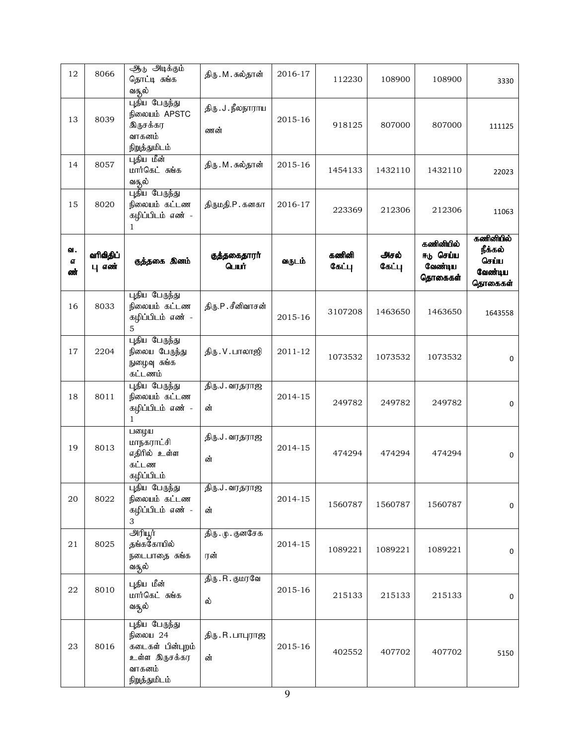| 12                    | 8066                | ஆர் அடிக்கும்<br>தொட்டி சுங்க<br>வசூல்                                                            | திரு . M . சுல்தான்        | 2016-17 | 112230          | 108900         | 108900                                       | 3330                                                |
|-----------------------|---------------------|---------------------------------------------------------------------------------------------------|----------------------------|---------|-----------------|----------------|----------------------------------------------|-----------------------------------------------------|
| 13                    | 8039                | புதிய பேருந்து<br>நிலையம் APSTC<br>இருசக்கர<br>வாகனம்<br>நிறுத்துமிடம்                            | திரு . J . நீலநாராய<br>ணன் | 2015-16 | 918125          | 807000         | 807000                                       | 111125                                              |
| 14                    | 8057                | புதிய மீன்<br>மார்கெட் சுங்க<br>வசூல்                                                             | திரு . M . சுல்தான்        | 2015-16 | 1454133         | 1432110        | 1432110                                      | 22023                                               |
| 15                    | 8020                | புதிய பேருந்து<br>நிலையம் கட்டண<br>கழிப்பிடம் எண் -<br>$\mathbf{1}$                               | திருமதி.P. கனகா            | 2016-17 | 223369          | 212306         | 212306                                       | 11063                                               |
| வ.<br><b>GT</b><br>ண் | வரிவிதிப்<br>பு எண் | குத்தகை இனம்                                                                                      | குத்தகைதாரா்<br>பெயர்      | வருடம்  | கணினி<br>கேட்பு | அசல்<br>கேட்பு | கணினியில்<br>ஈடு செப்ப<br>வேண்டிய<br>தொகைகள் | கணினியில்<br>நீக்கல்<br>செப்ப<br>வேண்டிய<br>தொகைகள் |
| 16                    | 8033                | புதிய பேருந்து<br>நிலையம் கட்டண<br>கழிப்பிடம் எண் -<br>5                                          | திரு.P.சீனிவாசன்           | 2015-16 | 3107208         | 1463650        | 1463650                                      | 1643558                                             |
| 17                    | 2204                | புதிய பேருந்து<br>நிலைய பேருந்து<br>நுழைவு சுங்க<br>கட்டணம்                                       | திரு . V . பாலாஜி          | 2011-12 | 1073532         | 1073532        | 1073532                                      | 0                                                   |
| 18                    | 8011                | புதிய பேருந்து<br>நிலையம் கட்டண<br>கழிப்பிடம் எண் -<br>$\mathbf{1}$                               | திரு.J. வரதராஜ<br>ன்       | 2014-15 | 249782          | 249782         | 249782                                       | 0                                                   |
| 19                    | 8013                | பழைய<br>மாநகராட்சி<br>எதிரில் உள்ள<br>கட்டண<br>கழிப்பிடம்                                         | திரு.J. வரதராஜ<br>ன்       | 2014-15 | 474294          | 474294         | 474294                                       | 0                                                   |
| 20                    | 8022                | புதிய பேருந்து<br>நிலையம் கட்டண<br>கழிப்பிடம் எண் -<br>3                                          | திரு.J. வரதராஜ<br>ன்       | 2014-15 | 1560787         | 1560787        | 1560787                                      | $\mathbf 0$                                         |
| 21                    | 8025                | அரியூர்<br>தங்ககோயில்<br>நடைபாதை சுங்க<br>வசூல்                                                   | திரு . மு . குனசேக<br>ரன்  | 2014-15 | 1089221         | 1089221        | 1089221                                      | $\mathbf 0$                                         |
| 22                    | 8010                | புதிய மீன்<br>மார்கெட் சுங்க<br>வசூல்                                                             | திரு . R . குமரவே<br>ல்    | 2015-16 | 215133          | 215133         | 215133                                       | $\mathbf 0$                                         |
| 23                    | 8016                | புதிய பேருந்து<br><b>நிலைய 24</b><br>கடைகள் பின்புறம்<br>உள்ள இருசக்கர<br>வாகனம்<br>நிறுத்துமிடம் | திரு.R.பாபுராஜ<br>ன்       | 2015-16 | 402552          | 407702         | 407702                                       | 5150                                                |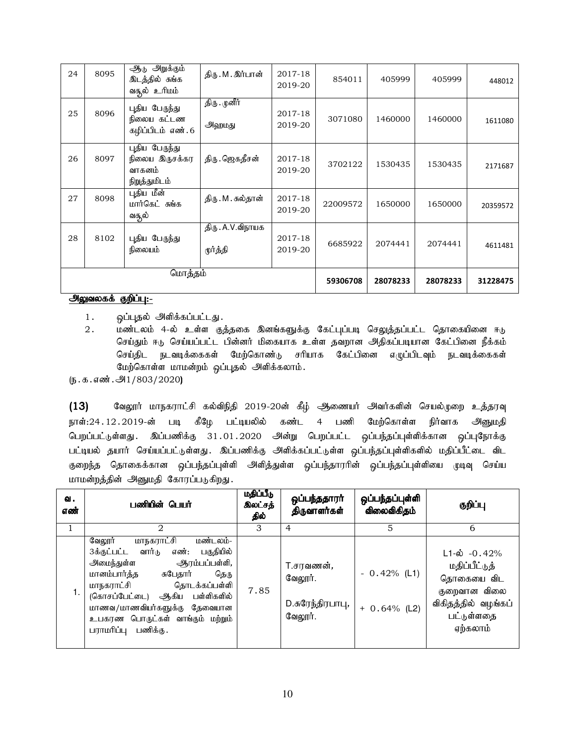| 24 | 8095 | ஆ <sub>ம்</sub> அறுக்கும்<br>இடத்தில் சுங்க<br>வசூல் உரிமம் | திரு.M. இர்பான்               | 2017-18<br>2019-20 | 854011   | 405999   | 405999   | 448012   |
|----|------|-------------------------------------------------------------|-------------------------------|--------------------|----------|----------|----------|----------|
| 25 | 8096 | புதிய பேருந்து<br>நிலைய கட்டண<br>கழிப்பிடம் எண்.6           | திரு . முனீர்<br>அஹமது        | 2017-18<br>2019-20 | 3071080  | 1460000  | 1460000  | 1611080  |
| 26 | 8097 | புதிய பேருந்து<br>நிலைய இருசக்கர<br>வாகனம்<br>நிறுத்துமிடம் | திரு .ஜெகதீசன்                | 2017-18<br>2019-20 | 3702122  | 1530435  | 1530435  | 2171687  |
| 27 | 8098 | புதிய மீன்<br>மார்கெட் சுங்க<br>வசூல்                       | திரு . M . சுல்தான்           | 2017-18<br>2019-20 | 22009572 | 1650000  | 1650000  | 20359572 |
| 28 | 8102 | புதிய பேருந்து<br>நிலையம்                                   | திரு . A.V.விநாயக<br>மூர்த்தி | 2017-18<br>2019-20 | 6685922  | 2074441  | 2074441  | 4611481  |
|    |      | மொத்தம்                                                     |                               |                    | 59306708 | 28078233 | 28078233 | 31228475 |

# <u>அலுவலகக் குறிப்பு:-</u>

1. ஒப்புதல் அளிக்கப்பட்டது.

2. மண்டலம் 4-ல் உள்ள குத்தகை இனங்களுக்கு கேட்புப்படி செலுத்தப்பட்ட தொகையினை ஈடு செய்தும் ஈடு செய்யப்பட்ட பின்னர் மிகையாக உள்ள தவறான அதிகப்படியான கேட்பினை நீக்கம் செய்திட நடவடிக்கைகள் மேற்கொண்டு சரியாக கேட்பினை எழுப்பிடவும் நடவடிக்கைகள் மேற்கொள்ள மாமன்றம் ஒப்புதல் அளிக்கலாம்.

 $(5.5.5.5\ldots)$  .  $-91/803/2020$ 

 $(13)$  கேலூர் மாநகராட்சி கல்விநிதி 2019-20ன் கீழ் ஆணையர் அவர்களின் செயல்முறை உத்தரவு நாள்:24.12.2019-ன் படி கீழே பட்டியலில் கண்ட 4 பணி மேற்கொள்ள நிர்வாக அனுமதி பெறப்பட்டுள்ளது. இப்பணிக்கு 31.01.2020 அன்று பெறப்பட்ட ஒப்பந்தப்புள்ளிக்கான ஒப்புநோக்கு பட்டியல் தயார் செய்யப்பட்டுள்ளது. இப்பணிக்கு அிிக்கப்பட்டுள்ள ஒப்பந்தப்புள்ளிகளில் மதிப்பீட்டை விட குறைந்த தொகைக்கான ஒப்பந்தப்புள்ளி அளித்துள்ள ஒப்பந்தாரரின் ஒப்பந்தப்புள்ளியை முடிவு செய்ய மாமன்றத்தின் அனுமதி கோரப்படுகிறது.

| ഖ.<br>எண் | பணியின் பெயர்                                                                                                                                                                                                                                                                                                       | மதிப்பீடு<br>இலட்சத்<br>தில் | ஒப்பந்ததாரா்<br>திருவாளர்கள்                                | ஒப்பந்தப்புள்ளி<br>விலைவிகிதம்   | குறிப்பு                                                                                                                    |
|-----------|---------------------------------------------------------------------------------------------------------------------------------------------------------------------------------------------------------------------------------------------------------------------------------------------------------------------|------------------------------|-------------------------------------------------------------|----------------------------------|-----------------------------------------------------------------------------------------------------------------------------|
| 1         | $\mathcal{D}_{\mathcal{L}}$                                                                                                                                                                                                                                                                                         | 3                            | $\overline{4}$                                              | 5                                | 6                                                                                                                           |
|           | <u>மாநகராட்சி</u><br>மண்டலம்-<br>வேலூர்<br>பகுதியில்<br>3க்குட்பட்ட<br>எண்:<br>வார்டு<br>அமைந்துள்ள<br>ஆரம்பப்பள்ளி,<br>மானம்பார்த்த<br>சுபேதார்<br>தெரு<br>தொடக்கப்பள்ளி<br>மாநகராட்சி<br>(கொசப்பேட்டை) ஆகிய பள்ளிகளில்<br>மாணவ/மாணவியர்களுக்கு தேவையான<br>உபகரண பொருட்கள் வாங்கும் மற்றும்<br>பராமரிப்பு பணிக்கு. | 7.85                         | T.சரவணன் <i>,</i><br>வேலூர்.<br>D.சுரேந்திரபாபு,<br>வேலூர். | $-0.42%$ (L1)<br>$+ 0.64\%$ (L2) | $L1 - \dot{\omega}$ - 0.42%<br>மதிப்பீட்டுத்<br>தொகையை விட<br>குறைவான விலை<br>விகிதத்தில் வழங்கப்<br>பட்டுள்ளதை<br>ஏற்கலாம் |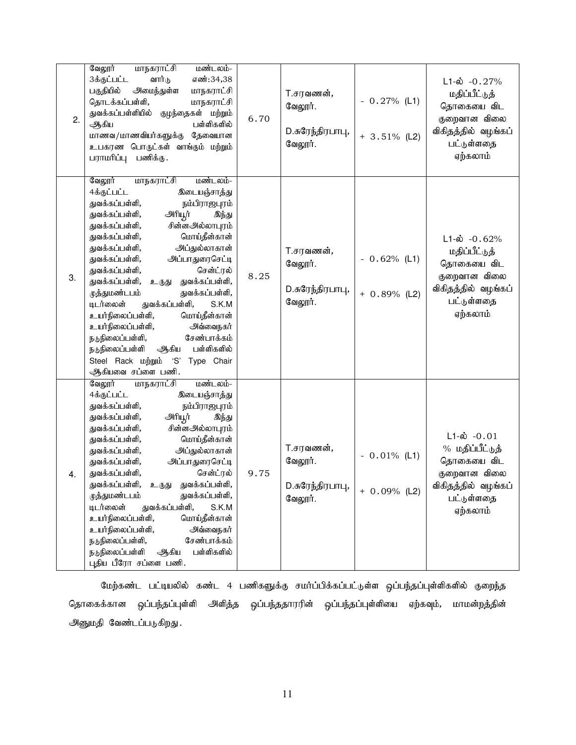| 2. | மாநகராட்சி<br>வேலூர்<br>மண்டலம்-<br>3க்குட்பட்ட<br>வார்டு<br>எண்:34,38<br>பகுதியில்<br>அமைந்துள்ள<br>மாநகராட்சி<br>தொடக்கப்பள்ளி,<br>மாநகராட்சி<br>துவக்கப்பள்ளியில்<br>குழந்தைகள் மற்றும்<br>ஆகிய<br>பள்ளிகளில்<br>மாணவ/மாணவியர்களுக்கு<br>தேவையான<br>உபகரண பொருட்கள் வாங்கும் மற்றும்<br>பராமரிப்பு பணிக்கு.                                                                                                                                                                                                                                                                                                                                                  | 6.70 | T.சரவணன்,<br>வேலூர்.<br>D.சுரேந்திரபாபு,<br>வேலூர். | $-0.27\%$ (L1)<br>$+3.51\%$ (L2) | $L1-\dot{\omega} - 0.27\%$<br>மதிப்பீட்டுத்<br>தொகையை விட<br>குறைவான விலை<br>விகிதத்தில் வழங்கப்<br>பட்டுள்ளதை<br>ஏற்கலாம் |
|----|-----------------------------------------------------------------------------------------------------------------------------------------------------------------------------------------------------------------------------------------------------------------------------------------------------------------------------------------------------------------------------------------------------------------------------------------------------------------------------------------------------------------------------------------------------------------------------------------------------------------------------------------------------------------|------|-----------------------------------------------------|----------------------------------|----------------------------------------------------------------------------------------------------------------------------|
| 3. | வேலூர்<br>மாநகராட்சி<br>மண்டலம்-<br>4க்குட்பட்ட<br>இடையஞ்சாத்து<br>துவக்கப்பள்ளி,<br>நம்பிராஜபுரம்<br>அரியூர்<br>துவக்கப்பள்ளி,<br>இந்து<br>சின்னஅல்லாபுரம்<br>துவக்கப்பள்ளி,<br>மொய்தீன்கான்<br>துவக்கப்பள்ளி,<br>அப்துல்லாகான்<br>துவக்கப்பள்ளி,<br>அப்பாதுரைசெட்டி<br>துவக்கப்பள்ளி,<br>சென்ட்ரல்<br>துவக்கப்பள்ளி,<br>துவக்கப்பள்ளி,<br>துவக்கப்பள்ளி,<br>உருது<br>முத்துமண்டபம்<br>துவக்கப்பள்ளி,<br>டிடர்லைன்<br>துவக்கப்பள்ளி,<br>S.K.M<br>உயர்நிலைப்பள்ளி,<br>மொய்தீன்கான்<br>உயர்நிலைப்பள்ளி,<br>அவ்வைநகர்<br>சேண்பாக்கம்<br>நடுநிலைப்பள்ளி,<br>பள்ளிகளில்<br>நடுநிலைப்பள்ளி<br>ஆகிய<br>Steel Rack ungingub<br>'S'<br>Type Chair<br>ஆிகியவை சப்ளை பணி. | 8.25 | 7.சரவணன்,<br>வேலூர்.<br>D.சுரேந்திரபாபு,<br>வேலூர். | $-0.62%$ (L1)<br>$+ 0.89%$ (L2)  | $L1-\dot{\omega}$ -0.62%<br>மதிப்பீட்டுத்<br>தொகையை விட<br>குறைவான விலை<br>விகிதத்தில் வழங்கப்<br>பட்டுள்ளதை<br>ஏற்கலாம்   |
| 4. | வேலூர்<br>மாநகராட்சி<br>மண்டலம்-<br>4க்குட்பட்ட<br>இடையஞ்சாத்து<br>துவக்கப்பள்ளி,<br>நம்பிராஜபுரம்<br>துவக்கப்பள்ளி,<br>அரியூர்<br>இந்து<br>சின்னஅல்லாபுரம்<br>துவக்கப்பள்ளி,<br>மொய்தீன்கான்<br>துவக்கப்பள்ளி,<br>அப்துல்லாகான்<br>துவக்கப்பள்ளி,<br>அப்பாதுரைசெட்டி<br>துவக்கப்பள்ளி,<br>துவக்கப்பள்ளி,<br>சென்ட்ரல்<br>துவக்கப்பள்ளி,<br>உருது துவக்கப்பள்ளி,<br>முத்துமண்டபம்<br>துவக்கப்பள்ளி,<br>டிடர்லைன்<br>துவக்கப்பள்ளி,<br>S.K.M<br>உயர்நிலைப்பள்ளி,<br>மொய்தீன்கான்<br>உயர்நிலைப்பள்ளி,<br>அவ்வைநகர்<br>நடுநிலைப்பள்ளி,<br>சேண்பாக்கம்<br>பள்ளிகளில்<br>நடுநிலைப்பள்ளி<br>ஆகிய<br>புதிய பீரோ சப்ளை பணி.                                             | 9.75 | T.சரவணன்,<br>வேலூர்.<br>D.சுரேந்திரபாபு,<br>வேலூர். | $-0.01\%$ (L1)<br>$+ 0.09%$ (L2) | $L1-\dot{\omega} - 0.01$<br>% மதிப்பீட்டுத்<br>தொகையை விட<br>குறைவான விலை<br>விகிதத்தில் வழங்கப்<br>பட்டுள்ளதை<br>ஏற்கலாம் |

மேற்கண்ட பட்டியலில் கண்ட 4 பணிகளுக்கு சமா்ப்பிக்கப்பட்டுள்ள ஒப்பந்தப்புள்ளிகளில் குறைந்த தொகைக்கான ஒப்பந்தப்புள்ளி அளித்த ஒப்பந்ததாரரின் ஒப்பந்தப்புள்ளியை ஏற்கவும், மாமன்றத்தின் அனுமதி வேண்டப்படுகிறது.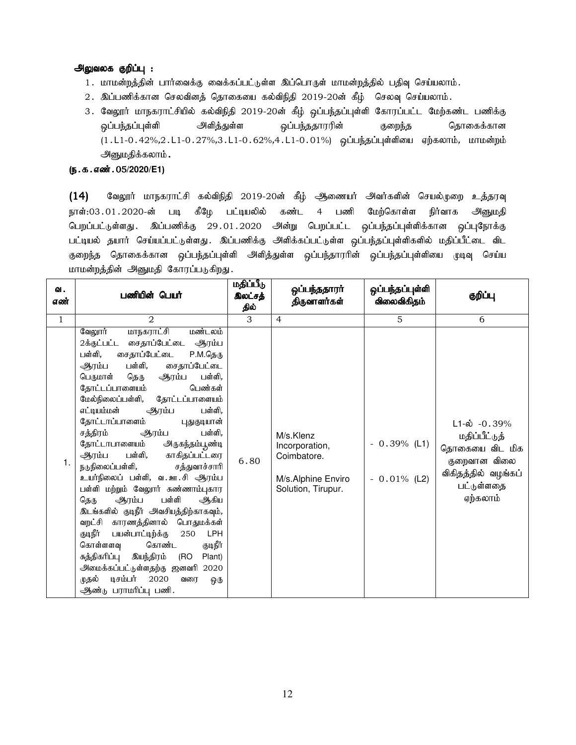# அலுவலக குறிப்பு :

- 1. மாமன்றத்தின் பார்வைக்கு வைக்கப்பட்டுள்ள இப்பொருள் மாமன்றத்தில் பதிவு செய்யலாம்.
- $2.$  இப்பணிக்கான செலவினத் தொகையை கல்விநிதி 2019-20ன் கீழ் செலவு செய்யலாம்.
- 3. வேலூர் மாநகராட்சியில் கல்விநிதி 2019-20ன் கீழ் ஒப்பந்தப்புள்ளி கோரப்பட்ட மேற்கண்ட பணிக்கு xg;ge;jg;g[s;sp mspj;Js;s xg;ge;jjhuupd; Fiwe;j bjhiff;fhd  $(1.L1-0.42\%, 2.L1-0.27\%, 3.L1-0.62\%, 4.L1-0.01\%)$  ஒப்பந்தப்புள்ளியை ஏற்கலாம், மாமன்றம் அனுமதிக்கலாம் .

# (**ந.க.எண்.**05/2020/E1)

 $(14)$  கேலூர் மாநகராட்சி கல்விநிதி 2019-20ன் கீழ் ஆணையர் அவர்களின் செயல்முறை உத்தரவு நாள்:03.01.2020-ன் படி கீழே பட்டியலில் கண்ட 4 பணி மேற்கொள்ள நிர்வாக அனுமதி பெறப்பட்டுள்ளது. இப்பணிக்கு 29.01.2020 அன்று பெறப்பட்ட ஒப்பந்தப்புள்ளிக்கான ஒப்புநோக்கு பட்டியல் தயார் செய்யப்பட்டுள்ளது. இப்பணிக்கு அிிக்கப்பட்டுள்ள ஒப்பந்தப்புள்ளிகளில் மதிப்பீட்டை விட குறைந்த தொகைக்கான ஒப்பந்தப்புள்ளி அளித்துள்ள ஒப்பந்தாரரின் ஒப்பந்தப்புள்ளியை முடிவு செய்ய மாமன்றத்தின் அனுமதி கோரப்படுகிறது.

| ഖ.<br>எண்      | பணியின் பெயர்                                                                                                                                                                                                                                                                                                                                                                                                                                                                                                                                                                                                                                                                                                                                                                                                                                                                                    | மதிப்பீடு<br>இலட்சத்<br>தில் | ஒப்பந்ததாரா்<br>திருவாளர்கள்                                                           | ஒப்பந்தப்புள்ளி<br>விலைவிகிதம்   | குறிப்பு                                                                                                                     |
|----------------|--------------------------------------------------------------------------------------------------------------------------------------------------------------------------------------------------------------------------------------------------------------------------------------------------------------------------------------------------------------------------------------------------------------------------------------------------------------------------------------------------------------------------------------------------------------------------------------------------------------------------------------------------------------------------------------------------------------------------------------------------------------------------------------------------------------------------------------------------------------------------------------------------|------------------------------|----------------------------------------------------------------------------------------|----------------------------------|------------------------------------------------------------------------------------------------------------------------------|
| $\overline{1}$ | $\mathcal{D}_{\mathcal{L}}$                                                                                                                                                                                                                                                                                                                                                                                                                                                                                                                                                                                                                                                                                                                                                                                                                                                                      | 3                            | $\overline{4}$                                                                         | 5                                | 6                                                                                                                            |
| 1.             | வேலூர்<br>மாநகராட்சி<br>மண்டலம்<br>2க்குட்பட்ட சைதாப்பேட்டை ஆரம்ப<br>பள்ளி,<br>சைதாப்பேட்டை<br>P.M.தெரு<br>பள்ளி,<br>சைதாப்பேட்டை<br>ஆரம்ப<br>பள்ளி,<br>பெருமாள்<br>தெரு<br>ஆரம்ப<br>தோட்டப்பாளையம்<br>பெண்கள்<br>மேல்நிலைப்பள்ளி,<br>தோட்டப்பாளையம்<br>எட்டியம்மன்<br>பள்ளி,<br>ஆரம்ப<br>தோட்டாப்பாளைம்<br>புதுகுடியான்<br>சத்திரம்<br>பள்ளி.<br>ஆரம்ப<br>தோட்டாபாளையம்<br>அருகந்தம்பூண்டி<br>ஆரம்ப பள்ளி,<br>காகிதப்பட்டரை<br>நடுநிலைப்பள்ளி,<br>சத்துவாச்சாரி<br>உயர்நிலைப் பள்ளி, வ.ஊ.சி ஆரம்ப<br>பள்ளி மற்றும் வேலூர் சுண்ணாம்புகார<br>ஆரம்ப<br>பள்ளி<br>ஆகிய<br>தெரு<br>இடங்களில் குடிநீர் அவசியத்திற்காகவும்,<br>வறட்சி காரணத்தினால் பொதுமக்கள்<br>குடிநீர்<br>பயன்பாட்டிற்க்கு<br>250<br><b>LPH</b><br>கொள்ளளவு<br>கொண்ட<br>குடிநீர்<br>சுத்திகரிப்பு இயந்திரம்<br>(RO<br>Plant)<br>அமைக்கப்பட்டுள்ளதற்கு ஜனவரி 2020<br>டிசம்பர்<br>2020<br>முதல்<br>வரை<br>ஒரு<br>ஆண்டு பராமரிப்பு பணி. | 6.80                         | M/s.Klenz<br>Incorporation,<br>Coimbatore.<br>M/s.Alphine Enviro<br>Solution, Tirupur. | $-0.39\%$ (L1)<br>$-0.01\%$ (L2) | $L1-\dot{\omega}$ -0.39%<br>மதிப்பீட்டுத்<br>தொகையை விட மிக<br>குறைவான விலை<br>விகிதத்தில் வழங்கப்<br>பட்டுள்ளதை<br>ஏற்கலாம் |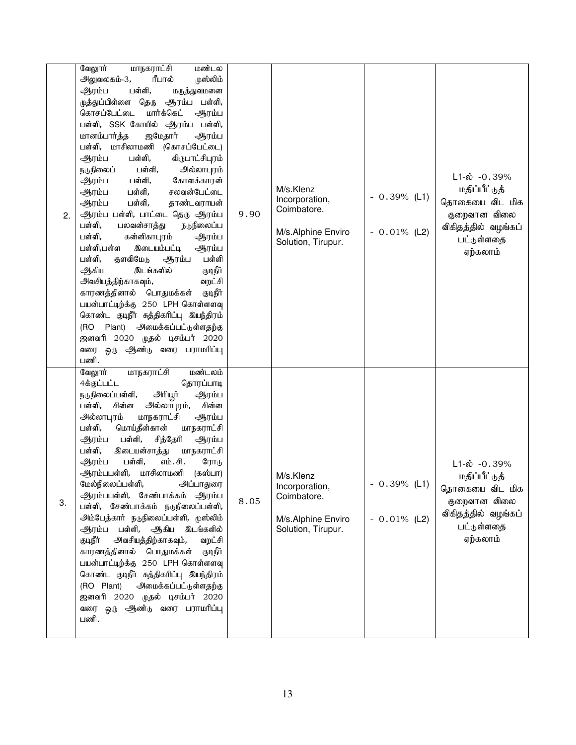| 2. | அலுவலகம்-3,<br>ரீபால்<br>முஸ்லிம்<br>பள்ளி,<br>ஆரம்ப<br>மருத்துவமனை<br>முத்துப்பிள்ளை தெரு ஆரம்ப பள்ளி,<br>கொசப்பேட்டை<br>மார்க்கெட்<br>ஆரம்ப<br>பள்ளி, SSK கோயில் ஆரம்ப பள்ளி,<br>மானம்பார்த்த<br>ஜமேதார்<br>ஆரம்ப<br>பள்ளி, மாசிலாமணி<br>(கொசப்பேட்டை)<br>பள்ளி,<br>ஆரம்ப<br>விருபாட்சிபுரம்<br>நடுநிலைப்<br>பள்ளி,<br>அல்லாபுரம்<br>கோளக்காரன்<br>பள்ளி,<br>ஆரம்ப<br>பள்ளி,<br>சலவன்பேட்டை<br>ஆரம்ப<br>பள்ளி,<br>தாண்டவராயன்<br>ஆரம்ப<br>ஆரம்ப பள்ளி, பாட்டை தெரு ஆரம்ப<br>பள்ளி,<br>பலவன்சாத்து<br>நடுநிலைப்ப<br>பள்ளி,<br>கன்னிகாபுரம்<br>ஆரம்ப<br>பள்ளி,பள்ள<br>இடையம்பட்டி<br>ஆரம்ப<br>பள்ளி,<br>குளவிமேடு<br>பள்ளி<br>ஆரம்ப<br>இடங்களில்<br>குடிநீர்<br>ஆகிய<br>அவசியத்திற்காகவும்,<br>வறட்சி<br>காரணத்தினால் பொதுமக்கள்<br>குடிநீர்<br>பயன்பாட்டிற்க்கு 250 LPH கொள்ளளவு<br>கொண்ட குடிநீர் சுத்திகரிப்பு இயந்திரம்<br>(RO Plant) அமைக்கப்பட்டுள்ளதற்கு<br>ஜனவரி 2020 முதல் டிசம்பர் 2020<br>வரை ஒரு ஆண்டு வரை பராமரிப்பு<br>பணி.<br>வேலூர்<br>மாநகராட்சி<br>மண்டலம் | 9.90 | M/s.Klenz<br>Incorporation,<br>Coimbatore.<br>M/s.Alphine Enviro<br>Solution, Tirupur. | $-0.39\%$ (L1)<br>$-0.01\%$ (L2) | $L1-\dot{\omega}$ -0.39%<br>மதிப்பீட்டுத்<br>தொகையை விட மிக<br>குறைவான விலை<br>விகிதத்தில் வழங்கப்<br>பட்டுள்ளதை<br>ஏற்கலாம் |
|----|------------------------------------------------------------------------------------------------------------------------------------------------------------------------------------------------------------------------------------------------------------------------------------------------------------------------------------------------------------------------------------------------------------------------------------------------------------------------------------------------------------------------------------------------------------------------------------------------------------------------------------------------------------------------------------------------------------------------------------------------------------------------------------------------------------------------------------------------------------------------------------------------------------------------------------------------------------------------------|------|----------------------------------------------------------------------------------------|----------------------------------|------------------------------------------------------------------------------------------------------------------------------|
| 3. | 4க்குட்பட்ட<br>தொரப்பாடி<br>அரியூர்<br>நடுநிலைப்பள்ளி,<br>ஆரம்ப<br>சின்ன<br>அல்லாபுரம்,<br>சின்ன<br>பள்ளி,<br>அல்லாபுரம்<br>மாநகராட்சி<br>ஆரம்ப<br>மொய்தீன்கான்<br>பள்ளி,<br>மாநகராட்சி<br>பள்ளி,<br>ஆரம்ப<br>சித்தேரி<br>ஆரம்ப<br>பள்ளி,<br>இடையன்சாத்து<br>மாநகராட்சி<br>பள்ளி,<br>எம்.சி.<br>ஆரம்ப<br>ரோடு<br>ஆரம்பபள்ளி, மாசிலாமணி (கஸ்பா)<br>மேல்நிலைப்பள்ளி, அப்பாதுரை<br>ஆரம்பபள்ளி, சேண்பாக்கம் ஆரம்ப<br>பள்ளி, சேண்பாக்கம் நடுநிலைப்பள்ளி,<br>அம்பேத்கார் நடுநிலைப்பள்ளி, முஸ்லிம்<br>ஆரம்ப பள்ளி, ஆகிய இடங்களில்<br>குடிநீர்<br>அவசியத்திற்காகவும்,<br>வறட்சி<br>காரணத்தினால் பொதுமக்கள்<br>குடிநீர்<br>பயன்பாட்டிற்க்கு 250 LPH கொள்ளளவு<br>கொண்ட குடிநீர் சுத்திகரிப்பு இயந்திரம்<br>(RO Plant)<br>அமைக்கப்பட்டுள்ளதற்கு<br>ஜனவரி 2020 முதல் டிசம்பர் 2020<br>வரை ஒரு ஆண்டு வரை பராமரிப்பு<br>பணி.                                                                                                                                                               | 8.05 | M/s.Klenz<br>Incorporation,<br>Coimbatore.<br>M/s.Alphine Enviro<br>Solution, Tirupur. | $0.39\%$ (L1)<br>$-0.01\%$ (L2)  | $L1-\dot{\omega}$ -0.39%<br>மதிப்பீட்டுத்<br>தொகையை விட மிக<br>குறைவான விலை<br>விகிதத்தில் வழங்கப்<br>பட்டுள்ளதை<br>ஏற்கலாம் |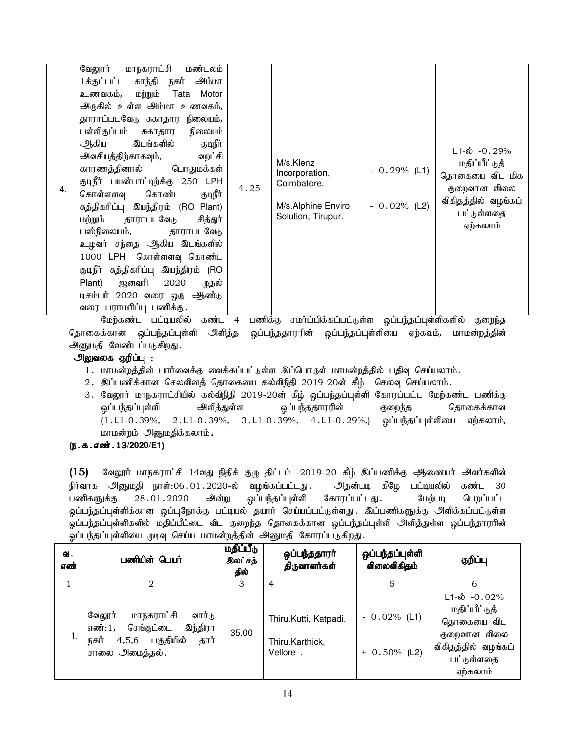| 4. | <u>மாநகராட்சி மண்டலம்</u><br>வேலூர்<br>1க்குட்பட்ட காந்தி நகர் அம்மா<br>உணவகம், மற்றும் Tata Motor<br>அருகில் உள்ள அம்மா உணவகம்,<br>தாராப்படவேடு சுகாதார நிலையம்,<br>பள்ளிகுப்பம் சுகாதார<br>நிலையம்<br>குடிநீர்<br>ஆகிய இடங்களில்<br>அவசியத்திற்காகவும்,<br>வறட்சி<br>காரணத்தினால் பொதுமக்கள்<br>குடிநீர் பயன்பாட்டிற்க்கு 250 LPH<br>குடிநீர்<br>கொள்ளளவு கொண்ட<br>சுத்திகரிப்பு இயந்திரம் (RO Plant)<br>மற்றும் தாராபடவேடு<br>சித்துர்<br>பஸ்நிலையம், தாராபடவேடு<br>உழவர் சந்தை ஆகிய இடங்களில்<br>1000 LPH கொள்ளளவு கொண்ட<br>குடிநீர் சுத்திகரிப்பு இயந்திரம் (RO<br>Plant) ஜனவரி 2020<br>முதல்<br>டிசம்பர் 2020 வரை ஒரு ஆண்டு<br>வரை பராமரிப்பு பணிக்கு. | 4.25 | M/s.Klenz<br>Incorporation,<br>Coimbatore.<br>M/s.Alphine Enviro<br>Solution, Tirupur. | $-0.29%$ (L1)<br>$-0.02%$ (L2) | $L1-\dot{\omega}$ -0.29%<br>மதிப்பீட்டுத்<br>தொகையை விட மிக<br>குறைவான விலை<br>விகிதத்தில் வழங்கப்<br>பட்டுள்ளதை<br>ஏற்கலாம் |
|----|--------------------------------------------------------------------------------------------------------------------------------------------------------------------------------------------------------------------------------------------------------------------------------------------------------------------------------------------------------------------------------------------------------------------------------------------------------------------------------------------------------------------------------------------------------------------------------------------------------------------------------------------------------------|------|----------------------------------------------------------------------------------------|--------------------------------|------------------------------------------------------------------------------------------------------------------------------|
|----|--------------------------------------------------------------------------------------------------------------------------------------------------------------------------------------------------------------------------------------------------------------------------------------------------------------------------------------------------------------------------------------------------------------------------------------------------------------------------------------------------------------------------------------------------------------------------------------------------------------------------------------------------------------|------|----------------------------------------------------------------------------------------|--------------------------------|------------------------------------------------------------------------------------------------------------------------------|

மேற்கண்ட பட்டியலில் கண்ட 4 பணிக்கு சமர்ப்பிக்கப்பட்டுள்ள ஒப்பந்தப்புள்ளிகளில் குறைந்த தொகைக்கான ஒப்பந்தப்புள்ளி அளித்த ஒப்பந்ததாரரின் ஒப்பந்தப்புள்ளியை ஏற்கவும், மாமன்றத்தின் அனுமதி வேண்டப்படுகிறது.

# அலுவலக குறிப்பு :

- 1. மாமன்றத்தின் பார்வைக்கு வைக்கப்பட்டுள்ள இப்பொருள் மாமன்றத்தில் பதிவு செய்யலாம்.
- 2. இப்பணிக்கான செலவினத் தொகையை கல்விநிதி 2019-20ன் கீழ் செலவு செய்யலாம்.
- 3. வேலூர் மாநகராட்சியில் கல்விநிதி 2019-20ன் கீழ் ஒப்பந்தப்புள்ளி கோரப்பட்ட மேற்கண்ட பணிக்கு xg;ge;jg;g[s;sp mspj;Js;s xg;ge;jjhuupd; Fiwe;j bjhiff;fhd  $(1.L1-0.39\%, 2.L1-0.39\%, 3.L1-0.39\%, 4.L1-0.29\%)$  ஓப்பந்தப்புள்ளியை ஏற்கலாம், மாமன்றம் அனுமதிக்கலாம்.

# (ந.க.எண். 13/2020/E1)

 $(15)$  வேலூர் மாநகராட்சி 14வது நிதிக் குழு திட்டம் -2019-20 கீழ் இப்பணிக்கு ஆணையர் அவர்களின் நிர்வாக அனுமதி நாள்:06.01.2020-ல் வழங்கப்பட்டது. அதன்படி கீழே பட்டியலில் கண்ட 30 பணிகளுக்கு 28.01.2020 அன்று ஒப்பந்தப்புள்ளி கோரப்பட்டது. மேற்படி பெறப்பட்ட .<br>ஒப்பந்தப்புள்ளிக்கான ஒப்புநோக்கு பட்டியல் தயார் செய்யப்பட்டுள்ளது. இப்பணிகளுக்கு அளிக்கப்பட்டுள்ள .<br>ஒப்பந்தப்புள்ளிகளில் மதிப்பீட்டை விட குறைந்த தொகைக்கான ஒப்பந்தப்புள்ளி அளித்துள்ள ஒப்பந்தாரரின் ஒப்பந்தப்புள்ளியை முடிவு செய்ய மாமன்றத்தின் அனுமதி கோரப்படுகிறது.

| ഖ.<br>எண் | பணியின் பெயர்                                                                                                       | மதிப்பீடு<br>இலட்சத்<br>தில் | ஒப்பந்ததாரா்<br>திருவாளர்கள்                         | ஒப்பந்தப்புள்ளி<br>விலைவிகிதம்    | குறிப்பு                                                                                                                 |
|-----------|---------------------------------------------------------------------------------------------------------------------|------------------------------|------------------------------------------------------|-----------------------------------|--------------------------------------------------------------------------------------------------------------------------|
|           |                                                                                                                     | 3                            | 4                                                    | 5                                 |                                                                                                                          |
|           | மாநகராட்சி<br>வேலூர்<br>வார்டு<br>செங்குட்டை இந்திரா<br>எண்:1.<br>4,5,6 பகுதியில்<br>தார்<br>நகர்<br>சாலை அமைத்தல். | 35.00                        | Thiru.Kutti, Katpadi.<br>Thiru.Karthick,<br>Vellore. | $-0.02\%$ (L1)<br>$+ 0.50\%$ (L2) | $L1-\dot{\omega}$ -0.02%<br>மதிப்பீட்டுத்<br>தொகையை விட<br>குறைவான விலை<br>விகிதத்தில் வழங்கப்<br>பட்டுள்ளதை<br>ஏற்கலாம் |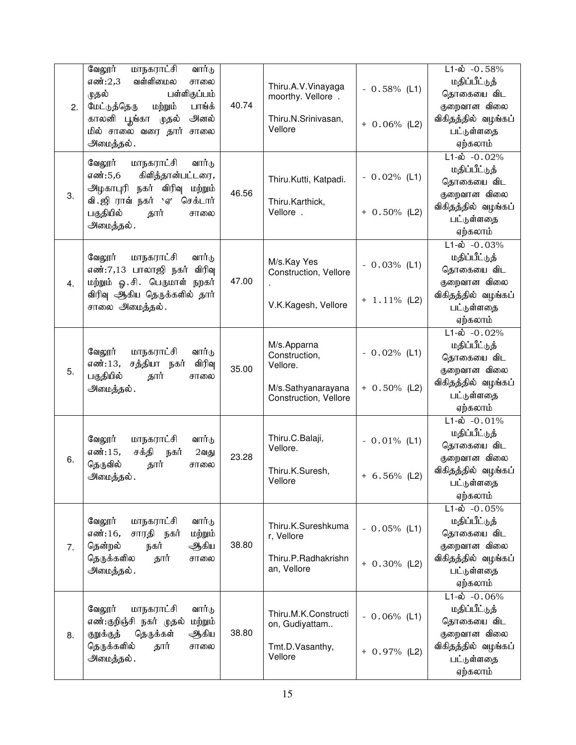| 2. | வேலூர்<br>மாநகராட்சி<br>வார்டு<br>வள்ளிமைல<br>எண்:2,3<br>சாலை<br>பள்ளிகுப்பம்<br>முதல்<br>மேட்டுத்தெரு<br>பாங்க்<br>மற்றும்<br>காலனி பூங்கா<br>அனல்<br>முதல்<br>மில் சாலை வரை தார் சாலை<br>அமைத்தல். | 40.74 | Thiru.A.V.Vinayaga<br>moorthy. Vellore.<br>Thiru.N.Srinivasan,<br>Vellore               | $-0.58\%$ (L1)<br>$+ 0.06\%$ (L2) | $L1 - \dot{\omega}$ - 0.58%<br>மதிப்பீட்டுத்<br>தொகையை விட<br>குறைவான விலை<br>விகிதத்தில் வழங்கப்<br>பட்டுள்ளதை<br>ஏற்கலாம்  |
|----|------------------------------------------------------------------------------------------------------------------------------------------------------------------------------------------------------|-------|-----------------------------------------------------------------------------------------|-----------------------------------|------------------------------------------------------------------------------------------------------------------------------|
| 3. | வேலூர்<br>மாநகராட்சி<br>வார்டு<br>எண்:5,6<br>கிளித்தான்பட்டரை,<br>நகர் விரிவு மற்றும்<br>அழகாபுரி<br>வி. ஜி ராவ் நகர் `ஏ′<br>செக்டார்<br>பகுதியில்<br>தார்<br>சாலை<br>அமைத்தல்.                      | 46.56 | Thiru.Kutti, Katpadi.<br>Thiru.Karthick,<br>Vellore.                                    | $-0.02%$ (L1)<br>$+ 0.50\%$ (L2)  | $L1-\dot{\omega} - 0.02\%$<br>மதிப்பீட்டுத்<br>தொகையை விட<br>குறைவான விலை<br>விகிதத்தில் வழங்கப்<br>பட்டுள்ளதை<br>ஏற்கலாம்   |
| 4. | வேலூர்<br>மாநகராட்சி<br>வார்டு<br>எண்:7,13 பாலாஜி நகர்<br>விரிவு<br>மற்றும் ஓ.சி. பெருமாள்<br>நறகர்<br>விரிவு ஆகிய தெருக்களில் தார்<br>சாலை அமைத்தல்.                                                | 47.00 | M/s.Kay Yes<br>Construction, Vellore<br>V.K.Kagesh, Vellore                             | $-0.03%$ (L1)<br>$+ 1.11\%$ (L2)  | $L1-\dot{\omega} - 0.03\%$<br>மதிப்பீட்டுத்<br>தொகையை விட<br>குறைவான விலை<br>விகிதத்தில் வழங்கப்<br>பட்டுள்ளதை<br>ஏற்கலாம்   |
| 5. | வேலூர்<br>மாநகராட்சி<br>வார்டு<br>சத்தியா<br>விரிவு<br>எண்:13,<br>நகர்<br>பகுதியில்<br>தார்<br>சாலை<br>அமைத்தல்.                                                                                     | 35.00 | M/s.Apparna<br>Construction,<br>Vellore.<br>M/s.Sathyanarayana<br>Construction, Vellore | $-0.02%$ (L1)<br>$+ 0.50\%$ (L2)  | $L1 - \dot{\omega} - 0.02\%$<br>மதிப்பீட்டுத்<br>தொகையை விட<br>குறைவான விலை<br>விகிதத்தில் வழங்கப்<br>பட்டுள்ளதை<br>ஏற்கலாம் |
| 6. | வேலூர்<br>மாநகராட்சி<br>வார்டு<br>எண்:15,<br>சக்தி<br>நகர்<br>$2$ வது<br>தெருவில்<br>தார்<br>சாலை<br>அமைத்தல்.                                                                                       | 23.28 | Thiru.C.Balaji,<br>Vellore.<br>Thiru.K.Suresh,<br>Vellore                               | $-0.01\%$ (L1)<br>$+ 6.56\%$ (L2) | $L1-\dot{\omega} - 0.01\%$<br>மதிப்பீட்டுத்<br>தொகையை விட<br>குறைவான விலை<br>விகிதத்தில் வழங்கப்<br>பட்டுள்ளதை<br>ஏற்கலாம்   |
| 7. | வேலூர்<br>மாநகராட்சி<br>வார்டு<br>சாரதி நகர்<br>எண்:16,<br>மற்றும்<br>தென்றல்<br>நகர்<br>ஆிகிய<br>தெருக்களில<br>தார்<br>சாலை<br>அமைத்தல்.                                                            | 38.80 | Thiru.K.Sureshkuma<br>r, Vellore<br>Thiru.P.Radhakrishn<br>an, Vellore                  | $-0.05\%$ (L1)<br>$+ 0.30\%$ (L2) | $L1-\text{ab}$ -0.05%<br>மதிப்பீட்டுத்<br>தொகையை விட<br>குறைவான விலை<br>விகிதத்தில் வழங்கப்<br>பட்டுள்ளதை<br>ஏற்கலாம்        |
| 8. | வேலூர்<br>மாநகராட்சி<br>வார்டு<br>எண்:குறிஞ்சி நகர் முதல்<br>மற்றும்<br>குறுக்குத்<br>தெருக்கள்<br>ஆகிய<br>தெருக்களில்<br>தார்<br>சாலை<br>அமைத்தல்.                                                  | 38.80 | Thiru.M.K.Constructi<br>on, Gudiyattam<br>Tmt.D.Vasanthy,<br>Vellore                    | $-0.06\%$ (L1)<br>$+ 0.97\%$ (L2) | $L1 - \dot{\omega} - 0.06\%$<br>மதிப்பீட்டுத்<br>தொகையை விட<br>குறைவான விலை<br>விகிதத்தில் வழங்கப்<br>பட்டுள்ளதை<br>ஏற்கலாம் |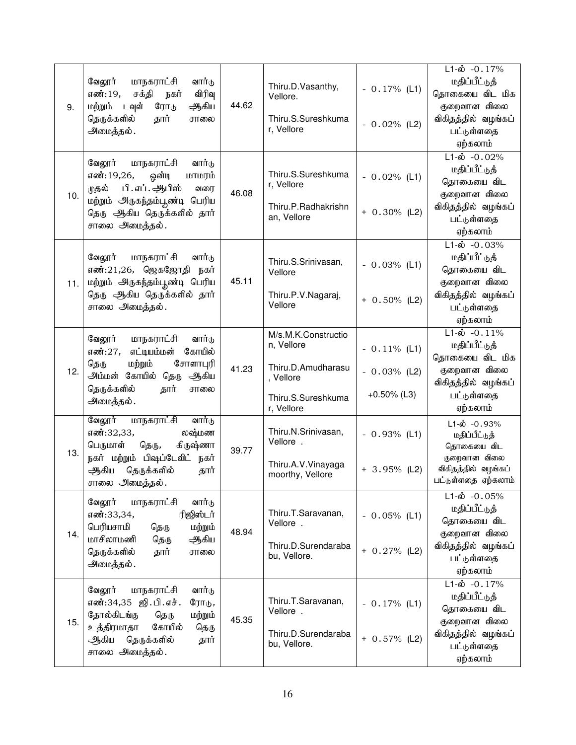|     |                                                             |       |                                     |                 | $L1-\dot{\omega}$ -0.17%            |
|-----|-------------------------------------------------------------|-------|-------------------------------------|-----------------|-------------------------------------|
|     | வேலூர்<br>மாநகராட்சி<br>வார்டு                              |       | Thiru.D.Vasanthy,                   |                 | மதிப்பீட்டுத்                       |
|     | எண்:19,<br>சக்தி<br>விரிவு<br>நகர்                          |       | Vellore.                            | $-0.17%$ (L1)   | தொகையை விட மிக                      |
| 9.  | ஆகிய<br>மற்றும்<br>டவுள்<br>ரோடு                            | 44.62 |                                     |                 | குறைவான விலை                        |
|     | தெருக்களில்<br>தார்<br>சாலை                                 |       | Thiru.S.Sureshkuma                  |                 | விகிதத்தில் வழங்கப்                 |
|     | அமைத்தல்.                                                   |       | r, Vellore                          | $-0.02%$ (L2)   | பட்டுள்ளதை                          |
|     |                                                             |       |                                     |                 | ஏற்கலாம்                            |
|     |                                                             |       |                                     |                 | $L1-\dot{\omega} - 0.02\%$          |
|     | வேலூர்<br>மாநகராட்சி<br>வார்டு                              |       |                                     |                 | மதிப்பீட்டுத்                       |
|     | எண்:19,26,<br>ஒன்டி<br>மாமரம்                               |       | Thiru.S.Sureshkuma<br>r, Vellore    | $-0.02%$ (L1)   | தொகையை விட                          |
| 10. | பி.எப். ஆபிஸ்<br>முதல்<br>வரை                               | 46.08 |                                     |                 | குறைவான விலை                        |
|     | மற்றும் அருகந்தம்பூண்டி பெரிய                               |       | Thiru.P.Radhakrishn                 |                 | விகிதத்தில் வழங்கப்                 |
|     | தெரு ஆகிய தெருக்களில் தார்                                  |       | an, Vellore                         | $+ 0.30\%$ (L2) | பட்டுள்ளதை                          |
|     | சாலை அமைத்தல்.                                              |       |                                     |                 | ஏற்கலாம்                            |
|     |                                                             |       |                                     |                 | $L1-\dot{\omega} - 0.03\%$          |
|     | வேலூர்<br>மாநகராட்சி<br>வார்டு                              |       |                                     |                 | மதிப்பீட்டுத்                       |
|     | எண்:21,26, ஜெகஜோதி<br>நகர்                                  |       | Thiru.S.Srinivasan,                 | $-0.03%$ (L1)   | தொகையை விட                          |
|     |                                                             | 45.11 | Vellore                             |                 | குறைவான விலை                        |
| 11. | மற்றும் அருகந்தம்பூண்டி பெரிய<br>தெரு ஆகிய தெருக்களில் தார் |       | Thiru.P.V.Nagaraj,                  |                 | விகிதத்தில் வழங்கப்                 |
|     |                                                             |       | Vellore                             | $+ 0.50\%$ (L2) | பட்டுள்ளதை                          |
|     | சாலை அமைத்தல்.                                              |       |                                     |                 | ஏற்கலாம்                            |
|     |                                                             |       |                                     |                 | $L1-\hat{\omega}$ -0.11%            |
|     | வேலூர்<br>மாநகராட்சி<br>வார்டு                              |       | M/s.M.K.Constructio                 |                 |                                     |
|     | எட்டியம்மன்<br>கோயில்<br>எண்:27,                            |       | n, Vellore                          | $-0.11\%$ (L1)  | மதிப்பீட்டுத்                       |
|     | மற்றும்<br>சோளாபுரி<br>தெரு                                 | 41.23 | Thiru.D.Amudharasu                  |                 | தொகையை விட மிக                      |
| 12. | அம்மன் கோயில் தெரு<br>ஆகிய                                  |       | , Vellore                           | $-0.03%$ (L2)   | குறைவான விலை                        |
|     | தெருக்களில்<br>தார்<br>சாலை                                 |       |                                     |                 | விகிதத்தில் வழங்கப்                 |
|     | அமைத்தல்.                                                   |       | Thiru.S.Sureshkuma                  | $+0.50\%$ (L3)  | பட்டுள்ளதை                          |
|     |                                                             |       | r, Vellore                          |                 | ஏற்கலாம்                            |
|     | வேலூர்<br>மாநகராட்சி<br>வார்டு                              |       | Thiru.N.Srinivasan,                 |                 | $L1-\dot{\omega}$ -0.93%            |
|     | லஷ்மண<br>எண்:32,33,                                         |       | Vellore.                            | $-0.93%$ (L1)   | மதிப்பீட்டுத்                       |
| 13. | பெருமாள்<br>தெரு,<br>கிருஷ்ணா                               | 39.77 |                                     |                 | தொகையை விட                          |
|     | நகர் மற்றும் பிஷப்டேவிட் நகர்                               |       | Thiru.A.V.Vinayaga                  | $+ 3.95\%$ (L2) | குறைவான விலை<br>விகிதத்தில் வழங்கப் |
|     | தெருக்களில்<br>ஆகிய<br>தார்                                 |       | moorthy, Vellore                    |                 | பட்டுள்ளதை ஏற்கலாம்                 |
|     | சாலை அமைத்தல்.                                              |       |                                     |                 |                                     |
|     | வேலூர்<br>மாநகராட்சி<br>வார்டு                              |       |                                     |                 | $L1-\dot{\omega}$ -0.05%            |
|     | எண்:33,34,<br>ரிஜிஸ்டர்                                     |       | Thiru.T.Saravanan,                  | $-0.05%$ (L1)   | மதிப்பீட்டுத்                       |
|     | பெரியசாமி<br>மற்றும்<br>தெரு                                | 48.94 | Vellore.                            |                 | தொகையை விட                          |
| 14. | மாசிலாமணி<br>ஆகிய<br>தெரு                                   |       |                                     |                 | குறைவான விலை                        |
|     | தெருக்களில்<br>தார்<br>சாலை                                 |       | Thiru.D.Surendaraba<br>bu, Vellore. | $+ 0.27%$ (L2)  | விகிதத்தில் வழங்கப்                 |
|     | அமைத்தல்.                                                   |       |                                     |                 | பட்டுள்ளதை                          |
|     |                                                             |       |                                     |                 | ஏற்கலாம்                            |
|     | வேலூர்<br>மாநகராட்சி<br>வார்டு                              |       |                                     |                 | $L1-\dot{\omega} - 0.17\%$          |
|     | எண்:34,35 ஜி.பி.எச்.<br>ரோடு,                               |       | Thiru.T.Saravanan,                  | $-0.17%$ (L1)   | மதிப்பீட்டுத்                       |
|     | தோல்கிடங்கு<br>மற்றும்<br>தெரு                              | 45.35 | Vellore.                            |                 | தொகையை விட                          |
| 15. | கோயில்<br>உத்திரமாதா<br>தெரு                                |       |                                     |                 | குறைவான விலை                        |
|     | தெருக்களில்<br>ஆகிய<br>தார்                                 |       | Thiru.D.Surendaraba<br>bu, Vellore. | $+ 0.57\%$ (L2) | விகிதத்தில் வழங்கப்                 |
|     | சாலை அமைத்தல்.                                              |       |                                     |                 | பட்டுள்ளதை                          |
|     |                                                             |       |                                     |                 | ஏற்கலாம்                            |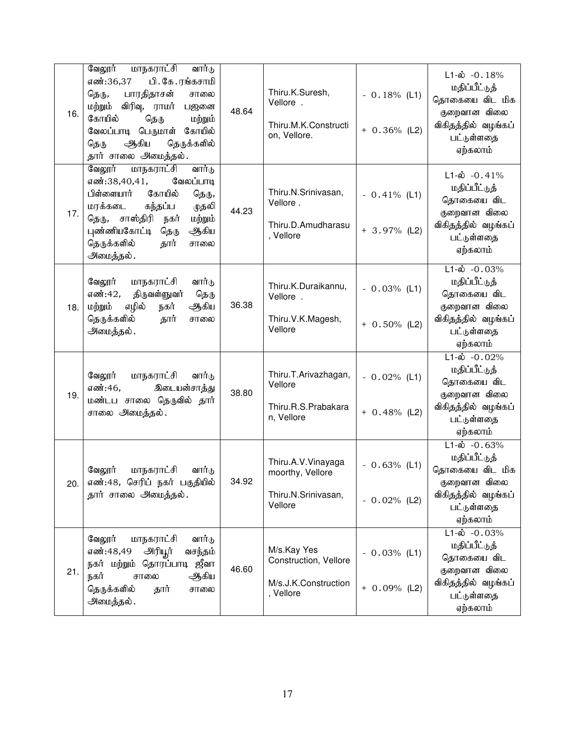| 16. | வேலூர்<br><u>மாநகராட்சி</u><br>வார்டு<br>எண்:36,37<br>பி. கே.ரங்கசாமி<br>பாரதிதாசன்<br>தெரு,<br>சாலை<br>மற்றும் விரிவு, ராமர்<br>பஜனை<br>கோயில்<br>தெரு<br>மற்றும்<br>வேலப்பாடி பெருமாள்<br>கோயில்<br>ஆகிய<br>தெருக்களில்<br>தெரு<br>தார் சாலை அமைத்தல். | 48.64 | Thiru.K.Suresh,<br>Vellore.<br>Thiru.M.K.Constructi<br>on, Vellore.       | $-0.18%$ (L1)<br>$+ 0.36\%$ (L2)  | $L1-\omega$ -0.18%<br>மதிப்பீட்டுத்<br>தொகையை விட மிக<br>குறைவான விலை<br>விகிதத்தில் வழங்கப்<br>பட்டுள்ளதை<br>ஏற்கலாம்         |
|-----|----------------------------------------------------------------------------------------------------------------------------------------------------------------------------------------------------------------------------------------------------------|-------|---------------------------------------------------------------------------|-----------------------------------|--------------------------------------------------------------------------------------------------------------------------------|
| 17. | வேலூர்<br>வார்டு<br>மாநகராட்சி<br>எண்:38,40,41,<br>வேலப்பாடி<br>பிள்ளையார்<br>கோயில்<br>தெரு,<br>கந்தப்ப<br>மரக்கடை<br>முதலி<br>தெரு, சாஸ்திரி<br>மற்றும்<br>நகர்<br>புண்ணியகோட்டி<br>ஆகிய<br>தெரு<br>தெருக்களில்<br>தார்<br>சாலை<br>அமைத்தல்.           | 44.23 | Thiru.N.Srinivasan,<br>Vellore.<br>Thiru.D.Amudharasu<br>, Vellore        | $-0.41\%$ (L1)<br>$+ 3.97\%$ (L2) | $L1-\dot{\omega}$ -0.41%<br>மதிப்பீட்டுத்<br>தொகையை விட<br>குறைவான விலை<br>விகிதத்தில் வழங்கப்<br>பட்டுள்ளதை<br>ஏற்கலாம்       |
| 18. | வேலூர்<br>மாநகராட்சி<br>வார்டு<br>எண்:42,<br>திருவள்ளுவர்<br>தெரு<br>எழில்<br>மற்றும்<br>நகர்<br>ஆகிய<br>தெருக்களில்<br>தார்<br>சாலை<br>அமைத்தல்.                                                                                                        | 36.38 | Thiru.K.Duraikannu,<br>Vellore.<br>Thiru.V.K.Magesh,<br>Vellore           | $-0.03\%$ (L1)<br>$+ 0.50\%$ (L2) | $L1-\dot{\omega} - 0.03\%$<br>மதிப்பீட்டுத்<br>தொகையை விட<br>குறைவான விலை<br>விகிதத்தில் வழங்கப்<br>பட்டுள்ளதை<br>ஏற்கலாம்     |
| 19. | வேலூர்<br>மாநகராட்சி<br>வார்டு<br>எண்:46,<br>இடையன்சாத்து<br>மண்டப சாலை தெருவில் தார்<br>சாலை அமைத்தல்.                                                                                                                                                  | 38.80 | Thiru.T.Arivazhagan,<br>Vellore<br>Thiru.R.S.Prabakara<br>n, Vellore      | $-0.02%$ (L1)<br>$+ 0.48%$ (L2)   | $L1-\dot{\omega}$ -0.02%<br>மதிப்பீட்டுத்<br>தொகையை விட<br>குறைவான விலை<br>விகிதத்தில் வழங்கப்<br>பட்டுள்ளதை<br>ஏற்கலாம்       |
| 20. | மாநகராட்சி<br>வேலூர்<br>வார்டு<br>எண்:48, செரிப் நகர் பகுதியில்<br>தார் சாலை அமைத்தல்.                                                                                                                                                                   | 34.92 | Thiru.A.V.Vinayaga<br>moorthy, Vellore<br>Thiru.N.Srinivasan,<br>Vellore  | $-0.63%$ (L1)<br>$-0.02%$ (L2)    | $L1-\dot{\omega} - 0.63\%$<br>மதிப்பீட்டுத்<br>தொகையை விட மிக<br>குறைவான விலை<br>விகிதத்தில் வழங்கப்<br>பட்டுள்ளதை<br>ஏற்கலாம் |
| 21. | வேலூர்<br>மாநகராட்சி<br>வார்டு<br>எண்:48,49<br>அரியூர்<br>வசந்தம்<br>நகர் மற்றும்<br>தொரப்பாடி ஜீவா<br>ஆகிய<br>நகர்<br>சாலை<br>தெருக்களில்<br>தார்<br>சாலை<br>அமைத்தல்.                                                                                  | 46.60 | M/s.Kay Yes<br>Construction, Vellore<br>M/s.J.K.Construction<br>, Vellore | $-0.03%$ (L1)<br>$+ 0.09%$ (L2)   | $L1-\dot{\omega} - 0.03\%$<br>மதிப்பீட்டுத்<br>தொகையை விட<br>குறைவான விலை<br>விகிதத்தில் வழங்கப்<br>பட்டுள்ளதை<br>ஏற்கலாம்     |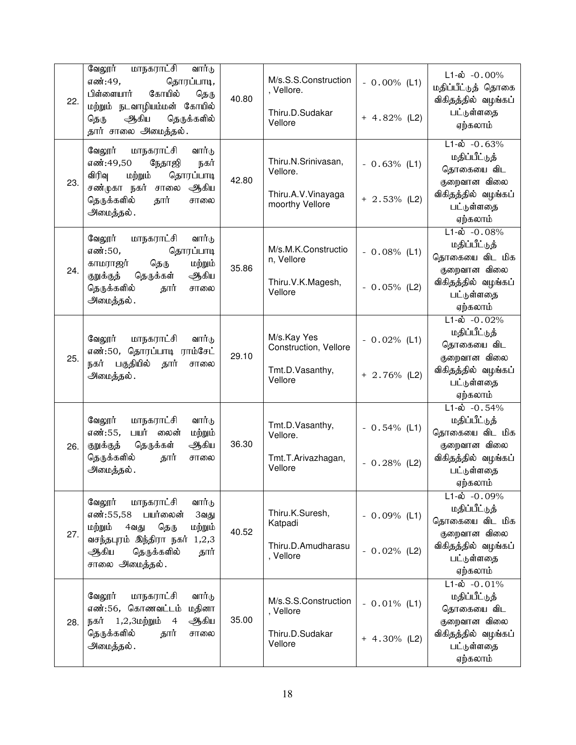| 22. | வேலூர்<br>மாநகராட்சி<br>வார்டு<br>எண்:49,<br>தொரப்பாடி,<br>பிள்ளையார்<br>கோயில்<br>தெரு<br>மற்றும் நடவாழியம்மன் கோயில்<br>ஆகிய<br>தெருக்களில்<br>தெரு<br>தார் சாலை அமைத்தல்.         | 40.80 | M/s.S.S.Construction<br>, Vellore.<br>Thiru.D.Sudakar<br>Vellore         | $-0.00\%$ (L1)<br>$+ 4.82%$ (L2)  | $L1-\omega$ -0.00%<br>மதிப்பீட்டுத் தொகை<br>விகிதத்தில் வழங்கப்<br>பட்டுள்ளதை<br>ஏற்கலாம்                                        |
|-----|--------------------------------------------------------------------------------------------------------------------------------------------------------------------------------------|-------|--------------------------------------------------------------------------|-----------------------------------|----------------------------------------------------------------------------------------------------------------------------------|
| 23. | வேலூர்<br>மாநகராட்சி<br>வார்டு<br>எண்:49,50<br>நேதாஜி<br>நகர்<br>விரிவு<br>தொரப்பாடி<br>மற்றும்<br>சண்முகா நகர் சாலை<br>ஆகிய<br>தெருக்களில்<br>தார்<br>சாலை<br>அமைத்தல்.             | 42.80 | Thiru.N.Srinivasan,<br>Vellore.<br>Thiru.A.V.Vinayaga<br>moorthy Vellore | $-0.63%$ (L1)<br>$+ 2.53\%$ (L2)  | $L1-\dot{\omega} - 0.63\%$<br>மதிப்பீட்டுத்<br>தொகையை விட<br>குறைவான விலை<br>விகிதத்தில் வழங்கப்<br>பட்டுள்ளதை<br>ஏற்கலாம்       |
| 24. | வேலூர்<br>மாநகராட்சி<br>வார்டு<br>தொரப்பாடி<br>எண்:50,<br>தெரு<br>மற்றும்<br>காமராஜர்<br>தெருக்கள்<br>குறுக்குத்<br>ஆகிய<br>தெருக்களில்<br>தார்<br>சாலை<br>அமைத்தல்.                 | 35.86 | M/s.M.K.Constructio<br>n, Vellore<br>Thiru.V.K.Magesh,<br>Vellore        | $-0.08\%$ (L1)<br>$-0.05\%$ (L2)  | $L1 - \dot{\omega} - 0.08\%$<br>மதிப்பீட்டுத்<br>தொகையை விட மிக<br>குறைவான விலை<br>விகிதத்தில் வழங்கப்<br>பட்டுள்ளதை<br>ஏற்கலாம் |
| 25. | வேலூர்<br>மாநகராட்சி<br>வார்டு<br>எண்:50, தொரப்பாடி ராம்சேட்<br>நகர் பகுதியில்<br>தார்<br>சாலை<br>அமைத்தல்.                                                                          | 29.10 | M/s.Kay Yes<br>Construction, Vellore<br>Tmt.D.Vasanthy,<br>Vellore       | $-0.02%$ (L1)<br>$+ 2.76\%$ (L2)  | $L1 - \dot{\omega} - 0.02\%$<br>மதிப்பீட்டுத்<br>தொகையை விட<br>குறைவான விலை<br>விகிதத்தில் வழங்கப்<br>பட்டுள்ளதை<br>ஏற்கலாம்     |
| 26. | வேலூர்<br>மாநகராட்சி<br>வார்டு<br>எண்:55,<br>பயர்<br>மற்றும்<br>லைன்<br>தெருக்கள்<br>ஆகிய<br>குறுக்குத்<br>தெருக்களில்<br>சாலை<br>தார்<br>அமைத்தல்.                                  | 36.30 | Tmt.D.Vasanthy,<br>Vellore.<br>Tmt.T.Arivazhagan,<br>Vellore             | $-0.54\%$ (L1)<br>$-0.28%$ (L2)   | $L1-\dot{\omega}$ -0.54%<br>மதிப்பீட்டுத்<br>தொகையை விட மிக<br>குறைவான விலை<br>விகிதத்தில் வழங்கப்<br>பட்டுள்ளதை<br>ஏற்கலாம்     |
| 27. | வேலூர்<br>மாநகராட்சி<br>வார்டு<br>எண்:55,58 பயர்லைன்<br>3வது<br>மற்றும்<br>மற்றும்<br>தெரு<br>4வது<br>வசந்தபுரம் இந்திரா நகர் 1,2,3<br>ஆகிய<br>தெருக்களில்<br>தார்<br>சாலை அமைத்தல். | 40.52 | Thiru.K.Suresh,<br>Katpadi<br>Thiru.D.Amudharasu<br>, Vellore            | $-0.09%$ (L1)<br>$-0.02%$ (L2)    | $L1-\dot{\omega} - 0.09\%$<br>மதிப்பீட்டுத்<br>தொகையை விட மிக<br>குறைவான விலை<br>விகிதத்தில் வழங்கப்<br>பட்டுள்ளதை<br>ஏற்கலாம்   |
| 28. | வேலூர்<br>மாநகராட்சி<br>வார்டு<br>எண்:56, கொணவட்டம்<br>மதினா<br>ஆகிய<br>நகர் 1,2,3மற்றும் 4<br>தெருக்களில்<br>தார்<br>சாலை<br>அமைத்தல்.                                              | 35.00 | M/s.S.S.Construction<br>, Vellore<br>Thiru.D.Sudakar<br>Vellore          | $-0.01\%$ (L1)<br>$+ 4.30\%$ (L2) | $L1 - \dot{\omega} - 0.01\%$<br>மதிப்பீட்டுத்<br>தொகையை விட<br>குறைவான விலை<br>விகிதத்தில் வழங்கப்<br>பட்டுள்ளதை<br>ஏற்கலாம்     |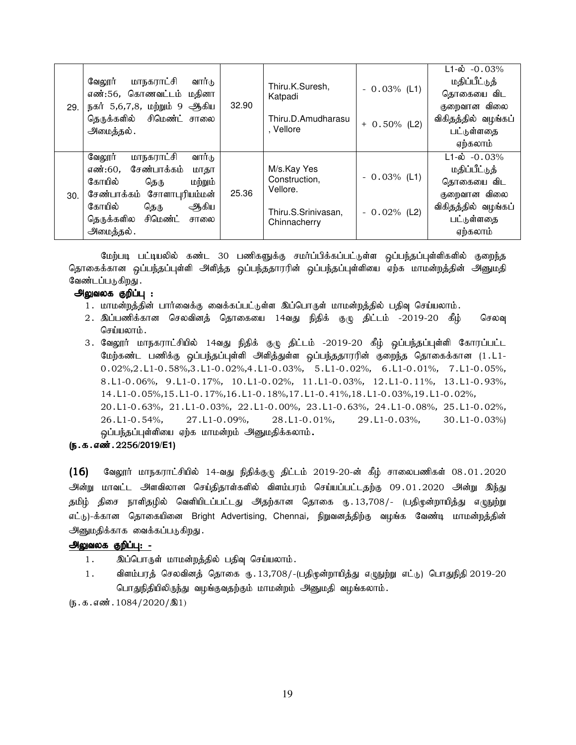| 29. | மாநகராட்சி<br>வேலூர்<br>வார்டு<br>எண்:56, கொணவட்டம் மதினா<br>நகர் 5,6,7,8, மற்றும் 9 ஆகிய<br>தெருக்களில் சிமெண்ட் சாலை<br>அமைத்தல்.                                                               | 32.90 | Thiru.K.Suresh,<br>Katpadi<br>Thiru.D.Amudharasu<br>. Vellore                   | $-0.03\%$ (L1)<br>$+ 0.50\%$ (L2) | $L1-\dot{\omega}$ -0.03%<br>மதிப்பீட்டுத்<br>தொகையை விட<br>குறைவான விலை<br>விகிதத்தில் வழங்கப்<br>பட்டுள்ளதை<br>ஏற்கலாம்     |
|-----|---------------------------------------------------------------------------------------------------------------------------------------------------------------------------------------------------|-------|---------------------------------------------------------------------------------|-----------------------------------|------------------------------------------------------------------------------------------------------------------------------|
| 30. | மாநகராட்சி<br>வார்டு<br>வேலூர்<br>சேண்பாக்கம்<br>எண்:60,<br>மாதா<br>கோயில்<br>மற்றும்<br>தெரு<br>சேண்பாக்கம் சோளாபுரியம்மன்<br>கோயில்<br>ஆகிய<br>தெரு<br>தெருக்களில சிமெண்ட்<br>சாலை<br>அமைத்தல். | 25.36 | M/s.Kay Yes<br>Construction,<br>Vellore.<br>Thiru.S.Srinivasan,<br>Chinnacherry | $-0.03\%$ (L1)<br>$-0.02\%$ (L2)  | $L1 - \dot{\omega} - 0.03\%$<br>மதிப்பீட்டுத்<br>தொகையை விட<br>குறைவான விலை<br>விகிதத்தில் வழங்கப்<br>பட்டுள்ளதை<br>ஏற்கலாம் |

மேற்படி பட்டியலில் கண்ட 30 பணிகளுக்கு சமா்ப்பிக்கப்பட்டுள்ள ஒப்பந்தப்புள்ளிகளில் குறைந்த தொகைக்கான ஒப்பந்தப்புள்ளி அளித்த ஒப்பந்ததாரரின் ஒப்பந்தப்புள்ளியை ஏற்க மாமன்றத்தின் அனுமதி வேண்டப்படுகிறது .

#### அலுவலக குறிப்பு :

- 1. மாமன்றத்தின் பார்வைக்கு வைக்கப்பட்டுள்ள இப்பொருள் மாமன்றத்தில் பதிவு செய்யலாம்.
- 2. இப்பணிக்கான செலவினத் தொகையை 14வது நிதிக் குழு திட்டம் -2019-20 கீழ் செலவு செய்யலாம்.
- 3. வேலூர் மாநகராட்சியில் 14வது நிதிக் குழு திட்டம் -2019-20 கீழ் ஒப்பந்தப்புள்ளி கோரப்பட்ட மேற்கண்ட பணிக்கு ஒப்பந்தப்புள்ளி அளித்துள்ள ஒப்பந்ததாரரின் குறைந்த தொகைக்கான (1.L1-0.02%,2.L1-0.58%,3.L1-0.02%,4.L1-0.03%, 5.L1-0.02%, 6.L1-0.01%, 7.L1-0.05%, 8.L1-0.06%, 9.L1-0.17%, 10.L1-0.02%, 11.L1-0.03%, 12.L1-0.11%, 13.L1-0.93%, 14.L1-0.05%,15.L1-0.17%,16.L1-0.18%,17.L1-0.41%,18.L1-0.03%,19.L1-0.02%, 20.L1-0.63%, 21.L1-0.03%, 22.L1-0.00%, 23.L1-0.63%, 24.L1-0.08%, 25.L1-0.02%, 26.L1-0.54%, 27.L1-0.09%, 28.L1-0.01%, 29.L1-0.03%, 30.L1-0.03%) ஒப்பந்தப்புள்ளியை ஏற்க மாமன்றம் அனுமதிக்கலாம்.

### (ந.க.எண். 2256/2019/E1)

 $(16)$  B்லலூர் மாநகராட்சியில் 14-வது நிதிக்குழு திட்டம் 2019-20-ன் கீழ் சாலைபணிகள் 08.01.2020 அன்று மாவட்ட அளவிலான செய்திதாள்களில் விளம்பரம் செய்யப்பட்டதற்கு 09.01.2020 அன்று இந்து தமிழ் திசை நாளிதழில் வெளியிடப்பட்டது அதற்கான தொகை ரு. 13,708/- (பதிமுன்றாயித்து எழுநுற்று எட்டு)-க்கான தொகையினை Bright Advertising, Chennai, நிறுவனத்திற்கு வழங்க வேண்டி மாமன்றத்தின் அனுமதிக்காக வைக்கப்படுகிறது.

# அலுவலக குறிப்பு: -

- 1. இப்பொருள் மாமன்றத்தில் பதிவு செய்யலாம்.
- 1. விளம்பரத் செலவினத் தொகை ரு. 13,708/-(பதிமுன்றாயித்து எழுநுற்று எட்டு) பொதுநிதி 2019-20 பொதுநிதியிலிருந்து வழங்குவதற்கும் மாமன்றம் அனுமதி வழங்கலாம்.

 $(5.5.5.5\,\text{m}$ . 1084/2020/ $\textcircled{3}1)$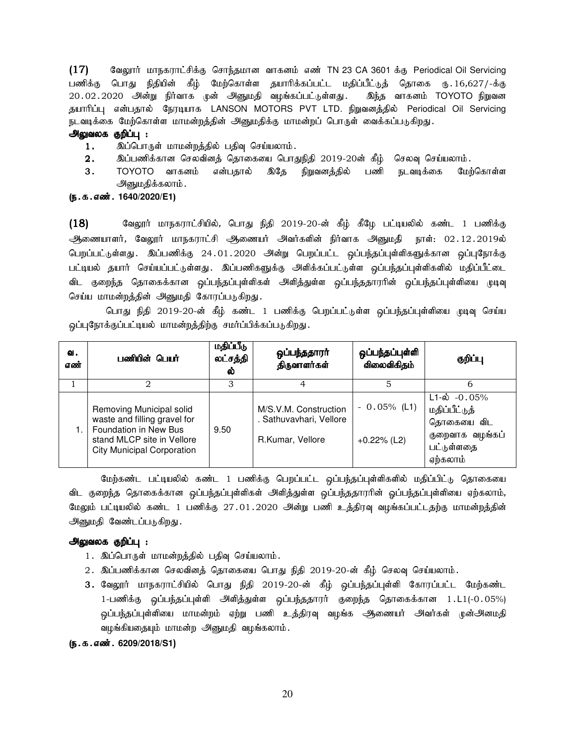$(17)$  Bagyார் மாநகராட்சிக்கு சொந்தமான வாகனம் எண் TN 23 CA 3601 க்கு Periodical Oil Servicing பணிக்கு பொது நிதியின் கீழ் மேற்கொள்ள தயாரிக்கப்பட்ட மதிப்பீட்டுத் தொகை ரு.16,627/-க்கு 20.02.2020 அன்று நிர்வாக முன் அனுமதி வழங்கப்பட்டுள்ளது. இந்த வாகனம் TOYOTO நிறுவன தயாரிப்பு என்பதால் நேரடியாக LANSON MOTORS PVT LTD. நிறுவனத்தில் Periodical Oil Servicing நடவடிக்கை மேற்கொள்ள மாமன்றத்தின் அனுமதிக்கு மாமன்றப் பொருள் வைக்கப்படுகிறது.

### அலுவலக குறிப்பு :

- 1. இப்பொருள் மாமன்றத்தில் பதிவு செய்யலாம்.
- $2.$   $\;$  இப்பணிக்கான செலவினத் தொகையை பொதுநிதி 2019-20ன் கீழ் செலவு செய்யலாம்.
- 3. TOYOTO வாகனம் என்பதால் இதே நிறுவனத்தில் பணி நடவடிக்கை மேற்கொள்ள அனுமதிக்கலாம் .

# (ந.க.எண். 1640/2020/E1)

 $(18)$  வேலூர் மாநகராட்சியில், பொது நிதி 2019-20-ன் கீழ் கீழே பட்டியலில் கண்ட 1 பணிக்கு அணையாளர், வேலூர் மாநகராட்சி அணையர் அவர்களின் நிர்வாக அனுமதி நாள்: 02.12.2019ல் பெறப்பட்டுள்ளது. இப்பணிக்கு 24.01.2020 அன்று பெறப்பட்ட ஒப்பந்தப்புள்ளிகளுக்கான ஒப்புநோக்கு பட்டியல் தயார் செய்யப்பட்டுள்ளது. இப்பணிகளுக்கு அளிக்கப்பட்டுள்ள ஒப்பந்தப்புள்ளிகளில் மதிப்பீட்டை விட குறைந்த தொகைக்கான ஒப்பந்தப்புள்ளிகள் அளித்துள்ள ஒப்பந்ததாரரின் ஒப்பந்தப்புள்ளியை முடிவு செய்ய மாமன்றத்தின் அனுமதி கோரப்படுகிறது.

பொது நிதி 2019-20-ன் கீழ் கண்ட 1 பணிக்கு பெறப்பட்டுள்ள ஒப்பந்தப்புள்ளியை முடிவு செய்ய ஒப்புநோக்குப்பட்டியல் மாமன்றத்திற்கு சமர்ப்பிக்கப்படுகிறது.

| ഖ.<br>எண் | பணியின் பெயர்                                                                                                                                        | மதிப்பீடு<br>லட்சத்தி<br>ல் | ஒப்பந்ததாரா்<br>திருவாளர்கள்                                         | ஒப்பந்தப்புள்ளி<br>விலைவிகிதம்   | குறிப்பு                                                                                                |
|-----------|------------------------------------------------------------------------------------------------------------------------------------------------------|-----------------------------|----------------------------------------------------------------------|----------------------------------|---------------------------------------------------------------------------------------------------------|
|           |                                                                                                                                                      | З                           | 4                                                                    |                                  | 6                                                                                                       |
|           | Removing Municipal solid<br>waste and filling gravel for<br>Foundation in New Bus<br>stand MLCP site in Vellore<br><b>City Municipal Corporation</b> | 9.50                        | M/S.V.M. Construction<br>. Sathuvavhari, Vellore<br>R.Kumar, Vellore | $-0.05\%$ (L1)<br>$+0.22\%$ (L2) | $L1 - \dot{\omega}$ - 0.05%<br>மதிப்பீட்டுத்<br>தொகையை விட<br>குறைவாக வழங்கப்<br>பட்டுள்ளதை<br>ஏற்கலாம் |

மேற்கண்ட பட்டியலில் கண்ட 1 பணிக்கு பெறப்பட்ட ஒப்பந்தப்புள்ளிகளில் மதிப்பிட்டு தொகையை விட குறைந்த தொகைக்கான ஒப்பந்தப்புள்ளிகள் அளித்துள்ள ஒப்பந்ததாரரின் ஒப்பந்தப்புள்ளியை ஏற்கலாம், மேலும் பட்டியலில் கண்ட 1 பணிக்கு 27.01.2020 அன்று பணி உத்திரவு வழங்கப்பட்டதற்கு மாமன்றத்தின் அனுமதி வேண்டப்படுகிறது.

#### அலுவலக குறிப்பு :

- 1. இப்பொருள் மாமன்றத்தில் பதிவு செய்யலாம்.
- 2. இப்பணிக்கான செலவினத் தொகையை பொது நிதி 2019-20-ன் கீழ் செலவு செய்யலாம்.
- 3. வேலூர் மாநகராட்சியில் பொது நிதி 2019-20-ன் கீழ் ஒப்பந்தப்புள்ளி கோரப்பட்ட மேற்கண்ட 1-பணிக்கு ஒப்பந்தப்புள்ளி அளித்துள்ள ஒப்பந்ததாரர் குறைந்த தொகைக்கான 1.L1(-0.05%) ஒப்பந்தப்புள்ளியை மாமன்றம் ஏற்று பணி உத்திரவு வழங்க ஆணையர் அவர்கள் முன்அனமதி வழங்கியதையும் மாமன்ற அனுமதி வழங்கலாம்.

#### (**ந.க.எண். 6209/2018/S1**)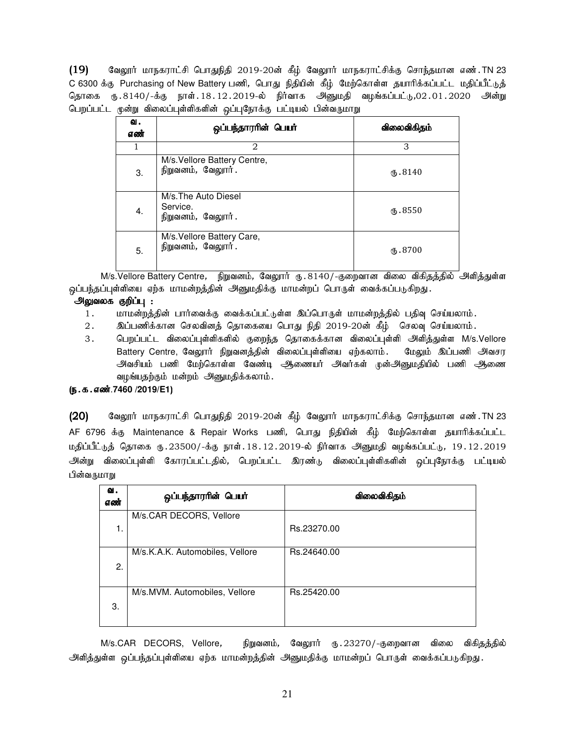$(19)$  Baலூர் மாநகராட்சி பொதுநிதி 2019-20ன் கீழ் வேலூர் மாநகராட்சிக்கு சொந்தமான எண்.TN 23 C 6300 க்கு Purchasing of New Battery பணி, பொது நிதியின் கீழ் மேற்கொள்ள தயாரிக்கப்பட்ட மதிப்பீட்டுத் தொகை ரு. 8140/-க்கு நாள். 18. 12. 2019-ல் நிர்வாக அனுமதி வழங்கப்பட்டு,02. 01. 2020 அன்று பெறப்பட்ட முன்று விலைப்புள்ளிகளின் ஒப்புநோக்கு பட்டியல் பின்வருமாறு

| ഖ.<br>எண் | ஒப்பந்தாரரின் பெயர்                                   | விலைவிகிதம் |
|-----------|-------------------------------------------------------|-------------|
| 1         | 2                                                     | 3           |
| 3.        | M/s. Vellore Battery Centre,<br>நிறுவனம், வேலூர்.     | (B.8140)    |
| 4.        | M/s. The Auto Diesel<br>Service.<br>நிறுவனம், வேலூர். | ரு. 8550    |
| 5.        | M/s. Vellore Battery Care,<br>நிறுவனம், வேலூர்.       | ரு. 8700    |

M/s.Vellore Battery Centre, நிறுவனம், வேலூர் கு. 8140/-குறைவான விலை விகிதத்தில் அிளித்துள்ள ஒப்பந்தப்புள்ளியை ஏற்க மாமன்றத்தின் அனுமதிக்கு மாமன்றப் பொருள் வைக்கப்படுகிறது.

# அலுவலக குறிப்பு :

- 1. khr மன்றத்தின் பார்வைக்கு வைக்கப்பட்டுள்ள இப்பொருள் மாமன்றத்தில் பதிவு செய்யலாம்.
- 2. இப்பணிக்கான செலவினத் தொகையை பொது நிதி 2019-20ன் கீழ் செலவு செய்யலாம்.
- 3. பெறப்பட்ட விலைப்புள்ளிகளில் குறைந்த தொகைக்கான விலைப்புள்ளி அளித்துள்ள M/s.Vellore Battery Centre, வேலூர் நிறுவனத்தின் விலைப்புள்ளியை ஏற்கலாம். மேலும் இப்பணி அவசர அவசியம் பணி மேற்கொள்ள வேண்டி ஆணையர் அவர்கள் முன்அனுமதியில் பணி ஆணை வழங்யதற்கும் மன்றம் அனுமதிக்கலாம்.

# (e.f.vz;.**7460 /2019/E1**)

(20) கேலூர் மாநகராட்சி பொதுநிதி 2019-20ன் கீழ் வேலூர் மாநகராட்சிக்கு சொந்தமான எண்.TN 23 AF 6796 க்கு Maintenance & Repair Works பணி, பொது நிதியின் கீழ் மேற்கொள்ள தயாரிக்கப்பட்ட மதிப்பீட்டுத் தொகை ரூ.23500/-க்கு நாள். $18.12.2019$ -ல் நிர்வாக அனுமதி வழங்கப்பட்டு,  $19.12.2019$ அன்று விலைப்புள்ளி கோரப்பட்டதில், பெறப்பட்ட இரண்டு விலைப்புள்ளிகளின் ஒப்புநோக்கு பட்டியல் பின்வருமாறு

| வ.<br>எண் | ஒப்பந்தாரரின் பெயர்             | விலைவிகிதம் |
|-----------|---------------------------------|-------------|
| 1.        | M/s.CAR DECORS, Vellore         | Rs.23270.00 |
| 2.        | M/s.K.A.K. Automobiles, Vellore | Rs.24640.00 |
| 3.        | M/s.MVM. Automobiles, Vellore   | Rs.25420.00 |

M/s.CAR DECORS, Vellore, நிறுவனம், வேலூர் ரூ.23270/-குறைவான விலை விகிகத்தில் அிளித்துள்ள ஒப்பந்தப்புள்ளியை ஏற்க மாமன்றத்தின் அனுமதிக்கு மாமன்றப் பொருள் வைக்கப்படுகிறது.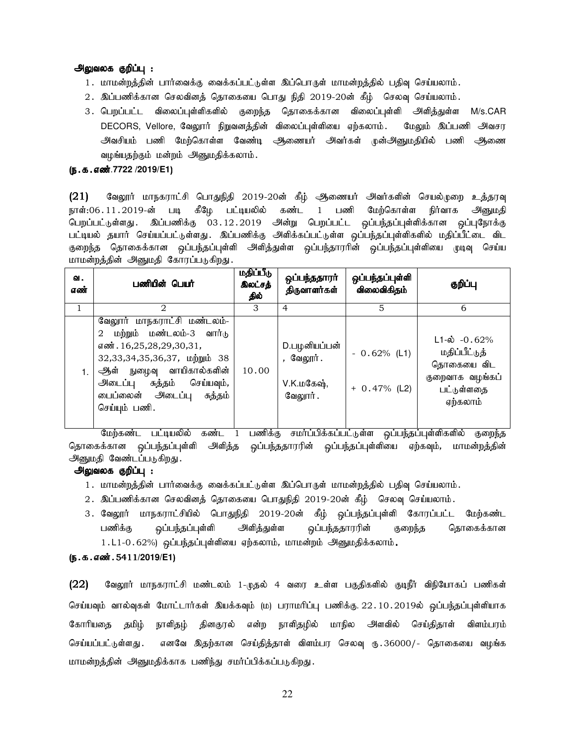#### அலுவலக குறிப்பு :

- 1. மாமன்றத்தின் பார்வைக்கு வைக்கப்பட்டுள்ள இப்பொருள் மாமன்றத்தில் பதிவு செய்யலாம்.
- $2.$  இப்பணிக்கான செலவினத் தொகையை பொது நிதி 2019-20ன் கீழ் செலவு செய்யலாம்.
- 3. பெறப்பட்ட விலைப்புள்ளிகளில் குறைந்த தொகைக்கான விலைப்புள்ளி அளித்துள்ள M/s.CAR DECORS, Vellore, வேலூர் நிறுவனக்கின் விலைப்பள்ளியை எற்கலாம். மேலும் இப்பணி அவசர அவசியம் பணி மேற்கொள்ள வேண்டி ஆணையர் அவர்கள் முன்அனுமதியில் பணி ஆணை வழங்யதற்கும் மன்றம் அனுமதிக்கலாம்.

#### (ந.க.எண்.7722 /2019/E1)

 $(21)$  Bagyார் மாநகராட்சி பொதுநிதி 2019-20ன் கீழ் ஆணையர் அவர்களின் செயல்முறை உத்தரவு நாள்:06 11 2019-ன் படி கீழே பட்டியலில் கண்ட 1 பணி மேற்கொள்ள நிர்வாக அனுமதி பெறப்பட்டுள்ளது. இப்பணிக்கு 03.12.2019 அன்று பெறப்பட்ட ஒப்பந்தப்புள்ளிக்கான ஒப்புநோக்கு பட்டியல் தயார் செய்யப்பட்டுள்ளது. இப்பணிக்கு அளிக்கப்பட்டுள்ள ஒப்பந்தப்புள்ளிகளில் மதிப்பீட்டை விட குறைந்த தொகைக்கான ஒப்பந்தப்புள்ளி அளித்துள்ள ஒப்பந்தாரரின் ஒப்பந்தப்புள்ளியை முடிவு செய்ய மாமன்றத்தின் அனுமதி கோரப்படுகிறது.

| வ.<br>எண் | பணியின் பெயர்                                                                                                                                                                                                                                     | மதிப்பீடு<br>இலட்சத்<br>தில் | ஒப்பந்ததாரா<br>திருவாளர்கள்                         | ஒப்பந்தப்புள்ளி<br>விலைவிகிதம்   | குறிப்பு                                                                                                |
|-----------|---------------------------------------------------------------------------------------------------------------------------------------------------------------------------------------------------------------------------------------------------|------------------------------|-----------------------------------------------------|----------------------------------|---------------------------------------------------------------------------------------------------------|
|           | $\mathcal{D}_{\mathcal{L}}$                                                                                                                                                                                                                       | 3                            | $\overline{4}$                                      | 5                                | 6                                                                                                       |
|           | வேலூர் மாநகராட்சி மண்டலம்-<br>மற்றும் மண்டலம்-3 வார்டு<br>$\overline{2}$<br>எண். 16,25,28,29,30,31,<br>32,33,34,35,36,37, மற்றும் 38<br>ஆள் நுழைவு வாயிகால்களின்<br>செய்யவும்,<br>அடைப்பு சுத்தம்<br>டைப்லைன் அடைப்பு<br>சுத்தம்<br>செய்யும் பணி. | 10.00                        | D.பழனியப்பன்<br>, வேலூர்.<br>V.K.மகேஷ்,<br>வேலூர் . | $-0.62%$ (L1)<br>$+ 0.47\%$ (L2) | $L1 - \dot{\omega}$ - 0.62%<br>மதிப்பீட்டுத்<br>தொகையை விட<br>குறைவாக வழங்கப்<br>பட்டுள்ளதை<br>ஏற்கலாம் |

மேற்கண்ட பட்டியலில் கண்ட 1 பணிக்கு சமா்ப்பிக்கப்பட்டுள்ள ஒப்பந்தப்புள்ளிகளில் குறைந்த தொகைக்கான <u>ஒ</u>ப்பந்தப்புள்ளி அளித்த ஒப்பந்ததாரரின் ஒப்பந்தப்புள்ளியை ஏற்கவும், மாமன்றத்தின் அனுமதி வேண்டப்படுகிறது.

# <u>அலுவலக குறிப்பு :</u>

- 1. மாமன்றத்தின் பார்வைக்கு வைக்கப்பட்டுள்ள இப்பொருள் மாமன்றத்தில் பதிவு செய்யலாம்.
- 2. இப்பணிக்கான செலவினத் தொகையை பொதுநிதி 2019-20ன் கீழ் செலவு செய்யலாம்.
- 3. வேலூர் மாநகராட்சியில் பொதுநிதி 2019-20ன் கீழ் ஒப்பந்தப்புள்ளி கோரப்பட்ட மேற்கண்ட பணிக்கு ஒப்பந்தப்புள்ளி அளித்துள்ள ஒப்பந்ததாரரின் குறைந்த தொகைக்கான  $1.L1-0.62%$ ) ஒப்பந்தப்புள்ளியை ஏற்கலாம், மாமன்றம் அனுமதிக்கலாம்.

#### (ந.க.எண்.5411/2019/E1)

(22) வேலூர் மாநகராட்சி மண்டலம் 1-முதல் 4 வரை உள்ள பகுதிகளில் குடிநீர் விநியோகப் பணிகள் செய்யவும் வால்வுகள் மோட்டார்கள் இயக்கவும் (ம) பராமரிப்பு பணிக்கு. 22 .10 . 2019ல் ஒப்பந்தப்புள்ளியாக கோரியதை தமிழ் நாளிதழ் தினகுரல் என்ற நாளிதழில் மாநில அளவில் செய்திதாள் விளம்பரம் செய்யப்பட்டுள்ளது . எனவே இதற்கான செய்தித்தாள் விளம்பர செலவு ரூ .36000/- தொகையை வழங்க மாமன்றத்தின் அனுமதிக்காக பணிந்து சமர்ப்பிக்கப்படுகிறது.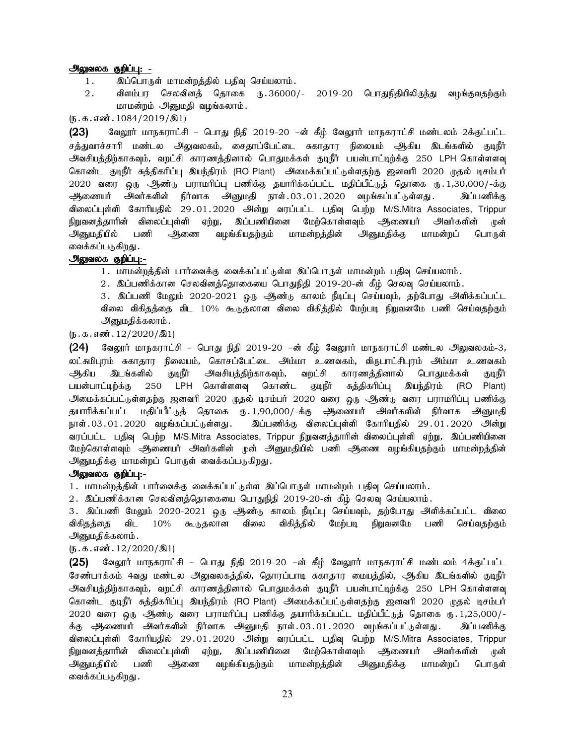#### அலுவலக குறிப்பு: -

- 1. இப்பொருள் மாமன்றத்தில் பதிவு செய்யலாம்.
- 2. விளம்பர செலவினத் தொகை ரு.36000/- 2019-20 பொதுநிதியிலிருந்து வழங்குவதற்கும் மாமன்றம் அனுமதி வழங்கலாம்.

 $(5.5.5.5\omega)$ : 1084/2019/ $(10.5.1)$ 

 $(23)$  Baலூர் மாநகராட்சி – பொது நிதி 2019-20 –ன் கீழ் வேலூர் மாநகராட்சி மண்டலம் 2க்குட்பட்ட சத்துவாச்சாரி மண்டல அலுவலகம், சைதாப்பேட்டை சுகாதார நிலையம் ஆகிய இடங்களில் குடிநீர் அவசியக்கிற்காகவும், வறட்சி காரணக்கினால் பொதுமக்கள் குடிநீர் பயன்பாட்டிற்க்கு 250 LPH கொள்ளளவு கொண்ட குடிநீர் சுத்திகரிப்பு இயந்திரம் (RO Plant) அமைக்கப்பட்டுள்ளதற்கு ஜனவரி 2020 முதல் டிசம்பர் 2020 வரை ஒரு ஆண்டு பராமரிப்பு பணிக்கு தயாரிக்கப்பட்ட மதிப்பீட்டுத் தொகை ரு.1,30,000/-க்கு ஆணையர் அவர்களின் நிர்வாக அனுமதி நாள்.03.01.2020 வழங்கப்பட்டுள்ளது. இப்பணிக்கு விலைப்புள்ளி கோரியதில் 29.01.2020 அன்று வரப்பட்ட பதிவு பெற்ற M/S.Mitra Associates, Trippur நிறுவனத்தாரின் விலைப்புள்ளி ஏற்று, இப்பணியினை மேற்கொள்ளவும் அணையர் அவர்களின் முன் அனுமதியில் பணி அணை வழங்கியதற்கும் மாமன்றத்தின் அனுமதிக்கு மாமன்றப் பொருள் வைக்கப்படுகிறது .

#### அலுவலக குறிப்பு:-

1. மாமன்றத்தின் பார்வைக்கு வைக்கப்பட்டுள்ள இப்பொருள் மாமன்றம் பதிவு செய்யலாம்.

2. இப்பணிக்கான செலவினத்தொகையை பொதுநிதி 2019-20-ன் கீழ் செலவு செய்யலாம்.

3. இப்பணி மேலும் 2020-2021 ஒரு ஆண்டு காலம் நீடிப்பு செய்யவும், தற்போது அிளிக்கப்பட்ட விலை விகிதத்தை விட 10% கூடுதலான விலை விகித்தில் மேற்படி நிறுவனமே பணி செய்வதற்கும் அனுமதிக்கலாம்.

 $(5.5.5.5 \text{...})$ 

 $(24)$  வேலூர் மாநகராட்சி – பொது நிதி 2019-20 –ன் கீழ் வேலூர் மாநகராட்சி மண்டல அலுவலகம்-3, லட்சுமிபுரம் சுகாதார நிலையம், கொசப்பேட்டை அம்மா உணவகம், விருபாட்சிபுரம் அம்மா உணவகம் ஆகிய இடங்களில் குடிநீர் அவசியத்திற்காகவும், வறட்சி காரணத்தினால் பொதுமக்கள் குடிநீர் பயன்பாட்டிற்க்கு 250 LPH கொள்ளளவு கொண்ட குடிநீர் சுத்திகரிப்பு இயந்திரம் (RO Plant) .<br>அமைக்கப்பட்டுள்ளதற்கு ஜனவரி 2020 முதல் டிசம்பர் 2020 வரை ஒரு ஆண்டு வரை பராமரிப்பு பணிக்கு தயாரிக்கப்பட்ட மதிப்பீட்டுத் தொகை ரு. 1,90,000/-க்கு ஆணையர் அவர்களின் நிர்வாக அனுமதி நாள்.03.01.2020 வழங்கப்பட்டுள்ளது. கிப்பணிக்கு விலைப்புள்ளி கோரியதில் 29.01.2020 அன்று வரப்பட்ட பதிவு பெற்ற M/S.Mitra Associates, Trippur நிறுவனத்தாரின் விலைப்புள்ளி ஏற்று, இப்பணியினை மேற்கொள்ளவும் அிணையர் அவர்களின் முன் அனுமதியில் பணி ஆணை வழங்கியதற்கும் மாமன்றத்தின் அனுமதிக்கு மாமன்றப் பொருள் வைக்கப்படுகிறது.

### அலுவலக குறிப்பு:-

1. மாமன்றத்தின் பார்வைக்கு வைக்கப்பட்டுள்ள இப்பொருள் மாமன்றம் பதிவு செய்யலாம்.

 $2$ . இப்பணிக்கான செலவினத்தொகையை பொதுநிதி 2019-20-ன் கீழ் செலவு செய்யலாம்.

3. இப்பணி மேலும் 2020-2021 ஒரு ஆண்டு காலம் நீடிப்பு செய்யவும், தற்போது அளிக்கப்பட்ட விலை விகிதத்தை விட 10% கூடுதலான விலை விகித்தில் மேற்படி நிறுவனமே பணி செய்வதற்கும் <u>அனுமதி</u>க்கலாம் .

#### $(D.5.5.5\text{...})$

 $(25)$  வேலூர் மாநகராட்சி – பொது நிதி 2019-20 –ன் கீழ் வேலூர் மாநகராட்சி மண்டலம் 4க்குட்பட்ட சேண்பாக்கம் 4வது மண்டல அலுவலகத்தில், தொரப்பாடி சுகாதார மையத்தில், அிகிய இடங்களில் குடிநீர் அவசியத்திற்காகவும், வறட்சி காரணத்தினால் பொதுமக்கள் குடிநீர் பயன்பாட்டிற்க்கு 250 LPH கொள்ளளவு கொண்ட குடிநீர் சுத்திகரிப்பு இயந்திரம் (RO Plant) அமைக்கப்பட்டுள்ளதற்கு ஜனவரி 2020 முதல் டிசம்பர் 2020 வரை ஒரு ஆண்டு வரை பராமரிப்பு பணிக்கு தயாரிக்கப்பட்ட மதிப்பீட்டுத் தொகை ரு. 1,25,000/-க்கு ஆணையர் அவர்களின் நிர்வாக அனுமதி நாள்.03.01.2020 வழங்கப்பட்டுள்ளது. இப்பணிக்கு விலைப்புள்ளி கோரியதில் 29.01.2020 அன்று வரப்பட்ட பதிவு பெற்ற M/S.Mitra Associates, Trippur நிறுவனத்தாரின் விலைப்புள்ளி ஏற்று, இப்பணியினை மேற்கொள்ளவும் <del>ஆ</del>ணையர் அவர்களின் முன் அனுமதியில் பணி ஆணை வழங்கியதற்கும் மாமன்றத்தின் அனுமதிக்கு மாமன்றப் பொருள் வைக்கப்படுகிறது .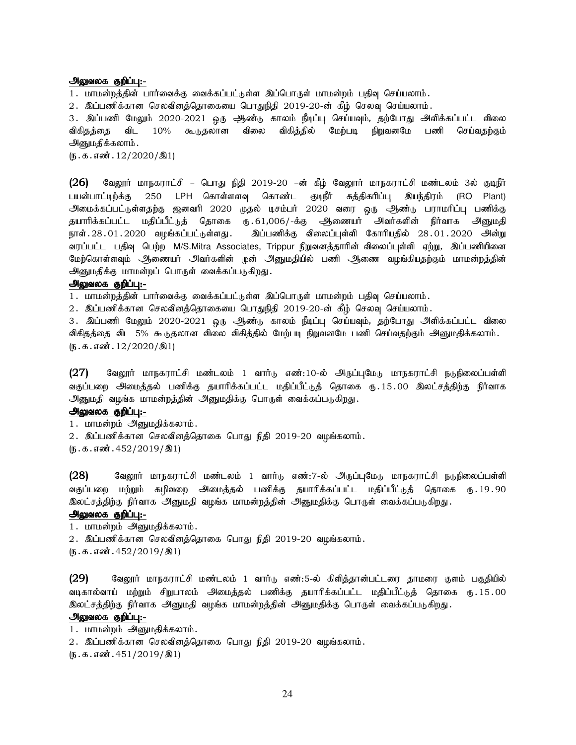#### அலுவலக குறிப்பு:-

1. மாமன்றத்தின் பார்வைக்கு வைக்கப்பட்டுள்ள இப்பொருள் மாமன்றம் பதிவு செய்யலாம்.

2. இப்பணிக்கான செலவினத்தொகையை பொதுநிதி 2019-20-ன் கீழ் செலவு செய்யலாம்.

3. இப்பணி மேலும் 2020-2021 ஒரு ஆண்டு காலம் நீடிப்பு செய்யவும், தற்போது அளிக்கப்பட்ட விலை விகிதத்தை விட 10% கூடுதலான விலை விகித்தில் மேற்படி நிறுவனமே பணி செய்வதற்கும் அனுமதிக்கலாம்.

 $(5.5.5.5\,\text{m}^3.12/2020/\text{m}^3)$ 

(26) வேலூர் மாநகராட்சி – பொது நிதி 2019-20 –ன் கீழ் வேலூர் மாநகராட்சி மண்டலம் 3ல் குடிநீர் பயன்பாட்டிற்க்கு 250 LPH கொள்ளளவு கொண்ட குடிநீர் சுத்திகரிப்பு இயந்திரம் (RO Plant) அமைக்கப்பட்டுள்ளதற்கு ஜனவரி 2020 முதல் டிசம்பர் 2020 வரை ஒரு ஆண்டு பராமரிப்பு பணிக்கு தயாரிக்கப்பட்ட மதிப்பீட்டுத் தொகை ரு.61,006/-க்கு அிணையர் அவர்களின் நிர்வாக அனுமதி நாள்.28.01.2020 வழங்கப்பட்டுள்ளது. இப்பணிக்கு விலைப்புள்ளி கோரியதில் 28.01.2020 அன்று வரப்பட்ட பதிவு பெற்ற M/S.Mitra Associates, Trippur நிறுவனத்தாரின் விலைப்புள்ளி ஏற்று, இப்பணியினை மேற்கொள்ளவும் ஆணையர் அவர்களின் முன் அனுமதியில் பணி ஆணை வழங்கியதற்கும் மாமன்றத்தின் அனுமதிக்கு மாமன்றப் பொருள் வைக்கப்படுகிறது.

# அலுவலக குறிப்பு:-

1. மாமன்றத்தின் பார்வைக்கு வைக்கப்பட்டுள்ள இப்பொருள் மாமன்றம் பதிவு செய்யலாம்.

2. இப்பணிக்கான செலவினத்தொகையை பொதுநிதி 2019-20-ன் கீழ் செலவு செய்யலாம்.

3. இப்பணி மேலும் 2020-2021 ஒரு ஆண்டு காலம் நீடிப்பு செய்யவும், தற்போது அளிக்கப்பட்ட விலை விகிதத்தை விட 5% கூடுதலான விலை விகித்தில் மேற்படி நிறுவனமே பணி செய்வதற்கும் அனுமதிக்கலாம்.  $(5.5.5.5\,\text{m}^3.12/2020/\text{m}^3)$ 

 $(27)$  Bூலூர் மாநகராட்சி மண்டலம் 1 வார்டு எண் $:10$ -ல் அருப்புமேடு மாநகராட்சி நடுநிலைப்பள்ளி வகுப்பறை அமைத்தல் பணிக்கு தயாரிக்கப்பட்ட மதிப்பீட்டுத் தொகை ரு.15.00 இலட்சத்திற்கு நிர்வாக அனுமதி வழங்க மாமன்றத்தின் அனுமதிக்கு பொருள் வைக்கப்படுகிறது.

#### அலுவலக குறிப்பு:-

1. மாமன்றம் அனுமதிக்கலாம்.

2. இப்பணிக்கான செலவினத்தொகை பொது நிதி 2019-20 வழங்கலாம்.

 $(5.5.5.5\,\text{m}^3.452/2019/\text{m}^3)$ 

(28) கேலூர் மாநகராட்சி மண்டலம் 1 வார்டு எண்:7-ல் அருப்புமேடு மாநகராட்சி நடுநிலைப்பள்ளி வகுப்பறை மற்றும் கழிவறை அமைத்தல் பணிக்கு தயாரிக்கப்பட்ட மதிப்பீட்டுத் தொகை ரூ. 19.90 இலட்சத்திற்கு நிர்வாக அனுமதி வழங்க மாமன்றத்தின் அனுமதிக்கு பொருள் வைக்கப்படுகிறது.

## அலுவலக குறிப்பு:-

1. மாமன்றம் அனுமதிக்கலாம். 2. இப்பணிக்கான செலவினத்தொகை பொது நிதி 2019-20 வழங்கலாம்.  $(5.5.5.5\text{m}^3.452/2019/\text{m}^3)$ 

(29) வேலூர் மாநகராட்சி மண்டலம் 1 வார்டு எண்:5-ல் கிளித்தான்பட்டரை தாமரை குளம் பகுதியில் வடிகால்வாய் மற்றும் சிறுபாலம் அமைத்தல் பணிக்கு தயாரிக்கப்பட்ட மதிப்பீட்டுத் தொகை ரூ.15.00 இலட்சத்திற்கு நிர்வாக அனுமதி வழங்க மாமன்றத்தின் அனுமதிக்கு பொருள் வைக்கப்படுகிறது.

## அலுவலக குறிப்பு:-

- 1. மாமன்றம் அனுமதிக்கலாம்.
- 2. இப்பணிக்கான செலவினத்தொகை பொது நிதி 2019-20 வழங்கலாம்.
- $(5.5.5.5\,\text{m}^3.451/2019/\text{m}^3)$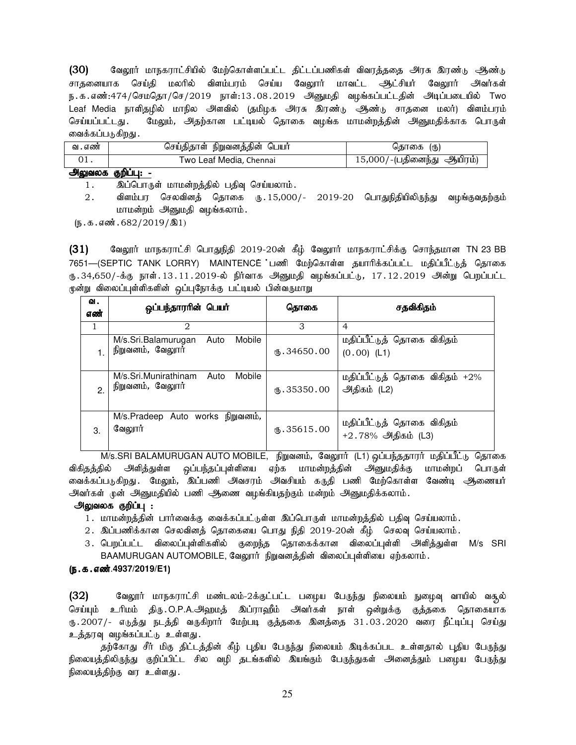(30) வேலூர் மாநகராட்சியில் மேற்கொள்ளப்பட்ட திட்டப்பணிகள் விவரத்ததை அரசு இரண்டு ஆண்டு சாதனையாக செய்தி மலரில் விளம்பரம் செய்ய வேலூர் மாவட்ட ஆட்சியர் வேலூர் அவர்கள் ந.க.எண்:474/செமதொ/செ/2019 நாள்:13.08.2019 அனுமதி வழங்கப்பட்டதின் அடிப்படையில் Two Leaf Media நாளிதழில் மாநில அளவில் (தமிழக அரசு இரண்டு ஆண்டு சாதனை மலர்) விளம்பரம் செய்யப்பட்டது. மேலும், அதற்கான பட்டியல் தொகை வமங்க மாமன்றத்தின் அனுமதிக்காக பொருள் வைக்கப்படுகிறது .

| வ . எண் | நிறுவனத்தின்<br>ெயா்<br>செய்திதாள் | (ரு)<br>கொகை                          |
|---------|------------------------------------|---------------------------------------|
|         | Two Leaf Media, Chennai            | ூதியிரம்)<br>.5.000'<br>J∕-(பதினைந்து |

## அலுவலக குறிப்பு: -

1. இப்பொருள் மாமன்றத்தில் பதிவு செய்யலாம்.

 $2.$  விளம்பர செலவினத் தொகை ரு $.15,000/-$  2019-20 பொதுநிதியிலிருந்து வழங்குவதற்கும் மாமன்றம் அனுமதி வழங்கலாம்.

 $(5.5.5.5\ldots, 682/2019/\text{R})$ 

 $(31)$  Baலூர் மாநகராட்சி பொதுநிதி 2019-20ன் கீழ் வேலூர் மாநகராட்சிக்கு சொந்தமான TN 23 BB 7651—(SEPTIC TANK LORRY) MAINTENCE பணி மேற்கொள்ள தயாரிக்கப்பட்ட மதிப்பீட்டுத் தொகை ரு.34,650/-க்கு நாள்.13.11.2019-ல் நிர்வாக அனுமதி வழங்கப்பட்டு, 17.12.2019 அன்று பெறப்பட்ட முன்று விலைப்புள்ளிகளின் ஒப்புநோக்கு பட்டியல் பின்வருமாறு

| ഖ.<br>எண் | ஒப்பந்தாரரின் பெயர்                                        | தொகை                  | சதவிகிதம்                                        |
|-----------|------------------------------------------------------------|-----------------------|--------------------------------------------------|
| 1         | 2                                                          | 3                     | $\overline{4}$                                   |
|           | Mobile<br>M/s.Sri.Balamurugan<br>Auto<br>நிறுவனம், வேலூர்  | $M_{\rm b}$ .34650.00 | மதிப்பீட்டுத் தொகை விகிதம்<br>$(0.00)$ (L1)      |
| 2.        | M/s.Sri.Munirathinam<br>Mobile<br>Auto<br>நிறுவனம், வேலூர் | $\text{I}$ .35350.00  | மதிப்பீட்டுத் தொகை விகிதம் +2%<br>அதிகம் (L2)    |
| 3.        | M/s.Pradeep Auto works நிறுவனம்,<br>வேலூர்                 | $\omega$ .35615.00    | மதிப்பீட்டுத் தொகை விகிதம்<br>+2.78% அதிகம் (L3) |

M/s.SRI BALAMURUGAN AUTO MOBILE, நிறுவனம், வேலூர் (L1) ஒப்பந்ததாரர் மதிப்பீட்டு தொகை விகிதத்தில் அளித்துள்ள ஒப்பந்தப்புள்ளியை ஏற்க மாமன்றத்தின் அனுமதிக்கு மாமன்றப் பொருள் வைக்கப்படுகிறது . மேலும், இப்பணி அவசரம் அவசியம் கருதி பணி மேற்கொள்ள வேண்டி <del>அ</del>ணையர் அவர்கள் முன் அனுமதியில் பணி ஆணை வழங்கியதற்கும் மன்றம் அனுமதிக்கலாம்.

### அலுவலக குறிப்பு :

- 1. மாமன்றத்தின் பார்வைக்கு வைக்கப்பட்டுள்ள இப்பொருள் மாமன்றத்தில் பதிவு செய்யலாம்.
- 2. இப்பணிக்கான செலவினத் தொகையை பொது நிதி 2019-20ன் கீழ் செலவு செய்யலாம்.
- 3. பெறப்பட்ட விலைப்புள்ளிகளில் குறைந்த தொகைக்கான விலைப்புள்ளி அிளித்துள்ள M/s SRI BAAMURUGAN AUTOMOBILE, வேலூர் நிறுவனத்தின் விலைப்புள்ளியை ஏற்கலாம்.

## (ந.க.எண்.4937/2019/E1)

(32) வேலூர் மாநகராட்சி மண்டலம்-2க்குட்பட்ட பழைய பேருந்து நிலையம் நுழைவு வாயில் வசூல் செய்யும் உரிமம் திரு.O.P.A.அஹமத் இப்ராஹீம் அவர்கள் நாள் ஒன்றுக்கு குத்தகை தொகையாக ரு.2007/- எடுத்து நடத்தி வருகிறார் மேற்படி குத்தகை இனத்தை 31.03.2020 வரை நீட்டிப்பு செய்து உத்தரவு வழங்கப்பட்டு உள்ளது.

தற்கோது சீர் மிகு திட்டத்தின் கீழ் புதிய பேருந்து நிலையம் இடிக்கப்பட உள்ளதால் புதிய பேருந்து நிலையத்திலிருந்து குறிப்பிட்ட சில வழி தடங்களில் இயங்கும் பேருந்துகள் அனைத்தும் பழைய பேருந்து நிலையத்திற்கு வர உள்ளது.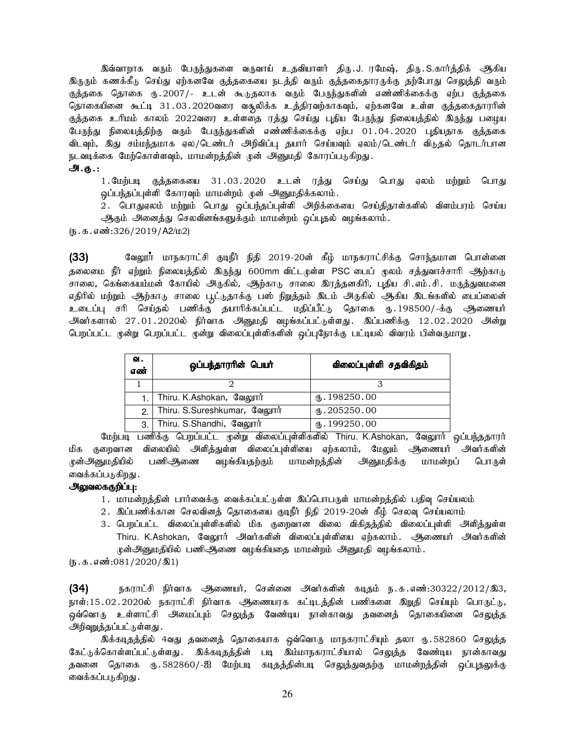இவ்வாறாக வரும் பேருந்துகளை வருவாய் உதவியாளர் திரு.J. ரமேஷ், திரு.S.கார்த்திக் <del>அ</del>திய <u>இருரு</u>ம் கணக்கீடு செய்து ஏற்கனவே குத்தகையை நடத்தி வரும் குத்தகைதாரருக்கு தற்போது செலுத்தி வரும் குத்தகை தொகை ரு.2007/- உடன் கூடுதலாக வரும் பேருந்துகளின் எண்ணிக்கைக்கு ஏற்ப குத்தகை தொகையினை கூட்டி 31.03.2020வரை வசூலிக்க உத்திரவற்காகவும், ஏற்கனவே உள்ள குத்தகைதாரரின் குத்தகை உரிமம் காலம் 2022வரை உள்ளதை ரத்து செய்து புதிய பேருந்து நிலையத்தில் இருந்து பழைய பேருந்து நிலையத்திற்கு வரும் பேருந்துகளின் எண்ணிக்கைக்கு ஏற்ப 01.04.2020 புதியதாக குத்தகை விடவும், இது சம்மந்தமாக ஏல/டெண்டர் அறிவிப்பு தயார் செய்யவும் ஏலம்/டெண்டர் விடுதல் தொடர்பான நடவடிக்கை மேற்கொள்ளவும், மாமன்றத்தின் முன் அனுமதி கோரப்படுகிறது.

#### அ.கு. :

1.மேற்படி குத்தகையை 31.03.2020 உடன் ரத்து செய்து பொது ஏலம் மற்றும் பொது ஒப்பந்தப்புள்ளி கோரவும் மாமன்றம் முன் அனுமதிக்கலாம்.

2. பொதுஏலம் மற்றும் பொது ஒப்பந்தப்புள்ளி அறிக்கையை செய்திதாள்களில் விளம்பரம் செய்ய ஆகும் அனைத்து செலவினங்களுக்கும் மாமன்றம் ஒப்புதல் வழங்கலாம்.

 $(5.5.5.5\frac{1}{226}/2019/A2/L2)$ 

(33) வேலூர் மாநகராட்சி குடிநீர் நிதி 2019-20ன் கீழ் மாநகராட்சிக்கு சொந்தமான பொன்னை தலைமை நீர் ஏற்றும் நிலையத்தில் இருந்து 600mm விட்டமுள்ள PSC பைப் முலம் சத்துவாச்சாரி ஆற்காடு சாலை, கெங்கையம்மன் கோயில் அருகில், ஆந்காடு சாலை இரத்தனகிரி, புதிய சி.எம்.சி. மருத்துவமனை எதிரில் மற்றும் ஆற்காடு சாலை பூட்டுதாக்கு பஸ் நிறுத்தம் இடம் அருகில் ஆகிய இடங்களில் பைப்லைன் உடைப்பு சரி செய்தல் பணிக்கு தயாரிக்கப்பட்ட மதிப்பீட்டு தொகை ரு. 198500/-க்கு ஆணையர் அவர்களால் 27.01.2020ல் நிர்வாக அனுமதி வழங்கப்பட்டுள்ளது. இப்பணிக்கு 12.02.2020 அன்று பெறப்பட்ட முன்று பெறப்பட்ட முன்று விலைப்புள்ளிகளின் ஒப்புநோக்கு பட்டியல் விவரம் பின்வருமாறு.

| வ.<br>எண்                                      | ஒப்பந்தாரரின் பெயர்      | விலைப்புள்ளி சதவிகிதம்   |
|------------------------------------------------|--------------------------|--------------------------|
|                                                |                          |                          |
|                                                | Thiru. K.Ashokan, வேலூர் | $\mathbf{t}$ . 198250.00 |
| Thiru. S.Sureshkumar, வேலூர்<br>$\overline{2}$ |                          | (B.205250.00)            |
| 3.                                             | Thiru. S.Shandhi, வேலூர் | $\mathbf{t}$ . 199250.00 |

மேற்படி பணிக்கு பெறப்பட்ட முன்று விலைப்புள்ளிகளில் Thiru. K.Ashokan, வேலூார் ஒப்பந்ததாரர் மிக குறைவான விலையில் அளித்துள்ள விலைப்புள்ளியை ஏற்கலாம், மேலும் அிணையர் அவர்களின் முன்அனுமதியில் பணிஅிணை வழங்கியதற்கும் மாமன்றத்தின் அனுமதிக்கு மாமன்றப் பொருள் வைக்கப்படுகிறது .

# அலுவலககுறிப்பு:

- 1 . மாமன்றத்தின் பார்வைக்கு வைக்கப்பட்டுள்ள இப்பொபருள் மாமன்றத்தில் பதிவு செய்யலம்
- 2. இப்பணிக்கான செலவினத் தொகையை குடிநீர் நிதி 2019-20ன் கீழ் செலவு செய்யலாம்
- 3. பெறப்பட்ட விலைப்புள்ளிகளில் மிக குறைவான விலை விகிதத்தில் விலைப்புள்ளி அிளித்துள்ள Thiru. K.Ashokan, வேலூர் அவர்களின் விலைப்புள்ளியை ஏற்கலாம். அணையர் அவர்களின் நுன்அனுமதியில் பணிஅணை வழங்கியதை மாமன்றம் அனுமதி வழங்கலாம்.

 $(5.5.5.5 \text{...}081/2020/\text{M})$ 

 $(34)$  நகராட்சி நிர்வாக ஆணையர், சென்னை அவர்களின் கடிதம் ந.க.எண்:30322/2012/இ3, நாள்:15.02.2020ல் நகராட்சி நிர்வாக ஆணையரக கட்டிடத்தின் பணிகளை இறுதி செய்யும் பொருட்டு*,* ஒவ்வொரு உள்ளாட்சி அமைப்பும் செலுத்த வேண்டிய நான்காவது தவனைத் தொகையினை செலுத்த அறிவுறுக்கப்பட்டுள்ளது.

இக்கடிதத்தில் 4வது தவனைத் தொகையாக ஒவ்வொரு மாநகராட்சியும் தலா ரு.582860 செலுத்த கேட்டுக்கொள்ளப்பட்டுள்ளது . இக்கடிதத்தின் படி இம்மாநகராட்சியால் செலுத்த வேண்டிய நான்காவது தவனை தொகை ரு.582860/-ஐ மேற்படி கடிதத்தின்படி செலுத்துவதற்கு மாமன்றத்தின் ஒப்புதலுக்கு வைக்கப்படுகிறது .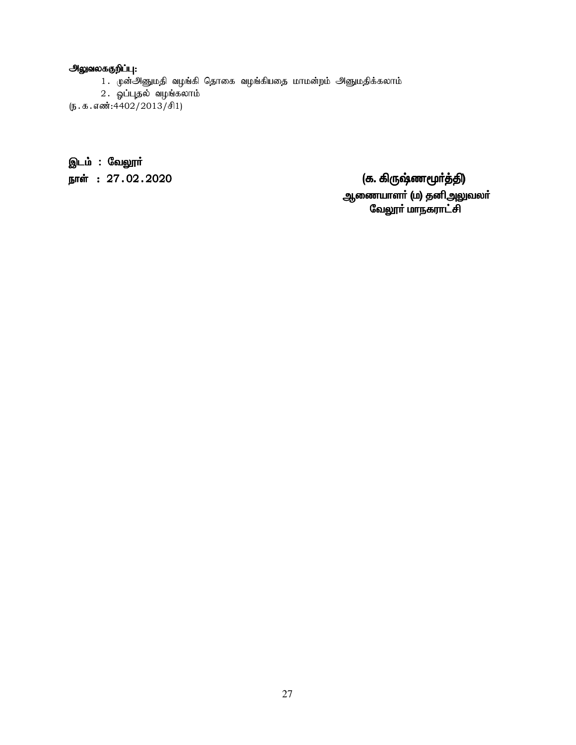# <u>அலுவலககுறிப்பு:</u>

- 1. முன்அனுமதி வழங்கி தொகை வழங்கியதை மாமன்றம் அனுமதிக்கலாம்
- 2. ஓப்புதல் வழங்கலாம்
- (ந.க.எண்:4402/2013/சி1)

இடம் : வேலூ**ர்** 

ehŸ :27.02.2020 (f. »UZz\_®¤Â) f. »UZz\_®¤Â) ஆணையாளா் (ம) தனிஅலுவலா்

வேலூா் மாநகராட்சி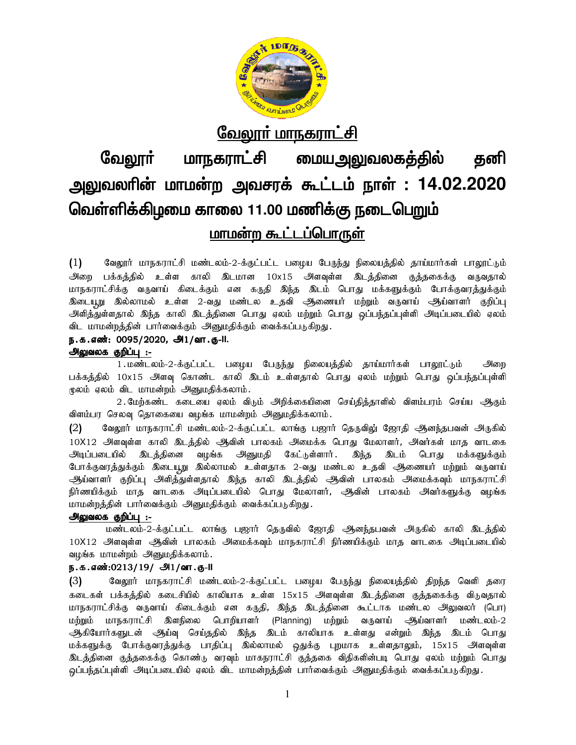

# <u>வேலூர் மாநகராட்சி</u>

# வேலூா் மாநகராட்சி <u>மையஅலுவலகத்தில்</u> தனி அலுவலரின் மாமன்ற அவசரக் கூட்டம் நாள் : 14.02.2020 வெள்ளிக்கிழமை காலை 11.00 மணிக்கு நடைபெறும் <u>மாமன்ற கூட்டப்பொருள்</u>

 $(1)$ வேலூர் மாநகராட்சி மண்டலம்-2-க்குட்பட்ட பழைய பேருந்து நிலையத்தில் தாய்மார்கள் பாலூட்டும் அிறை பக்கத்தில் உள்ள காலி இடமான 10x15 அளவுள்ள இடத்தினை குத்தகைக்கு வருவதால் மாநகராட்சிக்கு வருவாய் கிடைக்கும் என கருதி இந்த இடம் பொது மக்களுக்கும் போக்குவரத்துக்கும் இடையூறு இல்லாமல் உள்ள 2-வது மண்டல உதவி ஆணையர் மற்றும் வருவாய் ஆய்வாளர் குறிப்பு அளித்துள்ளதால் இந்த காலி இடத்தினை பொது ஏலம் மற்றும் பொது ஒப்பந்தப்புள்ளி அடிப்படையில் ஏலம் விட மாமன்றத்தின் பார்வைக்கும் அனுமதிக்கும் வைக்கப்படுகிறது.

# ந.க.எண்: 0095/2020, அ1/வா.கு-II.

அலுவலக குறிப்பு :-

1. மண்டலம்-2-க்குட்பட்ட பழைய பேருந்து நிலையத்தில் தாய்மார்கள் பாலூட்டும் அறை பக்கத்தில் 10x15 அளவு கொண்ட காலி இடம் உள்ளதால் பொது ஏலம் மற்றும் பொது ஒப்பந்தப்புள்ளி மூலம் ஏலம் விட மாமன்றம் அனுமதிக்கலாம்.

2 . மேற்கண்ட கடையை ஏலம் விடும் அறிக்கையினை செய்தித்தாளில் விளம்பரம் செய்ய ஆகும் விளம்பர செலவு தொகையை வழங்க மாமன்றம் அனுமதிக்கலாம்.

வேலூர் மாநகராட்சி மண்டலம்-2-க்குட்பட்ட லாங்கு பஜார் தெருவிலு் ஜோதி ஆனந்தபவன் அருகில்  $(2)$ 10X12 அளவுள்ள காலி இடத்தில் ஆவின் பாலகம் அமைக்க பொது மேலாளர், அவர்கள் மாத வாடகை அடிப்படையில் இடத்தினை வழங்க அனுமதி கேட்டுள்ளார். இந்த இடம் பொது மக்களுக்கும் போக்குவரத்துக்கும் இடையூறு இல்லாமல் உள்ளதாக 2-வது மண்டல உதவி அிணையர் மற்றும் வருவாய் ஆய்வாளர் குறிப்பு அளித்துள்ளதால் இந்த காலி இடத்தில் ஆவின் பாலகம் அமைக்கவும் மாநகராட்சி நிர்ணயிக்கும் மாத வாடகை அடிப்படையில் பொது மேலாளர், ஆவின் பாலகம் அவர்களுக்கு வழங்க மாமன்றத்தின் பார்வைக்கும் அனுமதிக்கும் வைக்கப்படுகிறது.

### <u> அலுவலக குறிப்பு :-</u>

மண்டலம்-2-க்குட்பட்ட லாங்கு பஜார் தெருவில் ஜோதி ஆனந்தபவன் அருகில் காலி இடத்தில் 10X12 அளவுள்ள ஆவின் பாலகம் அமைக்கவும் மாநகராட்சி நிர்ணயிக்கும் மாத வாடகை அடிப்படையில் வழங்க மாமன்றம் அனுமதிக்கலாம்.

# ந.க.எண்:0213/19/ அ1/வா.கு-II

வேலூர் மாநகராட்சி மண்டலம்-2-க்குட்பட்ட பழைய பேருந்து நிலையத்தில் திறந்த வெளி தரை  $(3)$ கடைகள் பக்கத்தில் கடைசியில் காலியாக உள்ள 15x15 அளவுள்ள இடத்தினை குத்தகைக்கு விடுவதால் மாநகராட்சிக்கு வருவாய் கிடைக்கும் என கருதி, இந்த இடத்தினை கூட்டாக மண்டல அலுவலர் (பொ) மற்றும் மாநகராட்சி இளநிலை பொறியாளர் (Planning) மற்றும் வருவாய் ஆய்வாளர் மண்டலம்-2 ஆகியோர்களுடன் ஆய்வு செய்ததில் இந்த இடம் காலியாக உள்ளது என்றும் இந்த இடம் பொது மக்களுக்கு போக்குவரத்துக்கு பாதிப்பு இல்லாமல் ஒதுக்கு புறமாக உள்ளதாலும், 15x15 அளவுள்ள இடத்தினை குத்தகைக்கு கொண்டு வரவும் மாகநராட்சி குத்தகை விதிகளின்படி பொது ஏலம் மற்றும் பொது ஒப்பந்தப்புள்ளி அடிப்படையில் ஏலம் விட மாமன்றத்தின் பார்வைக்கும் அனுமதிக்கும் வைக்கப்படுகிறது.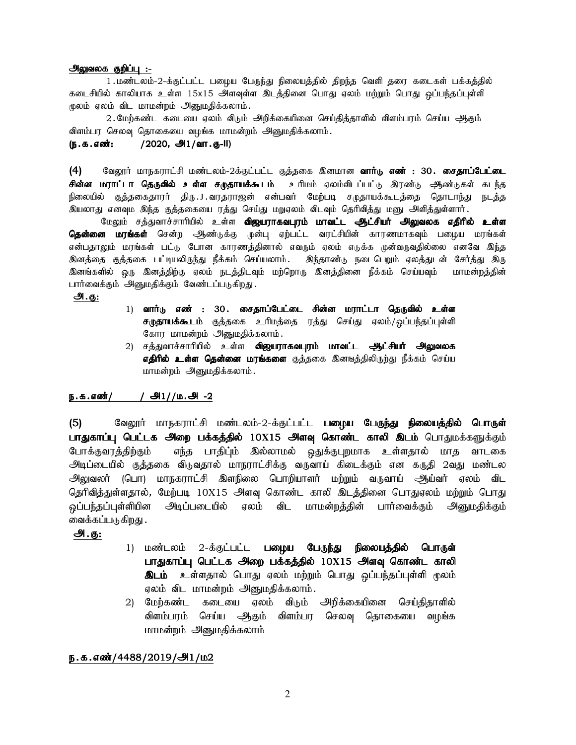### அலுவலக குறிப்பு :-

1. மண்டலம்-2-க்குட்பட்ட பழைய பேருந்து நிலையத்தில் திறந்த வெளி தரை கடைகள் பக்கத்தில் கடைசியில் காலியாக உள்ள 15x15 அளவுள்ள இடத்தினை பொது ஏலம் மற்றும் பொது ஒப்பந்தப்புள்ளி மூலம் ஏலம் விட மாமன்றம் அனுமதிக்கலாம்.

2. மேற்கண்ட கடையை ஏலம் விடும் அறிக்கையினை செய்தித்தாளில் விளம்பரம் செய்ய ஆகும் விளம்பர செலவு தொகையை வழங்க மாமன்றம் அனுமதிக்கலாம்.

(ந.க.எண்: /2020, அ1/வா.கு-II)

 $(4)$  Bில்லூர் மாநகராட்சி மண்டலம்-2க்குட்பட்ட குத்தகை இனமான **வார்டு எண் : 30. சைதாப்பேட்டை சின்ன மராட்டா தெருவில் உள்ள சமுதாயக்கூடம்** உரிமம் ஏலம்விடப்பட்டு இரண்டு —ூண்டுகள் கடந்த நிலையில் குத்தகைதாரர் திரு.J.வரதராஜன் என்பவர் மேற்படி சமுதாயக்கூடத்தை தொடாந்து நடத்த இயலாது எனவும இந்த குத்தகையை ரத்து செய்து மறுஏலம் விடவும் தெரிவித்து மனு அளித்துள்ளார்.

மேலும் சத்துவாச்சாரியில் உள்ள **விஜயராகவபுரம் மாவட்ட ஆட்சியர் அலுவலக எதிரில் உள்ள தென்னை மரங்கள்** சென்ற ஆண்டுக்கு முன்பு ஏற்பட்ட வரட்சியின் காரணமாகவும் பழைய மரங்கள் என்பதாலும் மரங்கள் பட்டு போன காரணத்தினால் எவரும் ஏலம் எடுக்க முன்வருவதில்லை எனவே இந்த .<br>இனத்தை குத்தகை பட்டியலிருந்து நீக்கம் செய்யலாம். இந்தாண்டு நடைபெறும் ஏலத்துடன் சேர்த்து இரு இனங்களில் ஒரு இனத்திற்கு ஏலம் நடத்திடவும் மற்றொரு இனத்தினை நீக்கம் செய்யவும் மாமன்றத்தின் பார்வைக்கும் அனுமதிக்கும் வேண்டப்படுகிறது.

அ.கு:

- 1) வார்டு எண் : 30. சைதாப்பேட்டை சின்ன மராட்டா தெருவில் உள்ள சுமுதாயக்கூடம் குத்தகை உரிமத்தை ரத்து செய்து ஏலம்/ஒப்பந்தப்புள்ளி கோர மாமன்றம் அனுமதிக்கலாம்.
- 2) சத்துவாச்சாரியில் உள்ள **விஜயராகவபுரம் மாவட்ட ஆட்சியர் அலுவலக** எ**திரில் உள்ள தென்னை மரங்களை** குத்தகை இனஙத்திலிருற்து நீக்கம் செய்ய மாமன்றம் அனுமதிக்கலாம்.

# ந.க.எண்/ / அி $1/$ ம.அ -2

(5) வேலூர் மாநகராட்சி மண்டலம்-2-க்குட்பட்ட **பழைய பேருந்து நிலையத்தில் பொருள்** பாதுகாப்பு பெட்டக அறை பக்கத்தில் 10X15 அளவு கொண்ட காலி இடம் பொதுமக்களுக்கும் போக்குவரத்திற்கும் எந்த பாதிப்ும் இல்லாமல் ஒதுக்குபுறமாக உள்ளதால் மாத வாடகை அடிப்டையில் குத்தகை விடுவதால் மாநராட்சிக்கு வருவாய் கிடைக்கும் என கருதி 2வது மண்டல அலுவலர் (பொ) மாநகராட்சி இளநிலை பொறியாளர் மற்றும் வருவாய் ஆய்வர் ஏலம் விட தெரிவித்துள்ளதால், மேற்படி 10X15 அளவு கொண்ட காலி இடத்தினை பொதுஏலம் மற்றும் பொது ஒப்பந்தப்புள்ளியின அடிப்படையில் ஏலம் விட மாமன்றத்தின் பார்வைக்கும் அனுமதிக்கும் வைக்கப்படுகிறது .

# அ.கு:

- 1) மண்டலம் 2-க்குட்பட்ட **பழைய பேருந்து நிலையத்தில் பொருள்** பாதுகாப்பு பெட்டக அறை பக்கத்தில் 10X15 அளவு கொண்ட காலி **இடம்** உள்ளதால் பொது ஏலம் மற்றும் பொது ஒப்பந்தப்புள்ளி மூலம் ஏலம் விட மாமன்றம் அனுமதிக்கலாம்.
- 2) மேற்கண்ட கடையை ஏலம் விடும் அறிக்கையினை செய்திதாளில் விளம்பரம் செய்ய ஆகும் விளம்பர செலவு தொகையை வழங்க மாமன்றம் அனுமதிக்கலாம்

# ந.க.எண்/4488/2019/அ1/ம2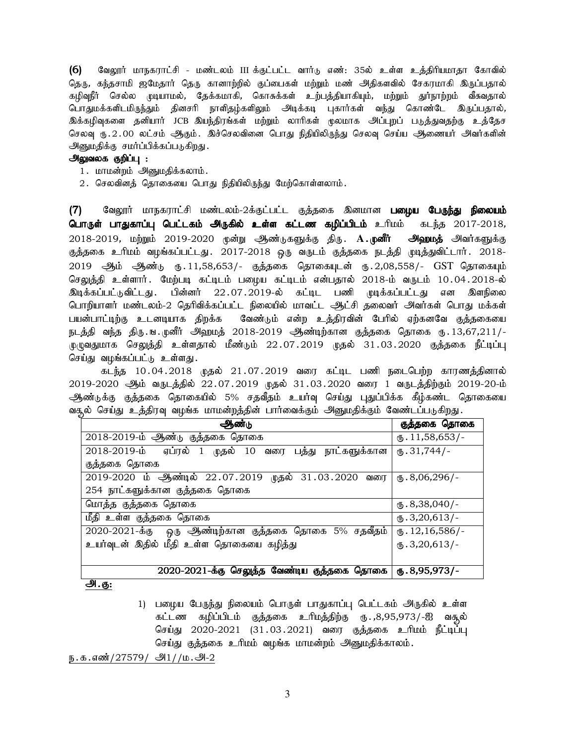(6) வேலூர் மாநகராட்சி - மண்டலம் III க்குட்பட்ட வார்டு எண்: 35ல் உள்ள உத்திரியமாதா கோவில் தெரு, கந்தசாமி ஜமேதார் தெரு கானாற்றில் குப்பைகள் மற்றும் மண் அதிகளவில் சேகரமாகி இருப்பதால் கழிவுநீர் செல்ல முடியாமல், தேக்கமாகி, கொசுக்கள் உற்பத்தியாகியும், மற்றும் துர்நாற்றம் வீசுவதால் பொதுமக்களிடமிருந்தும் தினசரி நாளிதழ்களிலும் அடிக்கடி புகார்கள் வந்து கொண்டே இருப்பதால், இக்கழிவுகளை தனியார் JCB இயந்திரங்கள் மற்றும் லாரிகள் மூலமாக அப்புறப் படுத்துவதற்கு உத்தேச செலவு ரு.2.00 லட்சம் ஆகும். இச்செலவினை பொது நிதியிலிருந்து செலவு செய்ய ஆணையர் அவர்களின் <u> அனுமதிக்கு</u> சமர்ப்பிக்கப்படுகிறது.

# அலுவலக குறிப்பு :

- 1. மாமன்றம் அனுமதிக்கலாம்.
- 2. செலவினத் தொகையை பொது நிதியிலிருந்து மேற்கொள்ளலாம்.

வேலூர் மாநகராட்சி மண்டலம்-2க்குட்பட்ட குத்தகை இனமான **பழைய பேருந்து நிலையம்**  $(7)$ **பொருள் பாதுகாப்பு பெட்டகம் அருகில் உள்ள கட்டண கழிப்பிடம்** உரிமம் கடந்த 2017-2018, 2018-2019, மற்றும் 2019-2020 முன்று ஆூண்டுகளுக்கு திரு. **A.முனீர் அஹமத்** அவர்களுக்கு குத்தகை உரிமம் வழங்கப்பட்டது. 2017-2018 ஒரு வருடம் குத்தகை நடத்தி முடித்துவிட்டார். 2018-2019 ஆம் ஆண்டு ரு.11,58,653/- குத்தகை தொகையுடன் ரு.2,08,558/- GST தொகையும் செலுத்தி உள்ளார். மேற்படி கட்டிடம் பழைய கட்டிடம் என்பதால் 2018-ம் வருடம் 10.04.2018-ல் பின்னர் 22.07.2019-ல் கட்டிட பணி முடிக்கப்பட்டது என இளநிலை இடிக்கப்பட்டுவிட்டது . பொறியாளர் மண்டலம்-2 தெரிவிக்கப்பட்ட நிலையில் மாவட்ட ஆட்சி தலைவர் அவர்கள் பொது மக்கள் பயன்பாட்டிற்கு உடனடியாக திறக்க வேண்டும் என்ற உத்திரவின் பேரில் ஏற்கனவே குத்தகையை நடத்தி வந்த திரு ங முனீர் அஹமத் 2018-2019 ஆண்டிற்கான குத்தகை தொகை ரு. 13,67,211/-முழுவதுமாக செலுத்தி உள்ளதால் மீண்டும் 22.07.2019 முதல் 31.03.2020 குத்தகை நீட்டிப்பு செய்து வழங்கப்பட்டு உள்ளது.

கடந்த 10.04.2018 முதல் 21.07.2019 வரை கட்டிட பணி நடைபெற்ற காரணத்தினால் 2019-2020 ஆம் வருடத்தில் 22.07.2019 முதல் 31.03.2020 வரை 1 வருடத்திற்கும் 2019-20-ம் ஆண்டுக்கு குத்தகை தொகையில் 5% சதவீதம் உயர்வு செய்து புதுப்பிக்க கீழ்கண்ட தொகையை வதுல் செய்து உத்திரவு வழங்க மாமன்றத்தின் பார்வைக்கும் அனுமதிக்கும் வேண்டப்படுகிறது.

| ஆண்டு                                                 | குத்தகை தொகை               |
|-------------------------------------------------------|----------------------------|
| 2018-2019-ம் ஆண்டு குத்தகை தொகை                       | $\text{I}1, 58, 653$ /-    |
| 2018-2019-ம் ஏப்ரல் 1 முதல் 10 வரை பத்து நாட்களுக்கான | $\times$ 31,744/-          |
| குத்தகை தொகை                                          |                            |
| 2019-2020 ம் ஆண்டில் 22.07.2019 முதல் 31.03.2020 வரை  | $\mathbf{t}$ . 8,06,296/-  |
| 254 நாட்களுக்கான குத்தகை தொகை                         |                            |
| மொத்த குத்தகை தொகை                                    | $\mathbf{L}$ .8,38,040/-   |
| மீதி உள்ள குத்தகை தொகை                                | $\text{I}$ .3,20,613/-     |
| 2020-2021-க்கு ஒரு ஆண்டிற்கான குத்தகை தொகை 5% சதவீதம் | $\mathbf{L}$ . 12,16,586/- |
| உயர்வுடன் இதில் மீதி உள்ள தொகையை கழித்து              | $(D.3,20,613)$ -           |
|                                                       |                            |
| 2020-2021-க்கு செலுத்த வேண்டிய குத்தகை தொகை<br>Аı     | $\omega$ .8,95,973/-       |

#### <u>அ.கு:</u>

1) பழைய பேருந்து நிலையம் பொருள் பாதுகாப்பு பெட்டகம் அருகில் உள்ள கட்டண கழிப்பிடம் குத்தகை உரிமத்திற்கு ரூ.,8,95,973/-ஐ வசூல் செய்து 2020-2021 (31.03.2021) வரை குத்தகை உரிமம் நீட்டிப்பு செய்து குத்தகை உரிமம் வழங்க மாமன்றம் அனுமதிக்காலம்.

ந.க.எண்/27579/ அி1//ம.அ-2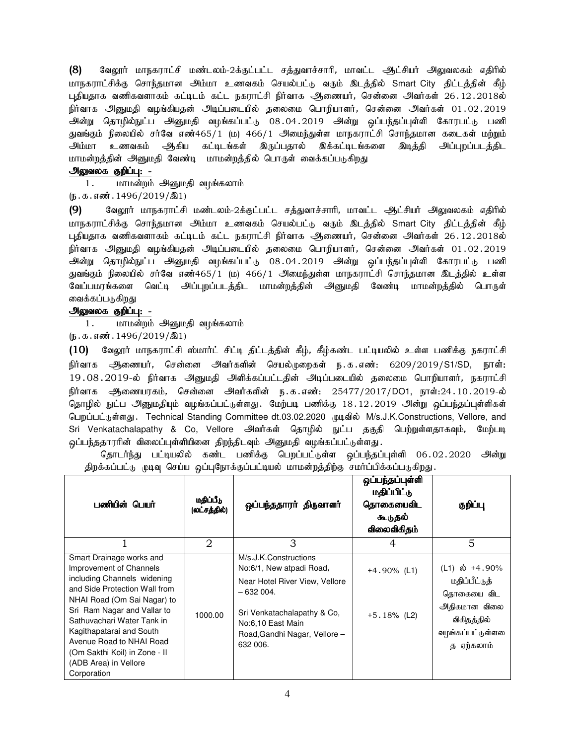(8) வேலூர் மாநகராட்சி மண்டலம்-2க்குட்பட்ட சத்துவாச்சாரி, மாவட்ட ஆட்சியர் அலுவலகம் எதிரில் மாநகராட்சிக்கு சொந்தமான அம்மா உணவகம் செயல்பட்டு வரும் இடத்தில் Smart City திட்டத்தின் கீழ் புதியதாக வணிகவளாகம் கட்டிடம் கட்ட நகராட்சி நிர்வாக அணையர், சென்னை அவர்கள் 26.12.2018ல் நிர்வாக அனுமதி வழங்கியதன் அடிப்படையில் தலைமை பொறியாளர், சென்னை அவர்கள் 01.02.2019 அன்று தொழில்நுட்ப அனுமதி வழங்கப்பட்டு 08.04.2019 அன்று ஒப்பந்தப்புள்ளி கோரபட்டு பணி துவங்கும் நிலையில் சர்வே எண்465/1 (ம) 466/1 அமைந்துள்ள மாநகராட்சி சொந்தமான கடைகள் மற்றும் அம்மா உணவகம் ஆகிய கட்டிடங்கள் இருப்பதால் இக்கட்டிடங்களை இடித்தி அப்புறப்படத்திட மாமன்றத்தின் அனுமதி வேண்டி மாமன்றத்தில் பொருள் வைக்கப்படுகிறது

# அலுவலக குறிப்பு: -

1. மாமன்றம் அனுமதி வழங்கலாம்

 $(5.5.5.5\text{m}^2, 1496/2019/\text{m}^2)$ 

(9) வேலூர் மாநகராட்சி மண்டலம்-2க்குட்பட்ட சத்துவாச்சாரி, மாவட்ட ஆட்சியர் அலுவலகம் எதிரில் மாநகராட்சிக்கு சொந்தமான அம்மா உணவகம் செயல்பட்டு வரும் இடத்தில் Smart City திட்டத்தின் கீழ் புதியதாக வணிகவளாகம் கட்டிடம் கட்ட நகராட்சி நிர்வாக அணையர், சென்னை அவர்கள் 26.12.2018ல் நிர்வாக அனுமதி வழங்கியதன் அடிப்படையில் தலைமை பொறியாளர், சென்னை அவர்கள் 01.02.2019 அன்று தொழில்நுட்ப அனுமதி வழங்கப்பட்டு 08.04.2019 அன்று ஒப்பந்தப்புள்ளி கோரபட்டு பணி துவங்கும் நிலையில் சர்வே எண்465/1 (ம) 466/1 அமைந்துள்ள மாநகராட்சி சொந்தமான இடத்தில் உள்ள வேப்பமரங்களை வெட்டி அப்புறப்படத்திட மாமன்றத்தின் அனுமதி வேண்டி மாமன்றத்தில் பொருள் வைக்கப்படுகிறது

## அலுவலக குறிப்பு: -

1. மாமன்றம் அனுமதி வழங்கலாம்

 $(\mathfrak{g.5.4}$   $\ddot{\text{aa}}.1496/2019/\text{a1})$ 

 $(10)$  வேலூர் மாநகராட்சி ஸ்மார்ட் சிட்டி திட்டத்தின் கீழ், கீழ்கண்ட பட்டியலில் உள்ள பணிக்கு நகராட்சி நிர்வாக அணையர், சென்னை அவர்களின் செயல்முறைகள் ந.க.எண்: 6209/2019/S1/SD, நாள்: 19.08.2019-ல் நிர்வாக அனுமதி அளிக்கப்பட்டதின் அடிப்படையில் தலைமை பொறியாளர், நகராட்சி நிர்வாக அணையரகம், சென்னை அவர்களின் ந.க.எண்: 25477/2017/DO1, நாள்:24.10.2019-ல் தொழில் நுட்ப அனுமதியும் வழங்கப்பட்டுள்ளது. மேற்படி பணிக்கு 18.12.2019 அன்று ஒப்பந்தப்புள்ளிகள் பெறப்பட்டுள்ளது. Technical Standing Committee dt.03.02.2020 முடிவில் M/s.J.K.Constructions, Vellore, and Sri Venkatachalapathy & Co, Vellore அவர்கள் தொழில் நுட்ப தகுதி பெற்றுள்ளதாகவும், மேற்படி ஒப்பந்ததாரரின் விலைப்புள்ளியினை திறந்திடவும் அ<u>னு</u>மதி வழங்கப்பட்டுள்ளது.

தொடர்ந்து பட்டியலில் கண்ட பணிக்கு பெறப்பட்டுள்ள ஒப்பந்தப்புள்ளி 06.02.2020 அன்று திறக்கப்பட்டு முடிவு செய்ய ஒப்புநோக்குப்பட்டியல் மாமன்றத்திற்கு சமர்ப்பிக்கப்படுகிறது.

| பணியின் பெயர்                                                                                                                                                                                                                                                                                                                                    | மதிப்பீடு<br>(லட்சத்தில்) | ஒப்பந்ததாரர் திருவாளர்                                                                                                                                                                             | ஒப்பந்தப்புள்ளி<br>மதிப்பிட்டு<br>தொகையைவிட<br>கூடுதல்<br>விலைவிகிதம் | குறிப்பு                                                                                                        |
|--------------------------------------------------------------------------------------------------------------------------------------------------------------------------------------------------------------------------------------------------------------------------------------------------------------------------------------------------|---------------------------|----------------------------------------------------------------------------------------------------------------------------------------------------------------------------------------------------|-----------------------------------------------------------------------|-----------------------------------------------------------------------------------------------------------------|
|                                                                                                                                                                                                                                                                                                                                                  | 2                         | 3                                                                                                                                                                                                  | 4                                                                     | 5                                                                                                               |
| Smart Drainage works and<br>Improvement of Channels<br>including Channels widening<br>and Side Protection Wall from<br>NHAI Road (Om Sai Nagar) to<br>Sri Ram Nagar and Vallar to<br>Sathuvachari Water Tank in<br>Kagithapatarai and South<br>Avenue Road to NHAI Road<br>(Om Sakthi Koil) in Zone - II<br>(ADB Area) in Vellore<br>Corporation | 1000.00                   | M/s.J.K.Constructions<br>No:6/1, New atpadi Road,<br>Near Hotel River View, Vellore<br>$-632004.$<br>Sri Venkatachalapathy & Co.<br>No:6,10 East Main<br>Road, Gandhi Nagar, Vellore -<br>632 006. | $+4.90\%$ (L1)<br>$+5.18\%$ (L2)                                      | (L1) ல் +4.90%<br>மதிப்பீட்டுத்<br>தொகையை விட<br>அதிகமான விலை<br>விகிதத்தில்<br>வழங்கப்பட்டுள்ளனை<br>த ஏற்கலாம் |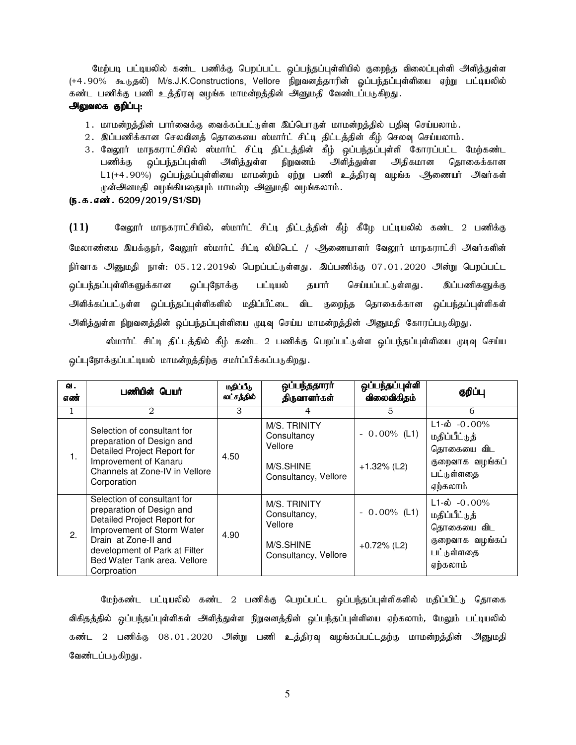மேற்படி பட்டியலில் கண்ட பணிக்கு பெறப்பட்ட ஒப்பந்தப்புள்ளியில் குறைந்த விலைப்புள்ளி அிளித்துள்ள (+4.90% கூடுதல்) M/s.J.K.Constructions, Vellore நிறுவனத்தாரின் ஒப்பந்தப்புள்ளியை ஏற்று பட்டியலில் கண்ட பணிக்கு பணி உத்திரவு வழங்க மாமன்றத்தின் அனுமதி வேண்டப்படுகிறது.

#### அலுவலக குறிப்பு:

- 1. மாமன்றத்தின் பார்வைக்கு வைக்கப்பட்டுள்ள இப்பொருள் மாமன்றத்தில் பதிவு செய்யலாம்.
- 2. இப்பணிக்கான செலவினத் தொகையை ஸ்மார்ட் சிட்டி திட்டத்தின் கீழ் செலவு செய்யலாம்.
- 3. வேலூர் மாநகராட்சியில் ஸ்மார்ட் சிட்டி திட்டத்தின் கீழ் ஒப்பந்தப்புள்ளி கோரப்பட்ட மேற்கண்ட பணிக்கு ஒப்பந்தப்புள்ளி அளித்துள்ள நிறுவனம் அளித்துள்ள அதிகமான தொகைக்கான L1(+4.90%) ஒப்பந்தப்புள்ளியை மாமன்றம் ஏற்று பணி உத்திரவு வழங்க ஆணையர் அவர்கள் முன்அனமதி வழங்கியதையும் மாமன்ற அனுமதி வழங்கலாம்.
- (ந.க.எண். 6209/2019/S1/SD)

 $(11)$  கேலூர் மாநகராட்சியில், ஸ்மார்ட் சிட்டி திட்டத்தின் கீழ் கீழே பட்டியலில் கண்ட 2 பணிக்கு மேலாண்மை இயக்குநர், வேலூர் ஸ்மார்ட் சிட்டி லிமிடெட் / ஆணையாளர் வேலூர் மாநகராட்சி அவர்களின் நிர்வாக அனுமதி நாள்: 05.12.2019ல் பெறப்பட்டுள்ளது. இப்பணிக்கு 07.01.2020 அன்று பெறப்பட்ட <u>ஒ</u>ப்பந்தப்புள்ளிகளுக்கான ஒப்புநோக்கு பட்டியல் தயார் செய்யப்பட்டுள்ளது . இப்பணிகளுக்கு அிளிக்கப்பட்டுள்ள ஒப்பந்தப்புள்ளிகளில் மதிப்பீட்டை விட குறைந்த தொகைக்கான ஒப்பந்தப்புள்ளிகள் அளித்துள்ள நிறுவனத்தின் ஒப்பந்தப்புள்ளியை முடிவு செய்ய மாமன்றத்தின் அனுமதி கோரப்படுகிறது.

ஸ்மார்ட் சிட்டி திட்டத்தில் கீழ் கண்ட 2 பணிக்கு பெறப்பட்டுள்ள ஒப்பந்தப்புள்ளியை முடிவு செய்ய ஒப்புநோக்குப்பட்டியல் மாமன்றத்திற்கு சமர்ப்பிக்கப்படுகிறது.

| வ.<br>எண் | பணியின் பெயர்                                                                                                                                                                                                                 | மதிப்பீடு<br>லட்சத்தில் | ஒப்பந்ததாரா<br>திருவாளர்கள்                                                  | ஒப்பந்தப்புள்ளி<br>விலைவிகிதம்   | குறிப்பு                                                                                               |
|-----------|-------------------------------------------------------------------------------------------------------------------------------------------------------------------------------------------------------------------------------|-------------------------|------------------------------------------------------------------------------|----------------------------------|--------------------------------------------------------------------------------------------------------|
| 1         | 2                                                                                                                                                                                                                             | 3                       | 4                                                                            | 5                                | 6                                                                                                      |
| 1.        | Selection of consultant for<br>preparation of Design and<br>Detailed Project Report for<br>Improvement of Kanaru<br>Channels at Zone-IV in Vellore<br>Corporation                                                             | 4.50                    | M/S. TRINITY<br>Consultancy<br>Vellore<br>M/S.SHINE<br>Consultancy, Vellore  | $-0.00\%$ (L1)<br>$+1.32\%$ (L2) | $\overline{L1}$ -ல் -0.00%<br>மதிப்பீட்டுத்<br>தொகையை விட<br>குறைவாக வழங்கப்<br>பட்டுள்ளதை<br>ஏற்கலாம் |
| 2.        | Selection of consultant for<br>preparation of Design and<br>Detailed Project Report for<br>Improvement of Storm Water<br>Drain at Zone-II and<br>development of Park at Filter<br>Bed Water Tank area. Vellore<br>Corproation | 4.90                    | M/S. TRINITY<br>Consultancy,<br>Vellore<br>M/S.SHINE<br>Consultancy, Vellore | $-0.00\%$ (L1)<br>$+0.72%$ (L2)  | $L1 - \phi$ -0.00%<br>மதிப்பீட்டுத்<br>தொகையை விட<br>குறைவாக வழங்கப்<br>பட்டுள்ளதை<br>ஏற்கலாம்         |

மேற்கண்ட பட்டியலில் கண்ட 2 பணிக்கு பெறப்பட்ட ஒப்பந்தப்புள்ளிகளில் மதிப்பிட்டு தொகை விகிதத்தில் ஒப்பந்தப்புள்ளிகள் அளித்துள்ள நிறுவனத்தின் ஒப்பந்தப்புள்ளியை ஏற்கலாம், மேலும் பட்டியலில் கண்ட 2 பணிக்கு 08.01.2020 அன்று பணி உத்திரவு வழங்கப்பட்டதற்கு மாமன்றத்தின் அனுமதி வேண்டப்படுகிறது .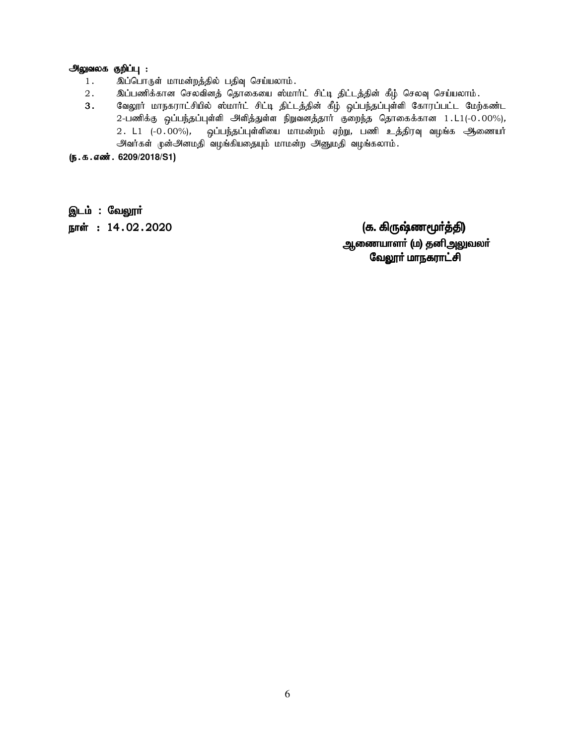# **அலுவலக குறிப்பு :**<br>1 : இப்பொரு

- 1. ng;bghUs; khkd;wj;jpy; gjpt[ bra;ayhk;.
- 2. ng;gzpf;fhd brytpdj; bjhifia !;khh;l; rpl;o jpl;lj;jpd; fPH; bryt[ bra;ayhk;.
- வேலூர் மாநகராட்சியில் ஸ்மார்ட் சிட்டி திட்டத்தின் கீழ் ஒப்பந்தப்புள்ளி கோரப்பட்ட மேற்கண்ட 2-பணிக்கு ஒப்பந்தப்புள்ளி அளித்துள்ள நிறுவனத்தார் குறைந்த தொகைக்கான 1.L1(-0.00%),  $2.$  L1  $(-0.00\%)$ , ஒப்பந்தப்புள்ளியை மாமன்றம் ஏற்று, பணி உத்திரவு வழங்க ஆணையா் அவர்கள் முன்அனமதி வழங்கியதையும் மாமன்ற அனுமதி வழங்கலாம்.

(ந.க.எண். 6209/2018/S1)

இடம் : வேலூர்

ehŸ :14.02.2020 (f. »UZz\_®¤Â) f. »UZz\_®¤Â) ஆணையாளா் (ம) தனிஅலுவலா் வேலூா் மாநகராட்சி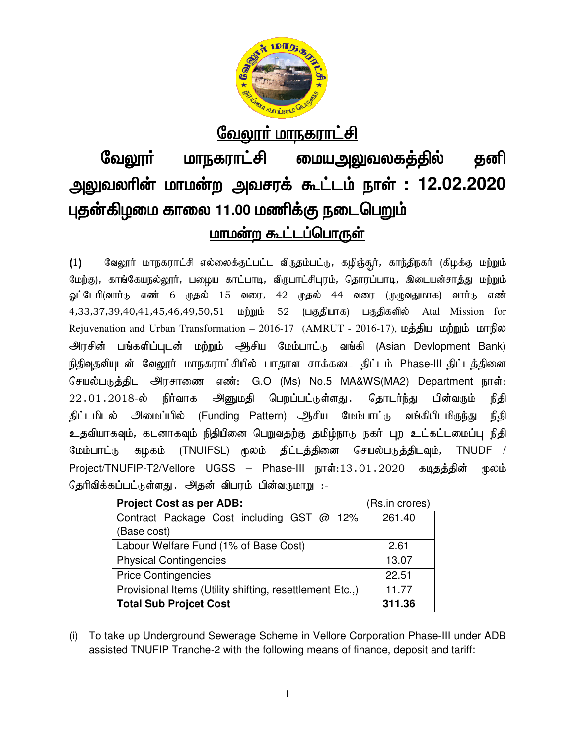

# <u>வேலூர் மாநகராட்சி</u>

# வேலூா் மாநகராட்சி <u>மையஅலுவலகத்தில்</u> தனி அலுவலரின் மாமன்ற அவசரக் கூட்டம் நாள் : 12.02.2020 புதன்கிழமை காலை 11.00 மணிக்கு நடைபெறும் <u>மாமன்ற கூட்டப்பொருள்</u>

வேலூர் மாநகராட்சி எல்லைக்குட்பட்ட விருதம்பட்டு, கழிஞ்சூர், காந்திநகர் (கிழக்கு மற்றும்  $(1)$ மேற்கு), காங்கேயநல்லூர், பழைய காட்பாடி, விருபாட்சிபுரம், தொரப்பாடி, இடையன்சாத்து மற்றும் <u>ஓ</u>ட்டேரி(வார்டு எண் 6 முதல் 15 வரை, 42 முதல் 44 வரை (முழுவதுமாக) வார்டு எண் 4,33,37,39,40,41,45,46,49,50,51 மற்றும் 52 (பகுதியாக) பகுதிகளில் Atal Mission for Rejuvenation and Urban Transformation – 2016-17 (AMRUT - 2016-17), மத்திய மற்றும் மாநில அரசின் பங்களிப்புடன் மற்றும் ஆசிய மேம்பாட்டு வங்கி (Asian Devlopment Bank) நிதிவுதவியுடன் வேலூர் மாநகராட்சியில் பாதாள சாக்கடை திட்டம் Phase-III திட்டத்தினை செயல்படுத்திட அரசாணை எண்: G.O (Ms) No.5 MA&WS(MA2) Department நாள்: அனுமதி பெறப்பட்டுள்ளது .  $22.01.2018$ -ல் நிர்வாக தொடர்ந்து பின்வரும் நிதி திட்டமிடல் அமைப்பில் (Funding Pattern) ஆசிய மேம்பாட்டு வங்கியிடமிருந்து நிதி உதவியாகவும், கடனாகவும் நிதியினை பெறுவதற்கு தமிழ்நாடு நகர் புற உட்கட்டமைப்பு நிதி கழகம் (TNUIFSL) மூலம் திட்டத்தினை செயல்படுத்திடவும், மேம்பாட்டு TNUDF / Project/TNUFIP-T2/Vellore UGSS – Phase-III நாள்:13.01.2020 கடிதத்தின் மூலம் தெரிவிக்கப்பட்டுள்ளது . அதன் விபரம் பின்வருமாறு :-

| <b>Project Cost as per ADB:</b>                          | (Rs.in crores) |
|----------------------------------------------------------|----------------|
| Contract Package Cost including GST @ 12%                | 261.40         |
| (Base cost)                                              |                |
| Labour Welfare Fund (1% of Base Cost)                    | 2.61           |
| <b>Physical Contingencies</b>                            | 13.07          |
| <b>Price Contingencies</b>                               | 22.51          |
| Provisional Items (Utility shifting, resettlement Etc.,) | 11.77          |
| <b>Total Sub Projcet Cost</b>                            | 311.36         |

(i) To take up Underground Sewerage Scheme in Vellore Corporation Phase-III under ADB assisted TNUFIP Tranche-2 with the following means of finance, deposit and tariff: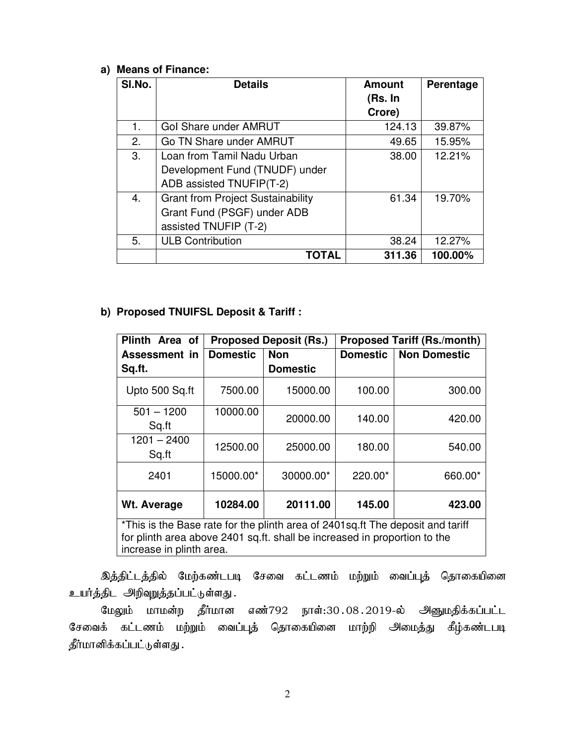# **a) Means of Finance:**

| SI.No. | <b>Details</b>                           | <b>Amount</b><br>(Rs. In<br>Crore) | Perentage |
|--------|------------------------------------------|------------------------------------|-----------|
| 1.     | Gol Share under AMRUT                    | 124.13                             | 39.87%    |
| 2.     | Go TN Share under AMRUT                  | 49.65                              | 15.95%    |
| 3.     | Loan from Tamil Nadu Urban               | 38.00                              | 12.21%    |
|        | Development Fund (TNUDF) under           |                                    |           |
|        | ADB assisted TNUFIP(T-2)                 |                                    |           |
| 4.     | <b>Grant from Project Sustainability</b> | 61.34                              | 19.70%    |
|        | Grant Fund (PSGF) under ADB              |                                    |           |
|        | assisted TNUFIP (T-2)                    |                                    |           |
| 5.     | <b>ULB Contribution</b>                  | 38.24                              | 12.27%    |
|        | TOTAL                                    | 311.36                             | 100.00%   |

# **b) Proposed TNUIFSL Deposit & Tariff :**

| Plinth Area of                                                                                                                                                                            | <b>Proposed Deposit (Rs.)</b> |                 | <b>Proposed Tariff (Rs./month)</b> |                     |  |
|-------------------------------------------------------------------------------------------------------------------------------------------------------------------------------------------|-------------------------------|-----------------|------------------------------------|---------------------|--|
| Assessment in                                                                                                                                                                             | <b>Domestic</b>               | <b>Non</b>      | <b>Domestic</b>                    | <b>Non Domestic</b> |  |
| Sq.ft.                                                                                                                                                                                    |                               | <b>Domestic</b> |                                    |                     |  |
| Upto 500 Sq.ft                                                                                                                                                                            | 7500.00                       | 15000.00        | 100.00                             | 300.00              |  |
| $501 - 1200$<br>Sq.ft                                                                                                                                                                     | 10000.00                      | 20000.00        | 140.00                             | 420.00              |  |
| 1201 – 2400<br>Sq.ft                                                                                                                                                                      | 12500.00                      | 25000.00        | 180.00                             | 540.00              |  |
| 2401                                                                                                                                                                                      | 15000.00*                     | 30000.00*       | $220.00*$                          | 660.00*             |  |
| Wt. Average                                                                                                                                                                               | 10284.00                      | 20111.00        | 145.00                             | 423.00              |  |
| *This is the Base rate for the plinth area of 2401 sq. ft The deposit and tariff<br>for plinth area above 2401 sq.ft. shall be increased in proportion to the<br>increase in plinth area. |                               |                 |                                    |                     |  |

இத்திட்டத்தில் மேற்கண்டபடி சேவை கட்டணம் மற்றும் வைப்புத் தொகையினை உயர்த்திட அிிவுறுத்தப்பட்டுள்ளது.

மேலும் மாமன்ற தீர்மான எண்792 நாள்:30 $.08.2019$ -ல் அனுமதிக்கப்பட்ட சேவைக் கட்டணம் மற்றும் வைப்புத் தொகையினை மாற்றி அமைத்து கீழ்கண்டபடி தீர்மானிக்கப்பட்டுள்ளது .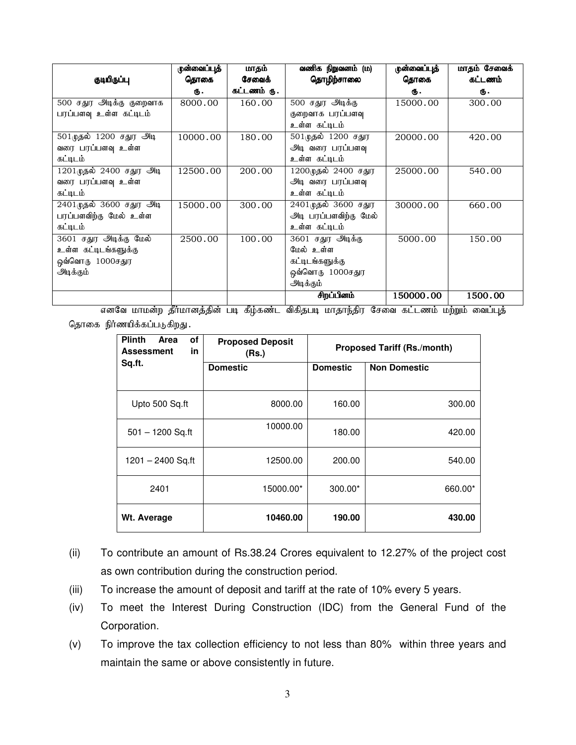|                                       | முன்வைப்புத் | மாதம்       | வணிக நிறுவனம் (ம)     | ருன்வைப்புத் | மாதம் சேவைக் |
|---------------------------------------|--------------|-------------|-----------------------|--------------|--------------|
| குடியிருப்பு                          | கொகை         | சேவைக்      | தொழிற்சாலை            | தொகை         | கட்டணம்      |
|                                       | ₲.           | கட்டணம் ரு. |                       | Ф.           | Φ.           |
| 500 சதுர அடிக்கு குறைவாக              | 8000.00      | 160.00      | 500 சதுர அடிக்கு      | 15000.00     | 300.00       |
| பரப்பளவு உள்ள கட்டிடம்                |              |             | குறைவாக பரப்பளவு      |              |              |
|                                       |              |             | உள்ள கட்டிடம்         |              |              |
| 501 முதல் 1200 சதுர அடி               | 10000.00     | 180.00      | 501 முதல் 1200 சதுர   | 20000.00     | 420.00       |
| வரை பரப்பளவு உள்ள                     |              |             | அடி வரை பரப்பளவு      |              |              |
| கட்டிடம்                              |              |             | உள்ள கட்டிடம்         |              |              |
| $\overline{1201}$ முதல் 2400 சதுர அடி | 12500.00     | 200.00      | 1200முதல் 2400 சதுர   | 25000.00     | 540.00       |
| வரை பரப்பளவு உள்ள                     |              |             | அடி வரை பரப்பளவு      |              |              |
| கட்டிடம்                              |              |             | உள்ள கட்டிடம்         |              |              |
| 2401 முதல் 3600 சதுர அடி              | 15000.00     | 300.00      | 2401முதல் 3600 சதுர   | 30000.00     | 660.00       |
| பரப்பளவிற்கு மேல் உள்ள                |              |             | அடி பரப்பளவிற்கு மேல் |              |              |
| கட்டிடம்                              |              |             | உள்ள கட்டிடம்         |              |              |
| 3601 சதுர அடிக்கு மேல்                | 2500.00      | 100.00      | 3601 சதுர அடிக்கு     | 5000.00      | 150.00       |
| உள்ள கட்டிடங்களுக்கு                  |              |             | மேல் உள்ள             |              |              |
| ஒவ்வொரு 1000சதுர                      |              |             | கட்டிடங்களுக்கு       |              |              |
| அடிக்கும்                             |              |             | ஒவ்வொரு 1000சதுர      |              |              |
|                                       |              |             | அடிக்கும்             |              |              |
|                                       |              |             | சிறப்பினம்            | 150000.00    | 1500.00      |

எனவே மாமன்ற தீர்மானத்தின் படி கீழ்கண்ட விகிதபடி மாதாந்திர சேவை கட்டணம் மற்றும் வைப்புத் தொகை நிர்ணயிக்கப்படுகிறது.

| <b>Plinth</b><br>of<br>Area<br>in<br><b>Assessment</b> | <b>Proposed Deposit</b><br>(Rs.) | <b>Proposed Tariff (Rs./month)</b> |                     |  |
|--------------------------------------------------------|----------------------------------|------------------------------------|---------------------|--|
| Sq.ft.                                                 | <b>Domestic</b>                  | <b>Domestic</b>                    | <b>Non Domestic</b> |  |
| Upto 500 Sq.ft                                         | 8000.00                          | 160.00                             | 300.00              |  |
| $501 - 1200$ Sq.ft                                     | 10000.00                         | 180.00                             | 420.00              |  |
| $1201 - 2400$ Sq.ft                                    | 12500.00                         | 200.00                             | 540.00              |  |
| 2401                                                   | 15000.00*                        | $300.00*$                          | 660.00*             |  |
| Wt. Average                                            | 10460.00                         | 190.00                             | 430.00              |  |

- (ii) To contribute an amount of Rs.38.24 Crores equivalent to 12.27% of the project cost as own contribution during the construction period.
- (iii) To increase the amount of deposit and tariff at the rate of 10% every 5 years.
- (iv) To meet the Interest During Construction (IDC) from the General Fund of the Corporation.
- (v) To improve the tax collection efficiency to not less than 80% within three years and maintain the same or above consistently in future.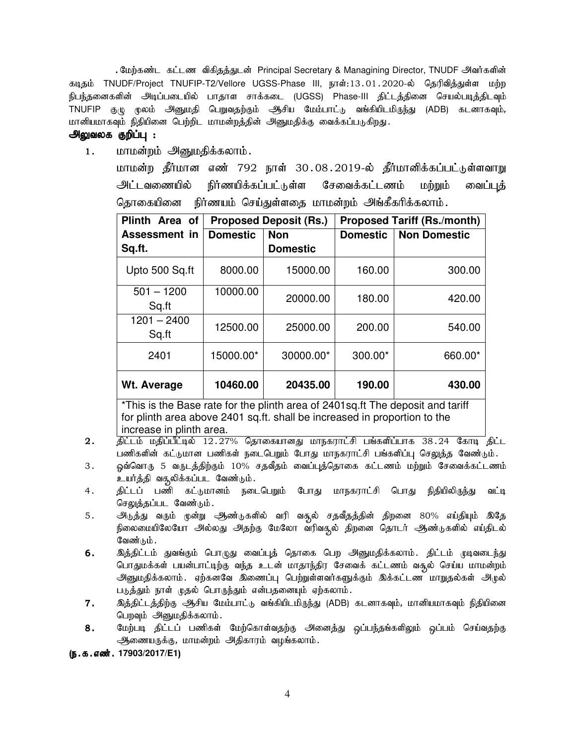. மேற்கண்ட கட்டண விகிதத்துடன் Principal Secretary & Managining Director, TNUDF அவர்களின் கடிதம் TNUDF/Project TNUFIP-T2/Vellore UGSS-Phase III, நாள்:13.01.2020-ல் தெரிவித்துள்ள மற்ற நிபந்தனைகளின் அடிப்படையில் பாதாள சாக்கடை (UGSS) Phase-III திட்டத்தினை செயல்படித்திடவும் TNUFIP குழு மூலம் அனுமதி பெறுவதற்கும் ஆசிய மேம்பாட்டு வங்கியிடமிருந்து (ADB) கடனாகவும், மானியமாகவும் நிதியினை பெற்றிட மாமன்றத்தின் அனுமதிக்கு வைக்கப்படுகிறது.

# அலுவலக குறிப்பு :

1. மாமன்றம் அனுமதிக்கலாம்.

மாமன்ற தீர்மான எண் 792 நாள் 30.08.2019-ல் தீர்மானிக்கப்பட்டுள்ளவாறு <u>அட்டவணையில் நிர்ணயிக்கப்பட்டுள்ள சேவைக்கட்டணம் மற்றும் வைப்புக்</u> தொகையினை நிர்ணயம் செய்துள்ளதை மாமன்றம் அங்கீகரிக்கலாம்.

| Plinth Area of                                                                 | <b>Proposed Deposit (Rs.)</b> |                 | <b>Proposed Tariff (Rs./month)</b> |                     |
|--------------------------------------------------------------------------------|-------------------------------|-----------------|------------------------------------|---------------------|
| Assessment in                                                                  | <b>Domestic</b>               | <b>Non</b>      | <b>Domestic</b>                    | <b>Non Domestic</b> |
| Sq.ft.                                                                         |                               | <b>Domestic</b> |                                    |                     |
| Upto 500 Sq.ft                                                                 | 8000.00                       | 15000.00        | 160.00                             | 300.00              |
| $501 - 1200$<br>Sq.ft                                                          | 10000.00                      | 20000.00        | 180.00                             | 420.00              |
| $1201 - 2400$<br>Sq.ft                                                         | 12500.00                      | 25000.00        | 200.00                             | 540.00              |
| 2401                                                                           | 15000.00*                     | 30000.00*       | 300.00*                            | 660.00*             |
| Wt. Average                                                                    | 10460.00                      | 20435.00        | 190.00                             | 430.00              |
| *Thio in the Bees rote for the plinth eres of 2401eg ft The depenit and teriff |                               |                 |                                    |                     |

This is the Base rate for the plinth area of 2401sq.ft The deposit and tariff for plinth area above 2401 sq.ft. shall be increased in proportion to the increase in plinth area.

- 2. நிட்டம் மதிப்பீட்டில் 12.27% தொகையானது மாநகராட்சி பங்களிப்பாக 38.24 கோடி திட்ட பணிகளின் கட்டுமான பணிகள் நடைபெறும் போது மாநகராட்சி பங்களிப்பு செலுத்த வேண்டும்.
- 3. ஓவ்வொரு 5 வருடத்திற்கும் 10% சதவீதம் வைப்புத்தொகை கட்டணம் மற்றும் சேவைக்கட்டணம் உயர்த்தி வசூலிக்கப்பட வேண்டும்.
- 4. திட்டப் பணி கட்டுமானம் நடைபெறும் போது மாநகராட்சி பொது நிதியிலிருந்து வட்டி செலுத்தப்பட வேண்டும்.
- 5. அடுத்து வரும் முன்று அண்டுகளில் வரி வசூல் சதவீதத்தின் திறனை 80% எய்தியும் இதே நிலைமையிலேயோ அல்லது அதற்கு மேலோ வரிவசூல் திறனை தொடர் ஆண்டுகளில் எய்திடல் வேண்டும்.
- 6. nj;jpl;lk; JtA;Fk; bghGJ itg;g[j; bjhif bgw mDkjpf;fyhk;. jpl;lk; Kotile;J பொதுமக்கள் பயன்பாட்டிற்கு வந்த உடன் மாதாந்திர சேவைக் கட்டணம் வசூல் செய்ய மாமன்றம் அனுமதிக்கலாம். ஏற்கனவே இணைப்பு பெற்றுள்ளவர்களுக்கும் இக்கட்டண மாறுதல்கள் அழுல் படுத்தும் நாள் முதல் பொருந்தும் என்பதனையும் ஏற்கலாம்.
- $7.$  இத்திட்டத்திற்கு ஆசிய மேம்பாட்டு வங்கியிடமிருந்து (ADB) கடனாகவும், மானியமாகவும் நிதியினை பெறவும் அனுமதிக்கலாம்.
- 8. மேற்படி திட்டப் பணிகள் மேற்கொள்வதற்கு அனைத்து ஒப்பந்தங்களிலும் ஒப்பம் செய்வதற்கு <u>ஆ</u>ணையருக்கு, மாமன்றம் அதிகாரம் வழங்கலாம்.

(ந.க.எண். 17903/2017/E1)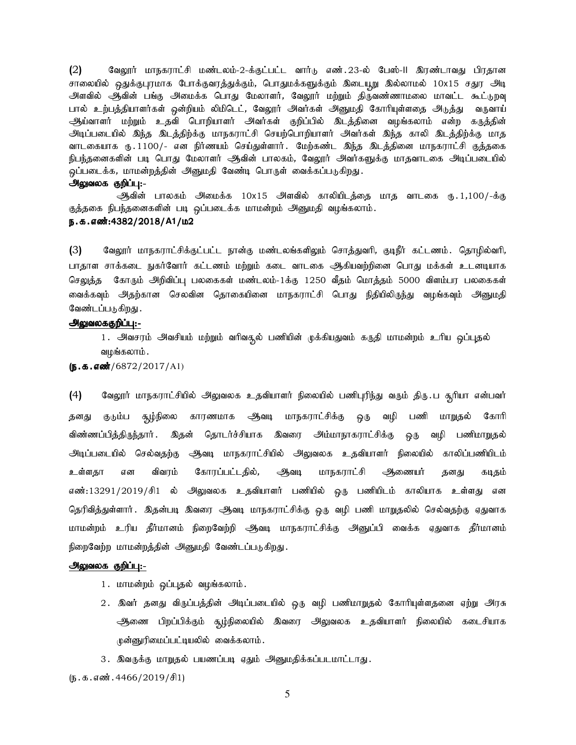$(2)$ வேலூர் மாநகராட்சி மண்டலம்-2-க்குட்பட்ட வார்டு எண்.23-ல் பேஸ்-II இரண்டாவது பிரதான சாலையில் ஒதுக்குபுரமாக போக்குவரத்துக்கும், பொதுமக்களுக்கும் இடையூறு இல்லாமல் 10x15 சதுர அடி அளவில் ஆவின் பங்கு அமைக்க பொது மேலாளர், வேலூர் மற்றும் திருவண்ணாமலை மாவட்ட கூட்டுறவு பால் உற்பத்தியாளர்கள் ஒன்றியம் லிமிடெட், வேலூர் அவர்கள் அனுமதி கோரியுள்ளதை அடுத்து வருவாய் ஆய்வாளர் மற்றும் உதவி பொறியாளர் அவர்கள் குறிப்பில் இடத்தினை வழங்கலாம் என்ற கருத்தின் அடிப்படையில் இந்த இடத்திற்க்கு மாநகராட்சி செயற்பொறியாளர் அவர்கள் இந்த காலி இடத்திற்க்கு மாத வாடகையாக ரூ. 1100/- என நிர்ணயம் செய்துள்ளார். மேற்கண்ட இந்த இடத்தினை மாநகராட்சி குக்ககை நிபந்தனைகளின் படி பொது மேலாளர் ஆவின் பாலகம், வேலூர் அவர்களுக்கு மாதவாடகை அடிப்படையில் ஒப்படைக்க, மாமன்றத்தின் அனுமதி வேண்டி பொருள் வைக்கப்படுகிறது.

#### அலுவலக குறிப்பு:-

ஆவின் பாலகம் அமைக்க 10x15 அளவில் காலியிடத்தை மாத வாடகை ரூ.1,100/-க்கு குத்தகை நிபந்தனைகளின் படி ஒப்படைக்க மாமன்றம் அனுமதி வழங்கலாம். ந.க.எண்:4382/2018/A1/ம2

 $(3)$ வேலூர் மாநகராட்சிக்குட்பட்ட நான்கு மண்டலங்களிலும் சொத்துவரி, குடிநீர் கட்டணம். தொழில்வரி, பாதாள சாக்கடை நுகர்வோர் கட்டணம் மற்றும் கடை வாடகை ஆகியவற்றினை பொது மக்கள் உடனடியாக செலுத்த கோரும் அறிவிப்பு பலகைகள் மண்டலம்-1க்கு 1250 வீதம் மொத்தம் 5000 விளம்பர பலகைகள் வைக்கவும் அதற்கான செலவின தொகையினை மாநகராட்சி பொது நிதியிலிருந்து வழங்கவும் அனுமதி வேண்டப்படுகிறது .

# <u> அலுவலககுறிப்பு:-</u>

1. அவசரம் அவசியம் மற்றும் வரிவதூல் பணியின் முக்கியதுவம் கருதி மாமன்றம் உரிய ஒப்புதல் வழங்கலாம்.

 $(S.5.5\ldots)(6872/2017/A1)$ 

 $(4)$ வேலூர் மாநகராட்சியில் அலுவலக உதவியாளர் நிலையில் பணிபுரிந்து வரும் திரு.ப சூரியா என்பவர் தனது குடும்ப சூழ்நிலை காரணமாக ஆவடி மாநகராட்சிக்கு ஒரு வழி பணி மாறுதல் கோரி விண்ணப்பித்திருந்தார் . இதன் தொடர்ச்சியாக இவரை அம்மாநாகராட்சிக்கு ஒரு வழி பணிமாறுதல் அடிப்படையில் செல்வதற்கு ஆவடி மாநகராட்சியில் அலுவலக உதவியாளர் நிலையில் காலிப்பணியிடம் உள்ளகா என விவரம் கோரப்பட்டதில், ஆவடி மாநகராட்சி ஆணையர் தனது கடிதம் எண்:13291/2019/சி1 ல் அலுவலக உதவியாளர் பணியில் ஒரு பணியிடம் காலியாக உள்ளது என தெரிவித்துள்ளார் . இதன்படி இவரை ஆவடி மாநகராட்சிக்கு ஒரு வழி பணி மாறுதலில் செல்வதற்கு ஏதுவாக மாமன்றம் உரிய தீர்மானம் நிறைவேற்றி ஆவடி மாநகராட்சிக்கு அனுப்பி வைக்க ஏதுவாக தீர்மானம் நிறைவேற்ற மாமன்றத்தின் அனுமதி வேண்டப்படுகிறது.

#### அலுவலக குறிப்பு:-

- 1. மாமன்றம் ஒப்புதல் வழங்கலாம்.
- 2 . இவர் தனது விருப்பத்தின் அடிப்படையில் ஒரு வழி பணிமாறுதல் கோரியுள்ளதனை ஏற்று அரசு ஆணை பிறப்பிக்கும் சூழ்நிலையில் இவரை அலுவலக உதவியாளர் நிலையில் கடைசியாக ழுன்னுரிமைப்பட்டியலில் வைக்கலாம்.
- 3. இவருக்கு மாறுதல் பயணப்படி ஏதும் அனுமதிக்கப்படமாட்டாது.

 $(D.5.5.5\text{...}301.4466/2019/\text{+}1)$